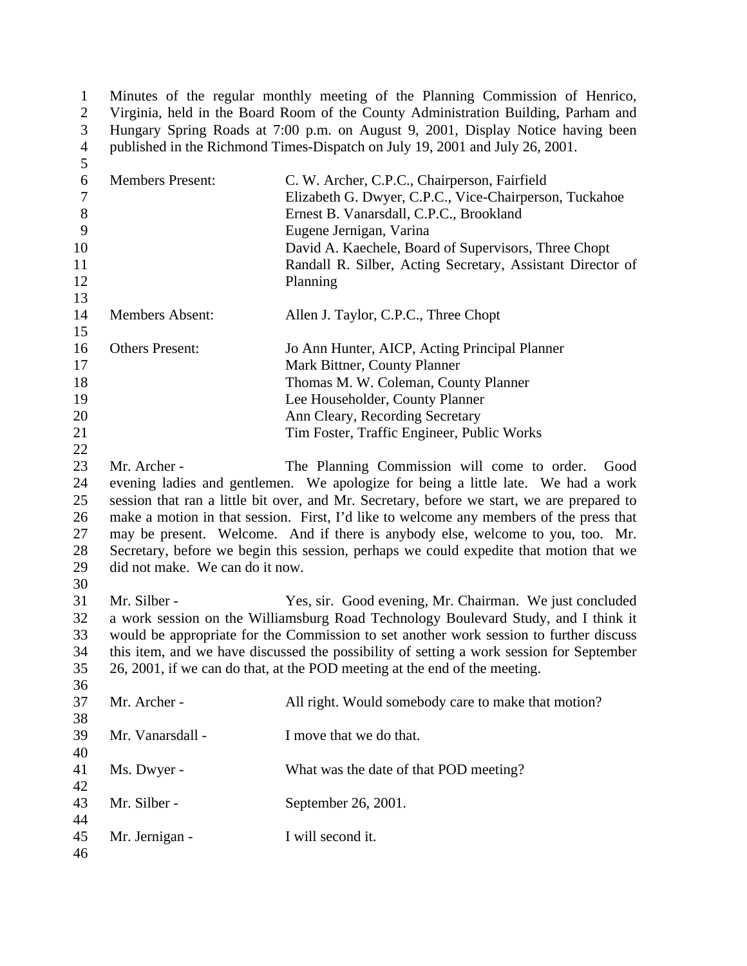1 Minutes of the regular monthly meeting of the Planning Commission of Henrico,<br>2 Virginia, held in the Board Room of the County Administration Building, Parham and 2 Virginia, held in the Board Room of the County Administration Building, Parham and Hungary Spring Roads at 7:00 p.m. on August 9, 2001, Display Notice having been Hungary Spring Roads at 7:00 p.m. on August 9, 2001, Display Notice having been 4 published in the Richmond Times-Dispatch on July 19, 2001 and July 26, 2001. 

| 6<br>$\boldsymbol{7}$<br>$8\,$<br>9<br>10<br>11<br>12 | <b>Members Present:</b>                         | C. W. Archer, C.P.C., Chairperson, Fairfield<br>Elizabeth G. Dwyer, C.P.C., Vice-Chairperson, Tuckahoe<br>Ernest B. Vanarsdall, C.P.C., Brookland<br>Eugene Jernigan, Varina<br>David A. Kaechele, Board of Supervisors, Three Chopt<br>Randall R. Silber, Acting Secretary, Assistant Director of<br>Planning                                                                                                                                                                                                 |
|-------------------------------------------------------|-------------------------------------------------|----------------------------------------------------------------------------------------------------------------------------------------------------------------------------------------------------------------------------------------------------------------------------------------------------------------------------------------------------------------------------------------------------------------------------------------------------------------------------------------------------------------|
| 13<br>14                                              | <b>Members Absent:</b>                          | Allen J. Taylor, C.P.C., Three Chopt                                                                                                                                                                                                                                                                                                                                                                                                                                                                           |
| 15<br>16<br>17<br>18<br>19<br>20<br>21<br>22          | <b>Others Present:</b>                          | Jo Ann Hunter, AICP, Acting Principal Planner<br>Mark Bittner, County Planner<br>Thomas M. W. Coleman, County Planner<br>Lee Householder, County Planner<br>Ann Cleary, Recording Secretary<br>Tim Foster, Traffic Engineer, Public Works                                                                                                                                                                                                                                                                      |
| 23<br>24<br>25<br>26<br>27<br>28<br>29<br>30          | Mr. Archer -<br>did not make. We can do it now. | The Planning Commission will come to order.<br>Good<br>evening ladies and gentlemen. We apologize for being a little late. We had a work<br>session that ran a little bit over, and Mr. Secretary, before we start, we are prepared to<br>make a motion in that session. First, I'd like to welcome any members of the press that<br>may be present. Welcome. And if there is anybody else, welcome to you, too. Mr.<br>Secretary, before we begin this session, perhaps we could expedite that motion that we |
| 31<br>32<br>33<br>34<br>35<br>36                      | Mr. Silber -                                    | Yes, sir. Good evening, Mr. Chairman. We just concluded<br>a work session on the Williamsburg Road Technology Boulevard Study, and I think it<br>would be appropriate for the Commission to set another work session to further discuss<br>this item, and we have discussed the possibility of setting a work session for September<br>26, 2001, if we can do that, at the POD meeting at the end of the meeting.                                                                                              |
| 37<br>38                                              | Mr. Archer -                                    | All right. Would somebody care to make that motion?                                                                                                                                                                                                                                                                                                                                                                                                                                                            |
| 39<br>40                                              | Mr. Vanarsdall -                                | I move that we do that.                                                                                                                                                                                                                                                                                                                                                                                                                                                                                        |
| 41<br>42                                              | Ms. Dwyer -                                     | What was the date of that POD meeting?                                                                                                                                                                                                                                                                                                                                                                                                                                                                         |
| 43<br>44                                              | Mr. Silber -                                    | September 26, 2001.                                                                                                                                                                                                                                                                                                                                                                                                                                                                                            |
| 45<br>46                                              | Mr. Jernigan -                                  | I will second it.                                                                                                                                                                                                                                                                                                                                                                                                                                                                                              |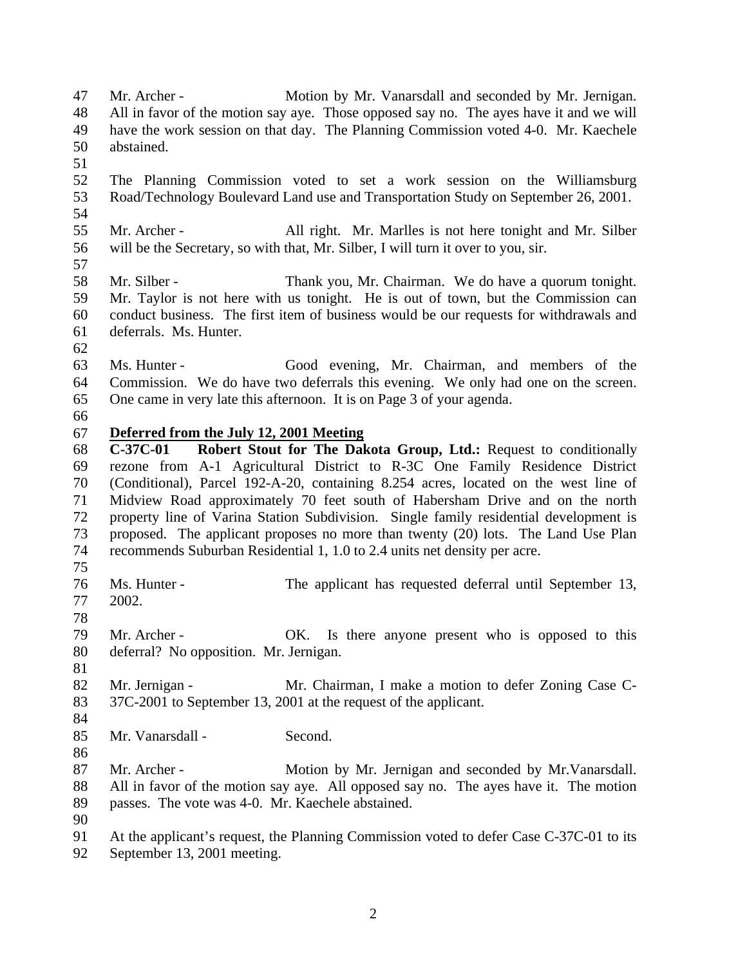Mr. Archer - Motion by Mr. Vanarsdall and seconded by Mr. Jernigan. All in favor of the motion say aye. Those opposed say no. The ayes have it and we will have the work session on that day. The Planning Commission voted 4-0. Mr. Kaechele abstained. The Planning Commission voted to set a work session on the Williamsburg Road/Technology Boulevard Land use and Transportation Study on September 26, 2001. Mr. Archer - All right. Mr. Marlles is not here tonight and Mr. Silber will be the Secretary, so with that, Mr. Silber, I will turn it over to you, sir. Mr. Silber - Thank you, Mr. Chairman. We do have a quorum tonight. Mr. Taylor is not here with us tonight. He is out of town, but the Commission can conduct business. The first item of business would be our requests for withdrawals and deferrals. Ms. Hunter. Ms. Hunter - Good evening, Mr. Chairman, and members of the Commission. We do have two deferrals this evening. We only had one on the screen. One came in very late this afternoon. It is on Page 3 of your agenda. **Deferred from the July 12, 2001 Meeting C-37C-01 Robert Stout for The Dakota Group, Ltd.:** Request to conditionally rezone from A-1 Agricultural District to R-3C One Family Residence District (Conditional), Parcel 192-A-20, containing 8.254 acres, located on the west line of Midview Road approximately 70 feet south of Habersham Drive and on the north property line of Varina Station Subdivision. Single family residential development is proposed. The applicant proposes no more than twenty (20) lots. The Land Use Plan recommends Suburban Residential 1, 1.0 to 2.4 units net density per acre. Ms. Hunter - The applicant has requested deferral until September 13, 2002. Mr. Archer - OK. Is there anyone present who is opposed to this deferral? No opposition. Mr. Jernigan. 82 Mr. Jernigan - Mr. Chairman, I make a motion to defer Zoning Case C- 37C-2001 to September 13, 2001 at the request of the applicant. 85 Mr. Vanarsdall - Second. 87 Mr. Archer - Motion by Mr. Jernigan and seconded by Mr. Vanarsdall. All in favor of the motion say aye. All opposed say no. The ayes have it. The motion passes. The vote was 4-0. Mr. Kaechele abstained. At the applicant's request, the Planning Commission voted to defer Case C-37C-01 to its September 13, 2001 meeting.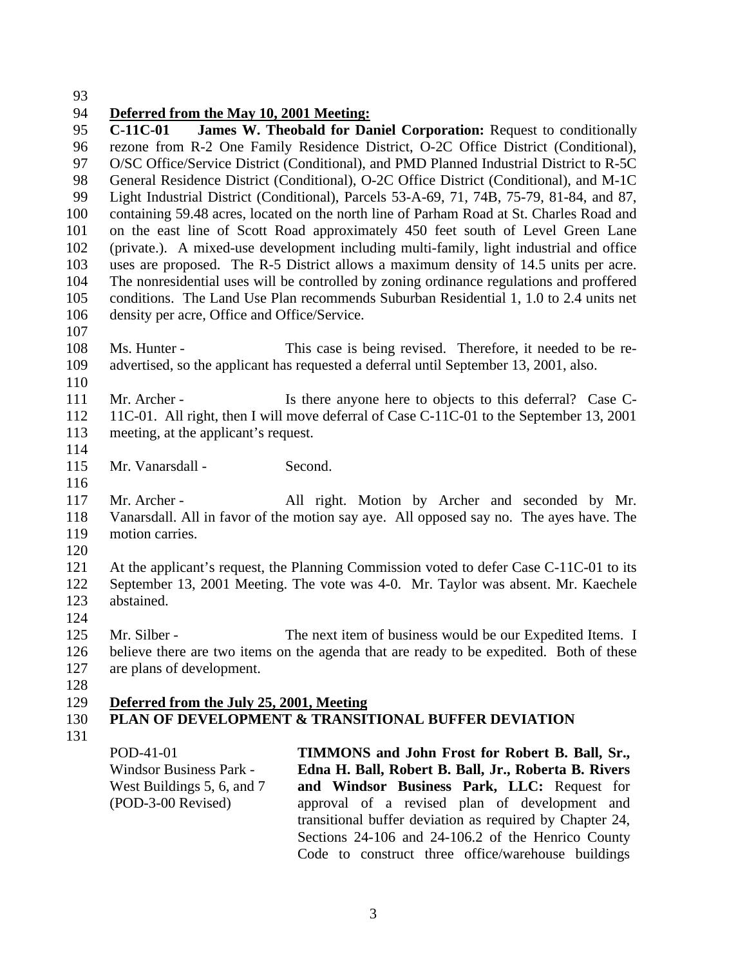### **Deferred from the May 10, 2001 Meeting:**

 **C-11C-01 James W. Theobald for Daniel Corporation:** Request to conditionally rezone from R-2 One Family Residence District, O-2C Office District (Conditional), O/SC Office/Service District (Conditional), and PMD Planned Industrial District to R-5C General Residence District (Conditional), O-2C Office District (Conditional), and M-1C Light Industrial District (Conditional), Parcels 53-A-69, 71, 74B, 75-79, 81-84, and 87, containing 59.48 acres, located on the north line of Parham Road at St. Charles Road and on the east line of Scott Road approximately 450 feet south of Level Green Lane (private.). A mixed-use development including multi-family, light industrial and office uses are proposed. The R-5 District allows a maximum density of 14.5 units per acre. The nonresidential uses will be controlled by zoning ordinance regulations and proffered conditions. The Land Use Plan recommends Suburban Residential 1, 1.0 to 2.4 units net density per acre, Office and Office/Service.

 Ms. Hunter - This case is being revised. Therefore, it needed to be re-advertised, so the applicant has requested a deferral until September 13, 2001, also.

- 111 Mr. Archer - Is there anyone here to objects to this deferral? Case C- 11C-01. All right, then I will move deferral of Case C-11C-01 to the September 13, 2001 meeting, at the applicant's request.
- 

115 Mr. Vanarsdall - Second.

 Mr. Archer - All right. Motion by Archer and seconded by Mr. Vanarsdall. All in favor of the motion say aye. All opposed say no. The ayes have. The motion carries.

 At the applicant's request, the Planning Commission voted to defer Case C-11C-01 to its September 13, 2001 Meeting. The vote was 4-0. Mr. Taylor was absent. Mr. Kaechele abstained.

125 Mr. Silber - The next item of business would be our Expedited Items. I believe there are two items on the agenda that are ready to be expedited. Both of these are plans of development.

**Deferred from the July 25, 2001, Meeting**

- 
- **PLAN OF DEVELOPMENT & TRANSITIONAL BUFFER DEVIATION**
- 

POD-41-01 Windsor Business Park - West Buildings 5, 6, and 7 (POD-3-00 Revised) **TIMMONS and John Frost for Robert B. Ball, Sr., Edna H. Ball, Robert B. Ball, Jr., Roberta B. Rivers and Windsor Business Park, LLC:** Request for approval of a revised plan of development and transitional buffer deviation as required by Chapter 24, Sections 24-106 and 24-106.2 of the Henrico County Code to construct three office/warehouse buildings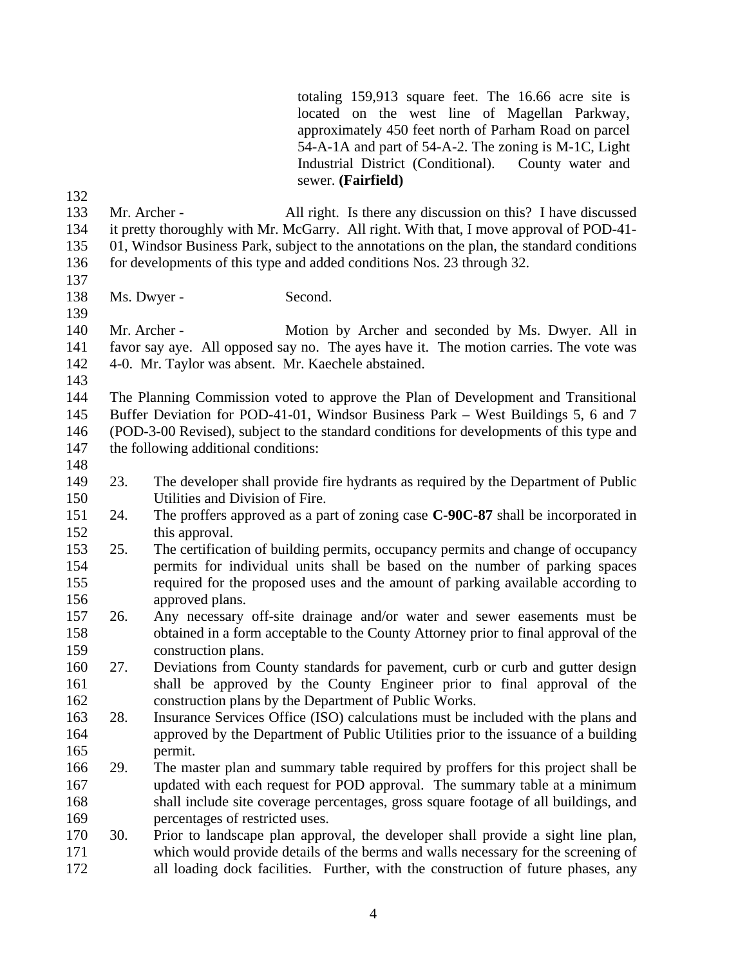totaling 159,913 square feet. The 16.66 acre site is located on the west line of Magellan Parkway, approximately 450 feet north of Parham Road on parcel 54-A-1A and part of 54-A-2. The zoning is M-1C, Light Industrial District (Conditional). County water and sewer. **(Fairfield)**

 Mr. Archer - All right. Is there any discussion on this? I have discussed it pretty thoroughly with Mr. McGarry. All right. With that, I move approval of POD-41- 01, Windsor Business Park, subject to the annotations on the plan, the standard conditions

- for developments of this type and added conditions Nos. 23 through 32.
- 138 Ms. Dwyer Second.

 Mr. Archer - Motion by Archer and seconded by Ms. Dwyer. All in favor say aye. All opposed say no. The ayes have it. The motion carries. The vote was 4-0. Mr. Taylor was absent. Mr. Kaechele abstained.

 The Planning Commission voted to approve the Plan of Development and Transitional Buffer Deviation for POD-41-01, Windsor Business Park – West Buildings 5, 6 and 7 (POD-3-00 Revised), subject to the standard conditions for developments of this type and the following additional conditions:

- 
- 23. The developer shall provide fire hydrants as required by the Department of Public Utilities and Division of Fire.
- 24. The proffers approved as a part of zoning case **C-90C-87** shall be incorporated in this approval.
- 25. The certification of building permits, occupancy permits and change of occupancy permits for individual units shall be based on the number of parking spaces required for the proposed uses and the amount of parking available according to approved plans.
- 26. Any necessary off-site drainage and/or water and sewer easements must be obtained in a form acceptable to the County Attorney prior to final approval of the construction plans.
- 27. Deviations from County standards for pavement, curb or curb and gutter design shall be approved by the County Engineer prior to final approval of the construction plans by the Department of Public Works.
- 28. Insurance Services Office (ISO) calculations must be included with the plans and approved by the Department of Public Utilities prior to the issuance of a building permit.
- 29. The master plan and summary table required by proffers for this project shall be updated with each request for POD approval. The summary table at a minimum shall include site coverage percentages, gross square footage of all buildings, and percentages of restricted uses.
- 30. Prior to landscape plan approval, the developer shall provide a sight line plan, which would provide details of the berms and walls necessary for the screening of all loading dock facilities. Further, with the construction of future phases, any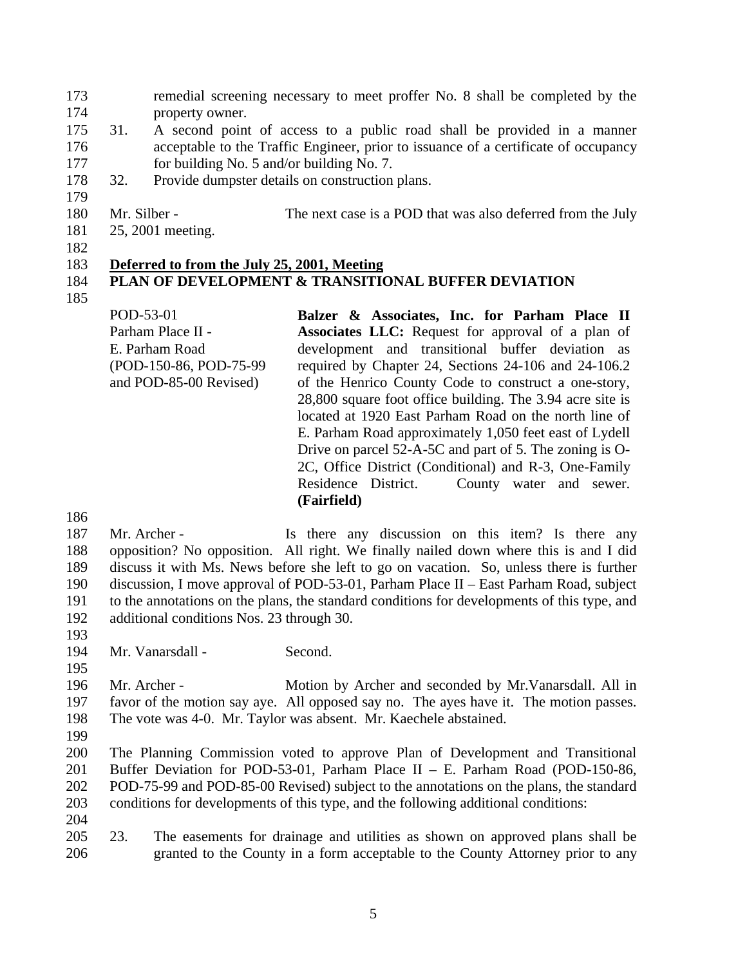- remedial screening necessary to meet proffer No. 8 shall be completed by the property owner.
- 31. A second point of access to a public road shall be provided in a manner acceptable to the Traffic Engineer, prior to issuance of a certificate of occupancy for building No. 5 and/or building No. 7.
- 32. Provide dumpster details on construction plans.
- 180 Mr. Silber The next case is a POD that was also deferred from the July
- 25, 2001 meeting.
- 

### **Deferred to from the July 25, 2001, Meeting**

# 

# **PLAN OF DEVELOPMENT & TRANSITIONAL BUFFER DEVIATION**

POD-53-01 Parham Place II - E. Parham Road (POD-150-86, POD-75-99 and POD-85-00 Revised) **Balzer & Associates, Inc. for Parham Place II Associates LLC:** Request for approval of a plan of development and transitional buffer deviation as required by Chapter 24, Sections 24-106 and 24-106.2 of the Henrico County Code to construct a one-story, 28,800 square foot office building. The 3.94 acre site is located at 1920 East Parham Road on the north line of E. Parham Road approximately 1,050 feet east of Lydell Drive on parcel 52-A-5C and part of 5. The zoning is O-2C, Office District (Conditional) and R-3, One-Family Residence District. County water and sewer. **(Fairfield)**

187 Mr. Archer - Is there any discussion on this item? Is there any opposition? No opposition. All right. We finally nailed down where this is and I did discuss it with Ms. News before she left to go on vacation. So, unless there is further discussion, I move approval of POD-53-01, Parham Place II – East Parham Road, subject to the annotations on the plans, the standard conditions for developments of this type, and additional conditions Nos. 23 through 30.

194 Mr. Vanarsdall - Second.

 Mr. Archer - Motion by Archer and seconded by Mr.Vanarsdall. All in favor of the motion say aye. All opposed say no. The ayes have it. The motion passes. The vote was 4-0. Mr. Taylor was absent. Mr. Kaechele abstained.

 The Planning Commission voted to approve Plan of Development and Transitional Buffer Deviation for POD-53-01, Parham Place II – E. Parham Road (POD-150-86, POD-75-99 and POD-85-00 Revised) subject to the annotations on the plans, the standard conditions for developments of this type, and the following additional conditions: 

 23. The easements for drainage and utilities as shown on approved plans shall be granted to the County in a form acceptable to the County Attorney prior to any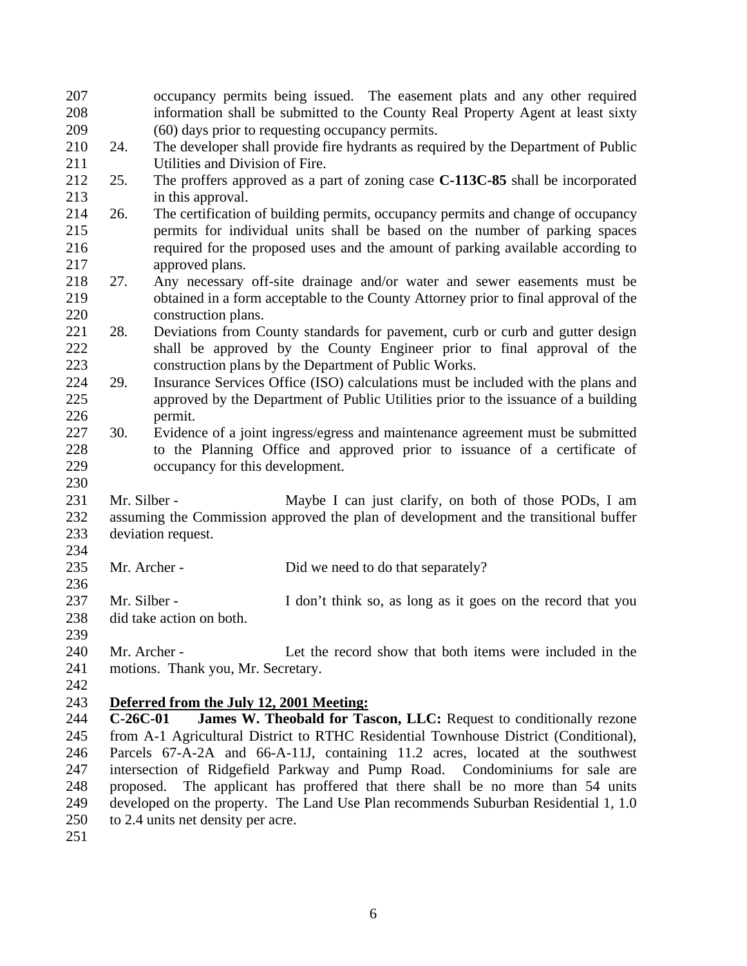| 207 |            | occupancy permits being issued. The easement plats and any other required            |
|-----|------------|--------------------------------------------------------------------------------------|
| 208 |            | information shall be submitted to the County Real Property Agent at least sixty      |
| 209 |            | (60) days prior to requesting occupancy permits.                                     |
| 210 | 24.        | The developer shall provide fire hydrants as required by the Department of Public    |
| 211 |            | Utilities and Division of Fire.                                                      |
| 212 | 25.        | The proffers approved as a part of zoning case C-113C-85 shall be incorporated       |
| 213 |            | in this approval.                                                                    |
| 214 | 26.        | The certification of building permits, occupancy permits and change of occupancy     |
| 215 |            | permits for individual units shall be based on the number of parking spaces          |
| 216 |            | required for the proposed uses and the amount of parking available according to      |
| 217 |            | approved plans.                                                                      |
| 218 | 27.        | Any necessary off-site drainage and/or water and sewer easements must be             |
| 219 |            | obtained in a form acceptable to the County Attorney prior to final approval of the  |
| 220 |            | construction plans.                                                                  |
| 221 | 28.        | Deviations from County standards for pavement, curb or curb and gutter design        |
| 222 |            | shall be approved by the County Engineer prior to final approval of the              |
| 223 |            | construction plans by the Department of Public Works.                                |
| 224 | 29.        | Insurance Services Office (ISO) calculations must be included with the plans and     |
| 225 |            | approved by the Department of Public Utilities prior to the issuance of a building   |
| 226 |            | permit.                                                                              |
| 227 | 30.        | Evidence of a joint ingress/egress and maintenance agreement must be submitted       |
| 228 |            | to the Planning Office and approved prior to issuance of a certificate of            |
| 229 |            | occupancy for this development.                                                      |
| 230 |            |                                                                                      |
| 231 |            | Mr. Silber -<br>Maybe I can just clarify, on both of those PODs, I am                |
| 232 |            | assuming the Commission approved the plan of development and the transitional buffer |
| 233 |            | deviation request.                                                                   |
| 234 |            |                                                                                      |
| 235 |            | Mr. Archer -<br>Did we need to do that separately?                                   |
| 236 |            |                                                                                      |
| 237 |            | Mr. Silber -<br>I don't think so, as long as it goes on the record that you          |
| 238 |            | did take action on both.                                                             |
| 239 |            |                                                                                      |
| 240 |            | Let the record show that both items were included in the<br>Mr. Archer -             |
| 241 |            | motions. Thank you, Mr. Secretary.                                                   |
| 242 |            |                                                                                      |
| 243 |            | Deferred from the July 12, 2001 Meeting:                                             |
| 244 | $C-26C-01$ | James W. Theobald for Tascon, LLC: Request to conditionally rezone                   |
| 245 |            | from A-1 Agricultural District to RTHC Residential Townhouse District (Conditional), |
| 246 |            | Parcels 67-A-2A and 66-A-11J, containing 11.2 acres, located at the southwest        |
| 247 |            | intersection of Ridgefield Parkway and Pump Road. Condominiums for sale are          |
| 248 |            | The applicant has proffered that there shall be no more than 54 units<br>proposed.   |
| 249 |            | developed on the property. The Land Use Plan recommends Suburban Residential 1, 1.0  |
| 250 |            | to 2.4 units net density per acre.                                                   |
| 251 |            |                                                                                      |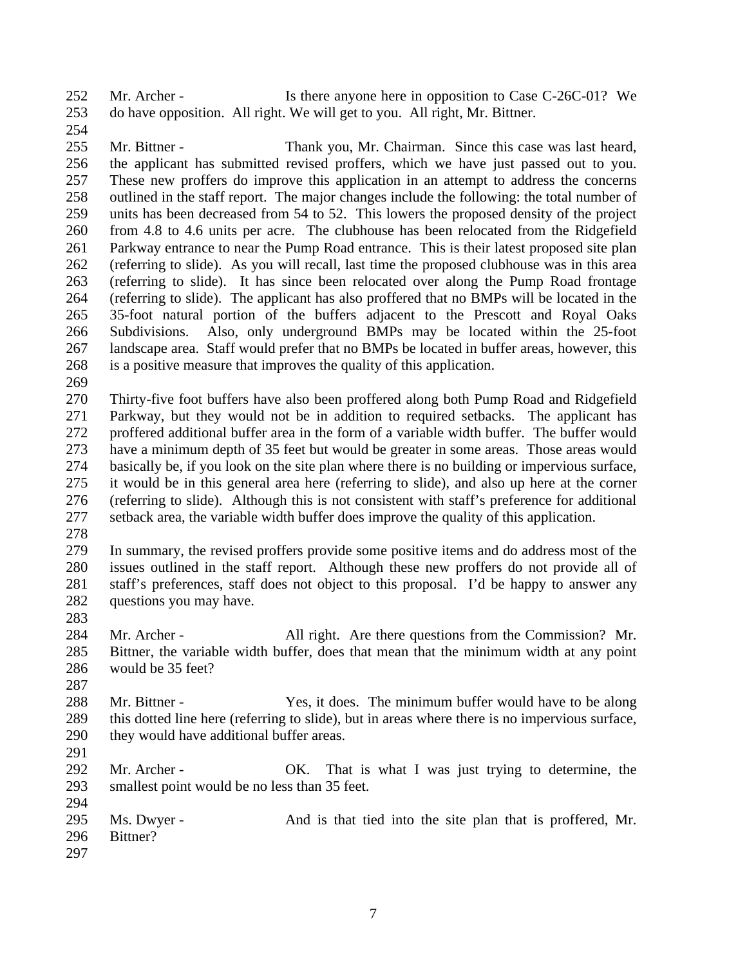Mr. Archer - Is there anyone here in opposition to Case C-26C-01? We do have opposition. All right. We will get to you. All right, Mr. Bittner. 

 Mr. Bittner - Thank you, Mr. Chairman. Since this case was last heard, the applicant has submitted revised proffers, which we have just passed out to you. These new proffers do improve this application in an attempt to address the concerns outlined in the staff report. The major changes include the following: the total number of units has been decreased from 54 to 52. This lowers the proposed density of the project from 4.8 to 4.6 units per acre. The clubhouse has been relocated from the Ridgefield Parkway entrance to near the Pump Road entrance. This is their latest proposed site plan (referring to slide). As you will recall, last time the proposed clubhouse was in this area (referring to slide). It has since been relocated over along the Pump Road frontage (referring to slide). The applicant has also proffered that no BMPs will be located in the 35-foot natural portion of the buffers adjacent to the Prescott and Royal Oaks Subdivisions. Also, only underground BMPs may be located within the 25-foot landscape area. Staff would prefer that no BMPs be located in buffer areas, however, this is a positive measure that improves the quality of this application.

 Thirty-five foot buffers have also been proffered along both Pump Road and Ridgefield Parkway, but they would not be in addition to required setbacks. The applicant has proffered additional buffer area in the form of a variable width buffer. The buffer would have a minimum depth of 35 feet but would be greater in some areas. Those areas would basically be, if you look on the site plan where there is no building or impervious surface, it would be in this general area here (referring to slide), and also up here at the corner (referring to slide). Although this is not consistent with staff's preference for additional setback area, the variable width buffer does improve the quality of this application.

 In summary, the revised proffers provide some positive items and do address most of the issues outlined in the staff report. Although these new proffers do not provide all of staff's preferences, staff does not object to this proposal. I'd be happy to answer any questions you may have.

284 Mr. Archer - All right. Are there questions from the Commission? Mr. Bittner, the variable width buffer, does that mean that the minimum width at any point would be 35 feet?

288 Mr. Bittner - Yes, it does. The minimum buffer would have to be along this dotted line here (referring to slide), but in areas where there is no impervious surface, they would have additional buffer areas.

292 Mr. Archer - OK. That is what I was just trying to determine, the smallest point would be no less than 35 feet. 

 Ms. Dwyer - And is that tied into the site plan that is proffered, Mr. Bittner?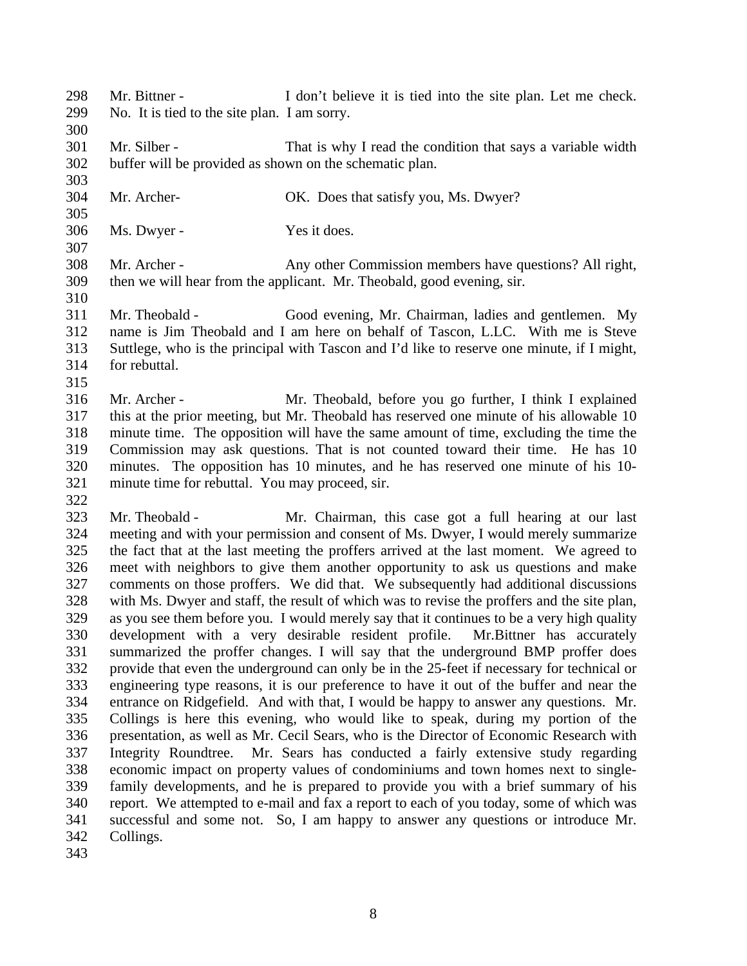- Mr. Bittner I don't believe it is tied into the site plan. Let me check. No. It is tied to the site plan. I am sorry.
- 

 Mr. Silber - That is why I read the condition that says a variable width buffer will be provided as shown on the schematic plan.

- Mr. Archer- OK. Does that satisfy you, Ms. Dwyer?
- Ms. Dwyer Yes it does.

 Mr. Archer - Any other Commission members have questions? All right, then we will hear from the applicant. Mr. Theobald, good evening, sir.

- Mr. Theobald Good evening, Mr. Chairman, ladies and gentlemen. My name is Jim Theobald and I am here on behalf of Tascon, L.LC. With me is Steve Suttlege, who is the principal with Tascon and I'd like to reserve one minute, if I might, for rebuttal.
- 

 Mr. Archer - Mr. Theobald, before you go further, I think I explained this at the prior meeting, but Mr. Theobald has reserved one minute of his allowable 10 minute time. The opposition will have the same amount of time, excluding the time the Commission may ask questions. That is not counted toward their time. He has 10 minutes. The opposition has 10 minutes, and he has reserved one minute of his 10- minute time for rebuttal. You may proceed, sir. 

 Mr. Theobald - Mr. Chairman, this case got a full hearing at our last meeting and with your permission and consent of Ms. Dwyer, I would merely summarize the fact that at the last meeting the proffers arrived at the last moment. We agreed to meet with neighbors to give them another opportunity to ask us questions and make comments on those proffers. We did that. We subsequently had additional discussions with Ms. Dwyer and staff, the result of which was to revise the proffers and the site plan, as you see them before you. I would merely say that it continues to be a very high quality development with a very desirable resident profile. Mr.Bittner has accurately summarized the proffer changes. I will say that the underground BMP proffer does provide that even the underground can only be in the 25-feet if necessary for technical or engineering type reasons, it is our preference to have it out of the buffer and near the entrance on Ridgefield. And with that, I would be happy to answer any questions. Mr. Collings is here this evening, who would like to speak, during my portion of the presentation, as well as Mr. Cecil Sears, who is the Director of Economic Research with Integrity Roundtree. Mr. Sears has conducted a fairly extensive study regarding economic impact on property values of condominiums and town homes next to single- family developments, and he is prepared to provide you with a brief summary of his report. We attempted to e-mail and fax a report to each of you today, some of which was successful and some not. So, I am happy to answer any questions or introduce Mr. Collings.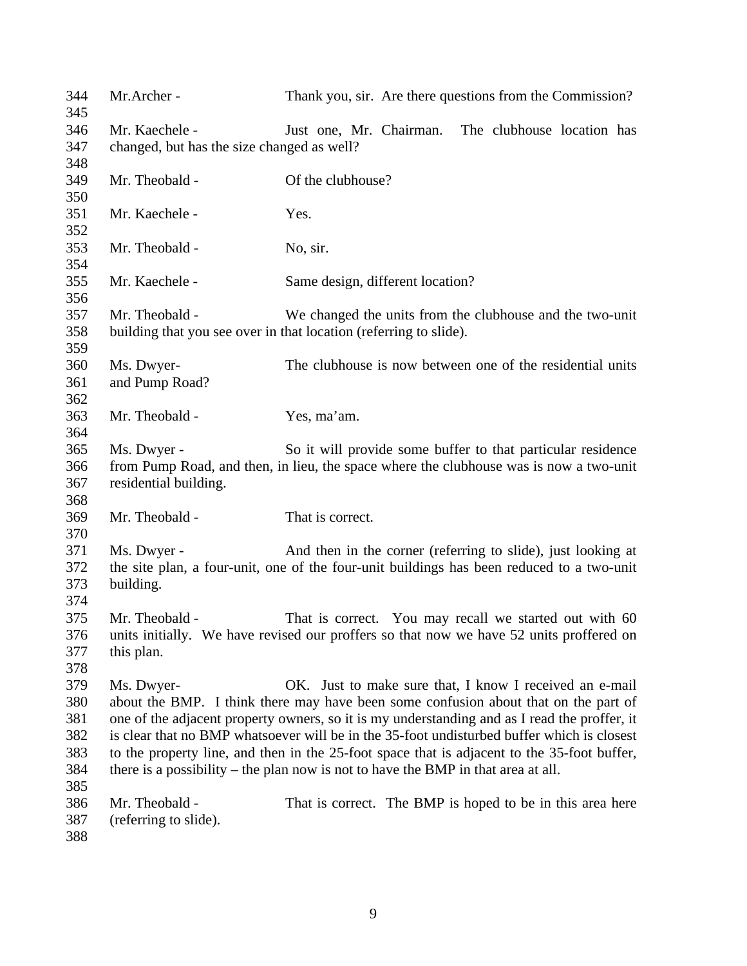| 344<br>345 | Mr.Archer -                                | Thank you, sir. Are there questions from the Commission?                                     |
|------------|--------------------------------------------|----------------------------------------------------------------------------------------------|
| 346        | Mr. Kaechele -                             | Just one, Mr. Chairman.<br>The clubhouse location has                                        |
| 347        | changed, but has the size changed as well? |                                                                                              |
| 348        |                                            |                                                                                              |
| 349        | Mr. Theobald -                             | Of the clubhouse?                                                                            |
| 350        |                                            |                                                                                              |
| 351        | Mr. Kaechele -                             | Yes.                                                                                         |
| 352        |                                            |                                                                                              |
| 353        | Mr. Theobald -                             | No, sir.                                                                                     |
| 354        |                                            |                                                                                              |
| 355        | Mr. Kaechele -                             | Same design, different location?                                                             |
| 356        |                                            |                                                                                              |
| 357        | Mr. Theobald -                             | We changed the units from the clubhouse and the two-unit                                     |
| 358        |                                            | building that you see over in that location (referring to slide).                            |
| 359        |                                            |                                                                                              |
| 360        | Ms. Dwyer-                                 | The clubhouse is now between one of the residential units                                    |
| 361        | and Pump Road?                             |                                                                                              |
| 362        |                                            |                                                                                              |
| 363        | Mr. Theobald -                             | Yes, ma'am.                                                                                  |
| 364        |                                            |                                                                                              |
| 365        | Ms. Dwyer -                                | So it will provide some buffer to that particular residence                                  |
| 366        |                                            | from Pump Road, and then, in lieu, the space where the clubhouse was is now a two-unit       |
| 367        | residential building.                      |                                                                                              |
| 368        |                                            |                                                                                              |
| 369        | Mr. Theobald -                             | That is correct.                                                                             |
| 370        |                                            |                                                                                              |
| 371        | Ms. Dwyer -                                | And then in the corner (referring to slide), just looking at                                 |
| 372        |                                            | the site plan, a four-unit, one of the four-unit buildings has been reduced to a two-unit    |
| 373        | building.                                  |                                                                                              |
| 374        |                                            |                                                                                              |
| 375        | Mr. Theobald -                             | That is correct. You may recall we started out with 60                                       |
| 376        |                                            | units initially. We have revised our proffers so that now we have 52 units proffered on      |
| 377        | this plan.                                 |                                                                                              |
| 378        |                                            |                                                                                              |
| 379        | Ms. Dwyer-                                 | OK. Just to make sure that, I know I received an e-mail                                      |
| 380        |                                            | about the BMP. I think there may have been some confusion about that on the part of          |
| 381        |                                            | one of the adjacent property owners, so it is my understanding and as I read the proffer, it |
| 382        |                                            | is clear that no BMP whatsoever will be in the 35-foot undisturbed buffer which is closest   |
| 383        |                                            | to the property line, and then in the 25-foot space that is adjacent to the 35-foot buffer,  |
| 384        |                                            | there is a possibility $-$ the plan now is not to have the BMP in that area at all.          |
| 385        |                                            |                                                                                              |
| 386        | Mr. Theobald -                             | That is correct. The BMP is hoped to be in this area here                                    |
| 387        | (referring to slide).                      |                                                                                              |
| 388        |                                            |                                                                                              |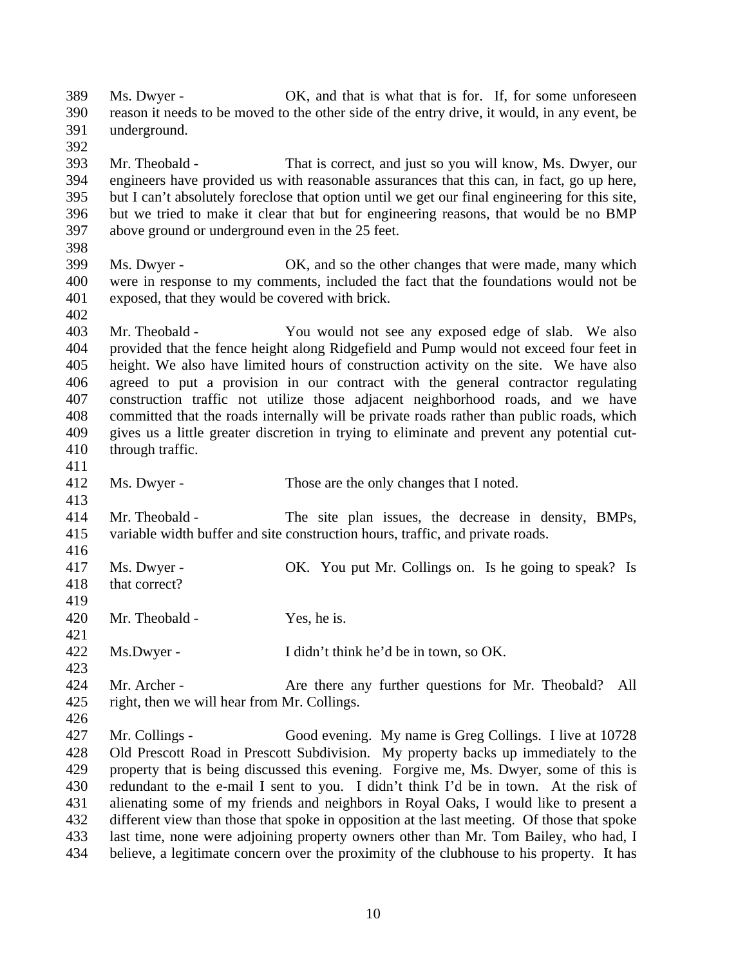Ms. Dwyer - OK, and that is what that is for. If, for some unforeseen reason it needs to be moved to the other side of the entry drive, it would, in any event, be underground. Mr. Theobald - That is correct, and just so you will know, Ms. Dwyer, our engineers have provided us with reasonable assurances that this can, in fact, go up here, but I can't absolutely foreclose that option until we get our final engineering for this site, but we tried to make it clear that but for engineering reasons, that would be no BMP above ground or underground even in the 25 feet. 398<br>399 Ms. Dwyer - OK, and so the other changes that were made, many which were in response to my comments, included the fact that the foundations would not be exposed, that they would be covered with brick. Mr. Theobald - You would not see any exposed edge of slab. We also provided that the fence height along Ridgefield and Pump would not exceed four feet in height. We also have limited hours of construction activity on the site. We have also agreed to put a provision in our contract with the general contractor regulating construction traffic not utilize those adjacent neighborhood roads, and we have committed that the roads internally will be private roads rather than public roads, which gives us a little greater discretion in trying to eliminate and prevent any potential cut- through traffic. Ms. Dwyer - Those are the only changes that I noted. Mr. Theobald - The site plan issues, the decrease in density, BMPs, variable width buffer and site construction hours, traffic, and private roads. Ms. Dwyer - OK. You put Mr. Collings on. Is he going to speak? Is that correct? Mr. Theobald - Yes, he is. Ms.Dwyer - I didn't think he'd be in town, so OK. 424 Mr. Archer - Are there any further questions for Mr. Theobald? All right, then we will hear from Mr. Collings. Mr. Collings - Good evening. My name is Greg Collings. I live at 10728 Old Prescott Road in Prescott Subdivision. My property backs up immediately to the property that is being discussed this evening. Forgive me, Ms. Dwyer, some of this is redundant to the e-mail I sent to you. I didn't think I'd be in town. At the risk of alienating some of my friends and neighbors in Royal Oaks, I would like to present a different view than those that spoke in opposition at the last meeting. Of those that spoke last time, none were adjoining property owners other than Mr. Tom Bailey, who had, I

believe, a legitimate concern over the proximity of the clubhouse to his property. It has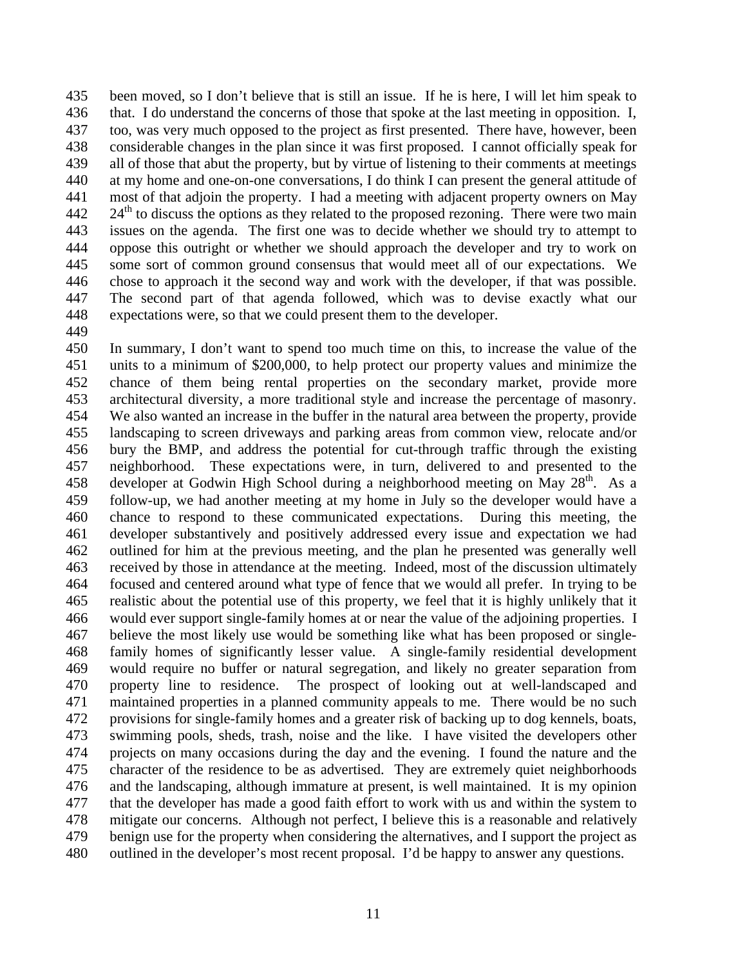been moved, so I don't believe that is still an issue. If he is here, I will let him speak to that. I do understand the concerns of those that spoke at the last meeting in opposition. I, too, was very much opposed to the project as first presented. There have, however, been considerable changes in the plan since it was first proposed. I cannot officially speak for all of those that abut the property, but by virtue of listening to their comments at meetings at my home and one-on-one conversations, I do think I can present the general attitude of most of that adjoin the property. I had a meeting with adjacent property owners on May  $24<sup>th</sup>$  to discuss the options as they related to the proposed rezoning. There were two main issues on the agenda. The first one was to decide whether we should try to attempt to oppose this outright or whether we should approach the developer and try to work on some sort of common ground consensus that would meet all of our expectations. We chose to approach it the second way and work with the developer, if that was possible. The second part of that agenda followed, which was to devise exactly what our expectations were, so that we could present them to the developer.

 In summary, I don't want to spend too much time on this, to increase the value of the units to a minimum of \$200,000, to help protect our property values and minimize the chance of them being rental properties on the secondary market, provide more architectural diversity, a more traditional style and increase the percentage of masonry. We also wanted an increase in the buffer in the natural area between the property, provide landscaping to screen driveways and parking areas from common view, relocate and/or bury the BMP, and address the potential for cut-through traffic through the existing neighborhood. These expectations were, in turn, delivered to and presented to the 458 developer at Godwin High School during a neighborhood meeting on May  $28<sup>th</sup>$ . As a follow-up, we had another meeting at my home in July so the developer would have a chance to respond to these communicated expectations. During this meeting, the developer substantively and positively addressed every issue and expectation we had outlined for him at the previous meeting, and the plan he presented was generally well received by those in attendance at the meeting. Indeed, most of the discussion ultimately focused and centered around what type of fence that we would all prefer. In trying to be realistic about the potential use of this property, we feel that it is highly unlikely that it would ever support single-family homes at or near the value of the adjoining properties. I believe the most likely use would be something like what has been proposed or single- family homes of significantly lesser value. A single-family residential development would require no buffer or natural segregation, and likely no greater separation from property line to residence. The prospect of looking out at well-landscaped and maintained properties in a planned community appeals to me. There would be no such provisions for single-family homes and a greater risk of backing up to dog kennels, boats, swimming pools, sheds, trash, noise and the like. I have visited the developers other projects on many occasions during the day and the evening. I found the nature and the character of the residence to be as advertised. They are extremely quiet neighborhoods and the landscaping, although immature at present, is well maintained. It is my opinion that the developer has made a good faith effort to work with us and within the system to mitigate our concerns. Although not perfect, I believe this is a reasonable and relatively benign use for the property when considering the alternatives, and I support the project as outlined in the developer's most recent proposal. I'd be happy to answer any questions.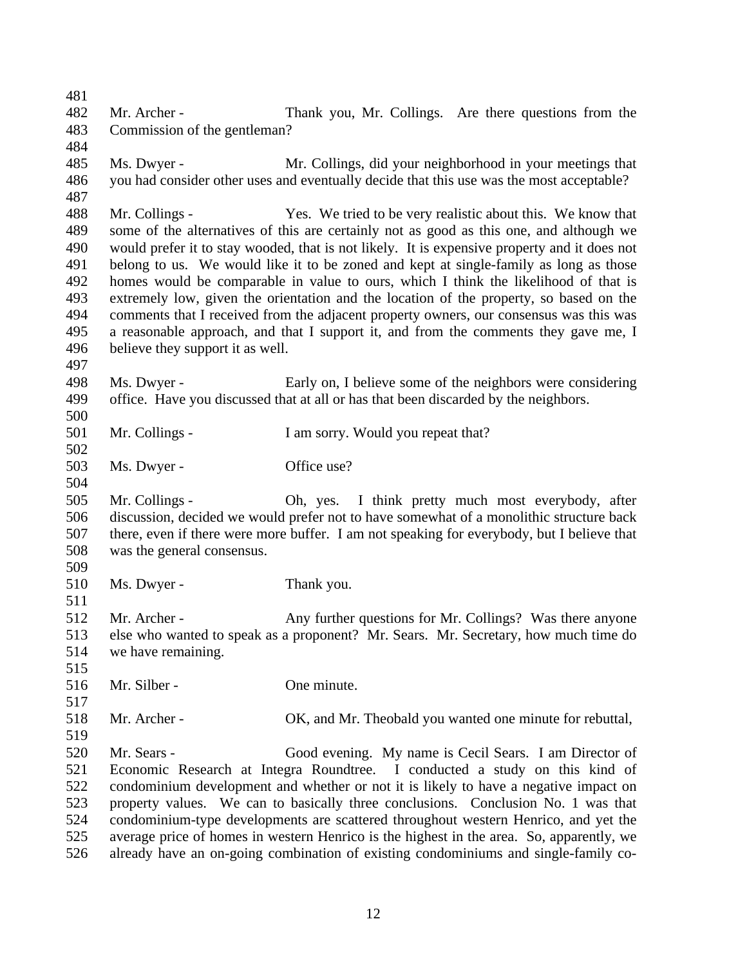Mr. Archer - Thank you, Mr. Collings. Are there questions from the Commission of the gentleman? Ms. Dwyer - Mr. Collings, did your neighborhood in your meetings that you had consider other uses and eventually decide that this use was the most acceptable? Mr. Collings - Yes. We tried to be very realistic about this. We know that some of the alternatives of this are certainly not as good as this one, and although we would prefer it to stay wooded, that is not likely. It is expensive property and it does not belong to us. We would like it to be zoned and kept at single-family as long as those homes would be comparable in value to ours, which I think the likelihood of that is extremely low, given the orientation and the location of the property, so based on the comments that I received from the adjacent property owners, our consensus was this was a reasonable approach, and that I support it, and from the comments they gave me, I believe they support it as well. Ms. Dwyer - Early on, I believe some of the neighbors were considering office. Have you discussed that at all or has that been discarded by the neighbors. Mr. Collings - I am sorry. Would you repeat that? Ms. Dwyer - Office use? Mr. Collings - Oh, yes. I think pretty much most everybody, after discussion, decided we would prefer not to have somewhat of a monolithic structure back there, even if there were more buffer. I am not speaking for everybody, but I believe that was the general consensus. Ms. Dwyer - Thank you. Mr. Archer - Any further questions for Mr. Collings? Was there anyone else who wanted to speak as a proponent? Mr. Sears. Mr. Secretary, how much time do we have remaining. Mr. Silber - One minute. Mr. Archer - OK, and Mr. Theobald you wanted one minute for rebuttal, Mr. Sears - Good evening. My name is Cecil Sears. I am Director of Economic Research at Integra Roundtree. I conducted a study on this kind of condominium development and whether or not it is likely to have a negative impact on property values. We can to basically three conclusions. Conclusion No. 1 was that condominium-type developments are scattered throughout western Henrico, and yet the average price of homes in western Henrico is the highest in the area. So, apparently, we already have an on-going combination of existing condominiums and single-family co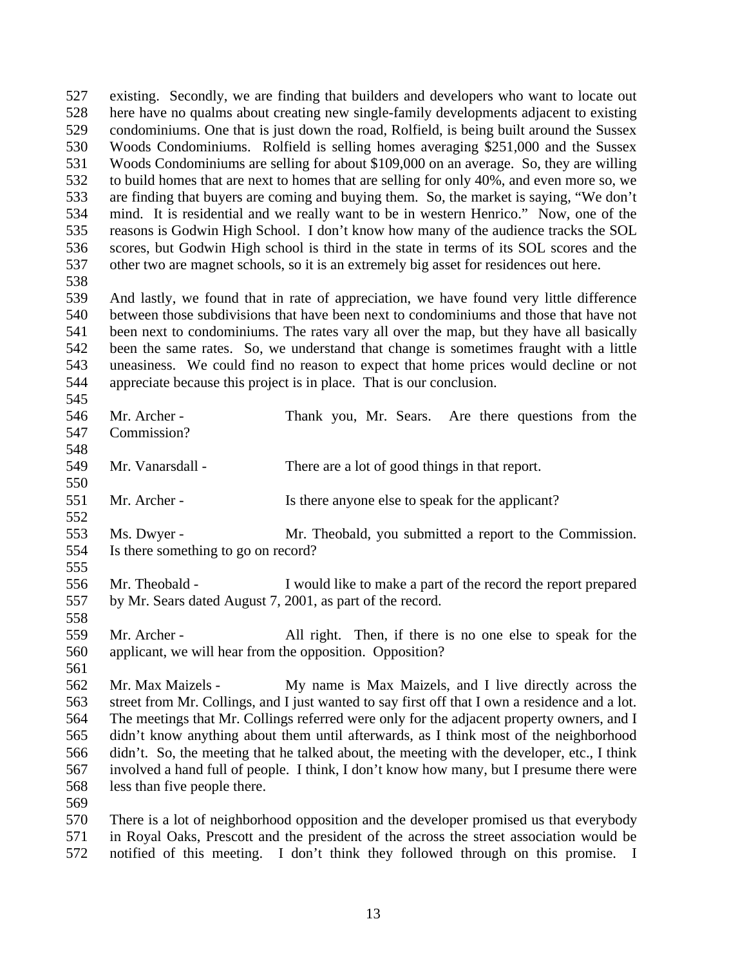existing. Secondly, we are finding that builders and developers who want to locate out here have no qualms about creating new single-family developments adjacent to existing condominiums. One that is just down the road, Rolfield, is being built around the Sussex Woods Condominiums. Rolfield is selling homes averaging \$251,000 and the Sussex Woods Condominiums are selling for about \$109,000 on an average. So, they are willing to build homes that are next to homes that are selling for only 40%, and even more so, we are finding that buyers are coming and buying them. So, the market is saying, "We don't mind. It is residential and we really want to be in western Henrico." Now, one of the reasons is Godwin High School. I don't know how many of the audience tracks the SOL scores, but Godwin High school is third in the state in terms of its SOL scores and the other two are magnet schools, so it is an extremely big asset for residences out here.

 And lastly, we found that in rate of appreciation, we have found very little difference between those subdivisions that have been next to condominiums and those that have not been next to condominiums. The rates vary all over the map, but they have all basically been the same rates. So, we understand that change is sometimes fraught with a little uneasiness. We could find no reason to expect that home prices would decline or not appreciate because this project is in place. That is our conclusion.

| 546 | Mr. Archer -                                              | Thank you, Mr. Sears. Are there questions from the                                             |
|-----|-----------------------------------------------------------|------------------------------------------------------------------------------------------------|
| 547 | Commission?                                               |                                                                                                |
| 548 |                                                           |                                                                                                |
| 549 | Mr. Vanarsdall -                                          | There are a lot of good things in that report.                                                 |
| 550 |                                                           |                                                                                                |
| 551 | Mr. Archer -                                              | Is there anyone else to speak for the applicant?                                               |
| 552 |                                                           |                                                                                                |
| 553 | Ms. Dwyer -                                               | Mr. Theobald, you submitted a report to the Commission.                                        |
| 554 | Is there something to go on record?                       |                                                                                                |
| 555 |                                                           |                                                                                                |
| 556 | Mr. Theobald -                                            | I would like to make a part of the record the report prepared                                  |
| 557 | by Mr. Sears dated August 7, 2001, as part of the record. |                                                                                                |
| 558 |                                                           |                                                                                                |
| 559 | Mr. Archer -                                              | All right. Then, if there is no one else to speak for the                                      |
| 560 | applicant, we will hear from the opposition. Opposition?  |                                                                                                |
| 561 |                                                           |                                                                                                |
| 562 | Mr. Max Maizels -                                         | My name is Max Maizels, and I live directly across the                                         |
| 563 |                                                           | street from Mr. Collings, and I just wanted to say first off that I own a residence and a lot. |
| 564 |                                                           | The meetings that Mr. Collings referred were only for the adjacent property owners, and I      |
| 565 |                                                           | didn't know anything about them until afterwards, as I think most of the neighborhood          |
| 566 |                                                           | didn't. So, the meeting that he talked about, the meeting with the developer, etc., I think    |
| 567 |                                                           | involved a hand full of people. I think, I don't know how many, but I presume there were       |
| 568 | less than five people there.                              |                                                                                                |
| 569 |                                                           |                                                                                                |
| 570 |                                                           | There is a lot of neighborhood opposition and the developer promised us that everybody         |
| 571 |                                                           | in Royal Oaks, Prescott and the president of the across the street association would be        |
| 572 |                                                           | notified of this meeting. I don't think they followed through on this promise. I               |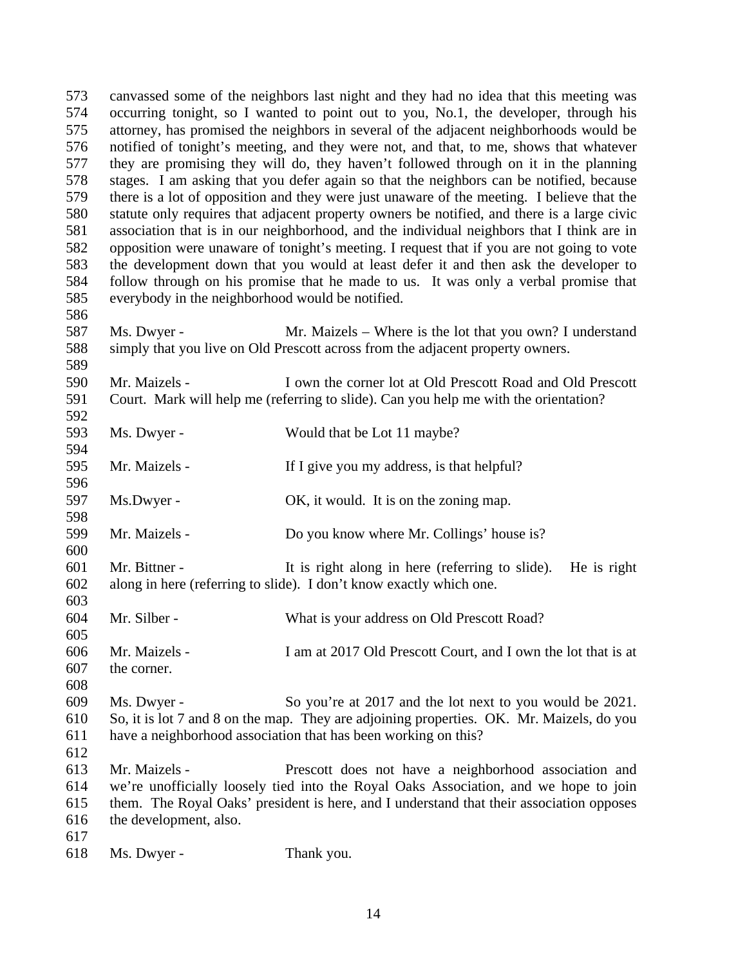canvassed some of the neighbors last night and they had no idea that this meeting was occurring tonight, so I wanted to point out to you, No.1, the developer, through his attorney, has promised the neighbors in several of the adjacent neighborhoods would be notified of tonight's meeting, and they were not, and that, to me, shows that whatever they are promising they will do, they haven't followed through on it in the planning stages. I am asking that you defer again so that the neighbors can be notified, because there is a lot of opposition and they were just unaware of the meeting. I believe that the statute only requires that adjacent property owners be notified, and there is a large civic association that is in our neighborhood, and the individual neighbors that I think are in opposition were unaware of tonight's meeting. I request that if you are not going to vote the development down that you would at least defer it and then ask the developer to follow through on his promise that he made to us. It was only a verbal promise that everybody in the neighborhood would be notified. Ms. Dwyer - Mr. Maizels – Where is the lot that you own? I understand simply that you live on Old Prescott across from the adjacent property owners. Mr. Maizels - I own the corner lot at Old Prescott Road and Old Prescott Court. Mark will help me (referring to slide). Can you help me with the orientation? Ms. Dwyer - Would that be Lot 11 maybe? Mr. Maizels - If I give you my address, is that helpful? Ms.Dwyer - OK, it would. It is on the zoning map. 599 Mr. Maizels - Do you know where Mr. Collings' house is? Mr. Bittner - It is right along in here (referring to slide). He is right along in here (referring to slide). I don't know exactly which one. Mr. Silber - What is your address on Old Prescott Road? Mr. Maizels - I am at 2017 Old Prescott Court, and I own the lot that is at the corner. Ms. Dwyer - So you're at 2017 and the lot next to you would be 2021. So, it is lot 7 and 8 on the map. They are adjoining properties. OK. Mr. Maizels, do you have a neighborhood association that has been working on this? Mr. Maizels - Prescott does not have a neighborhood association and we're unofficially loosely tied into the Royal Oaks Association, and we hope to join them. The Royal Oaks' president is here, and I understand that their association opposes the development, also. 

Ms. Dwyer - Thank you.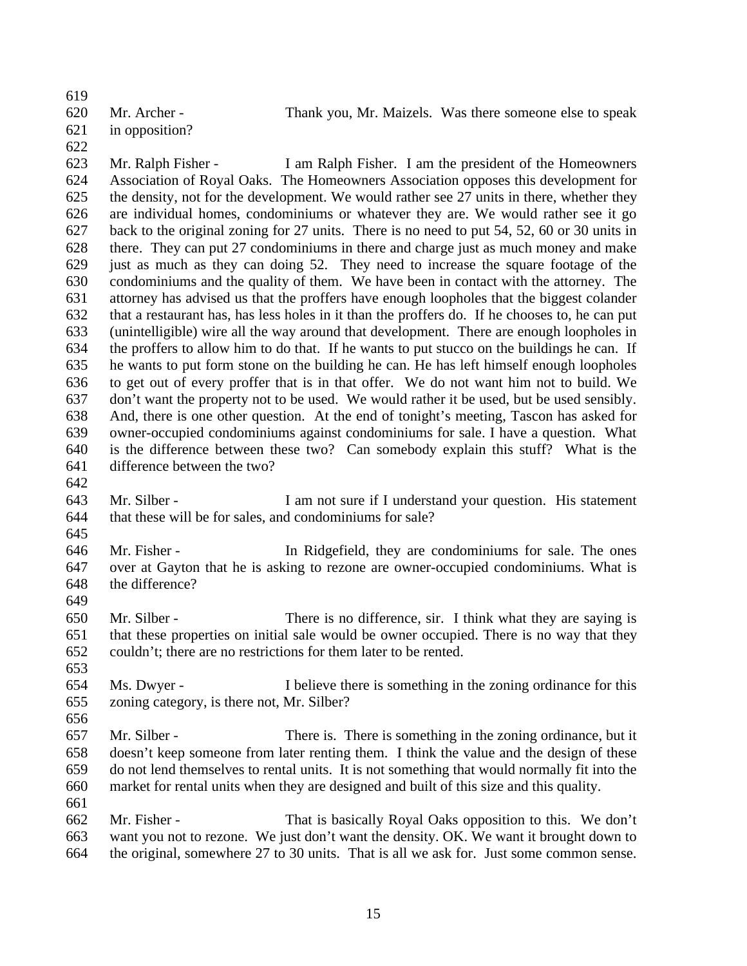Mr. Archer - Thank you, Mr. Maizels. Was there someone else to speak in opposition?

 Mr. Ralph Fisher - I am Ralph Fisher. I am the president of the Homeowners Association of Royal Oaks. The Homeowners Association opposes this development for the density, not for the development. We would rather see 27 units in there, whether they are individual homes, condominiums or whatever they are. We would rather see it go back to the original zoning for 27 units. There is no need to put 54, 52, 60 or 30 units in there. They can put 27 condominiums in there and charge just as much money and make just as much as they can doing 52. They need to increase the square footage of the condominiums and the quality of them. We have been in contact with the attorney. The attorney has advised us that the proffers have enough loopholes that the biggest colander that a restaurant has, has less holes in it than the proffers do. If he chooses to, he can put (unintelligible) wire all the way around that development. There are enough loopholes in the proffers to allow him to do that. If he wants to put stucco on the buildings he can. If he wants to put form stone on the building he can. He has left himself enough loopholes to get out of every proffer that is in that offer. We do not want him not to build. We don't want the property not to be used. We would rather it be used, but be used sensibly. And, there is one other question. At the end of tonight's meeting, Tascon has asked for owner-occupied condominiums against condominiums for sale. I have a question. What is the difference between these two? Can somebody explain this stuff? What is the difference between the two?

 Mr. Silber - I am not sure if I understand your question. His statement that these will be for sales, and condominiums for sale?

 Mr. Fisher - In Ridgefield, they are condominiums for sale. The ones over at Gayton that he is asking to rezone are owner-occupied condominiums. What is the difference? 

 Mr. Silber - There is no difference, sir. I think what they are saying is that these properties on initial sale would be owner occupied. There is no way that they couldn't; there are no restrictions for them later to be rented.

 Ms. Dwyer - I believe there is something in the zoning ordinance for this zoning category, is there not, Mr. Silber?

 Mr. Silber - There is. There is something in the zoning ordinance, but it doesn't keep someone from later renting them. I think the value and the design of these do not lend themselves to rental units. It is not something that would normally fit into the market for rental units when they are designed and built of this size and this quality.

 Mr. Fisher - That is basically Royal Oaks opposition to this. We don't want you not to rezone. We just don't want the density. OK. We want it brought down to the original, somewhere 27 to 30 units. That is all we ask for. Just some common sense.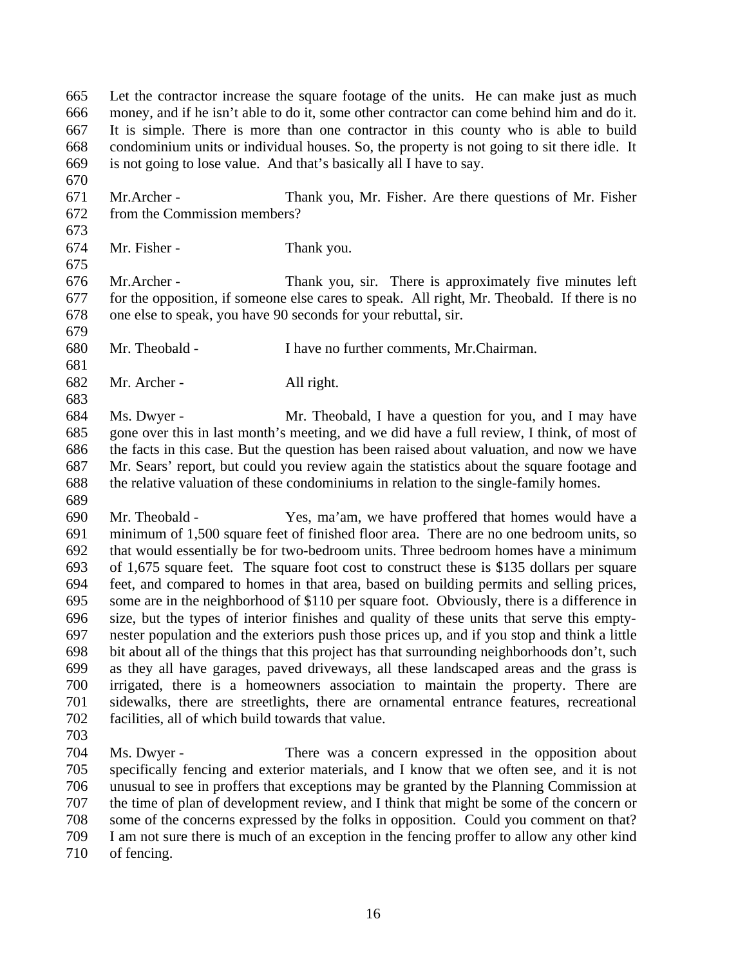Let the contractor increase the square footage of the units. He can make just as much money, and if he isn't able to do it, some other contractor can come behind him and do it. It is simple. There is more than one contractor in this county who is able to build condominium units or individual houses. So, the property is not going to sit there idle. It is not going to lose value. And that's basically all I have to say.

 Mr.Archer - Thank you, Mr. Fisher. Are there questions of Mr. Fisher from the Commission members?

Mr. Fisher - Thank you.

 Mr.Archer - Thank you, sir. There is approximately five minutes left for the opposition, if someone else cares to speak. All right, Mr. Theobald. If there is no one else to speak, you have 90 seconds for your rebuttal, sir. 

Mr. Theobald - I have no further comments, Mr.Chairman.

Mr. Archer - All right.

 Ms. Dwyer - Mr. Theobald, I have a question for you, and I may have gone over this in last month's meeting, and we did have a full review, I think, of most of the facts in this case. But the question has been raised about valuation, and now we have Mr. Sears' report, but could you review again the statistics about the square footage and the relative valuation of these condominiums in relation to the single-family homes. 

 Mr. Theobald - Yes, ma'am, we have proffered that homes would have a minimum of 1,500 square feet of finished floor area. There are no one bedroom units, so that would essentially be for two-bedroom units. Three bedroom homes have a minimum of 1,675 square feet. The square foot cost to construct these is \$135 dollars per square feet, and compared to homes in that area, based on building permits and selling prices, some are in the neighborhood of \$110 per square foot. Obviously, there is a difference in size, but the types of interior finishes and quality of these units that serve this empty- nester population and the exteriors push those prices up, and if you stop and think a little bit about all of the things that this project has that surrounding neighborhoods don't, such as they all have garages, paved driveways, all these landscaped areas and the grass is irrigated, there is a homeowners association to maintain the property. There are sidewalks, there are streetlights, there are ornamental entrance features, recreational facilities, all of which build towards that value.

 Ms. Dwyer - There was a concern expressed in the opposition about specifically fencing and exterior materials, and I know that we often see, and it is not unusual to see in proffers that exceptions may be granted by the Planning Commission at the time of plan of development review, and I think that might be some of the concern or some of the concerns expressed by the folks in opposition. Could you comment on that? I am not sure there is much of an exception in the fencing proffer to allow any other kind of fencing.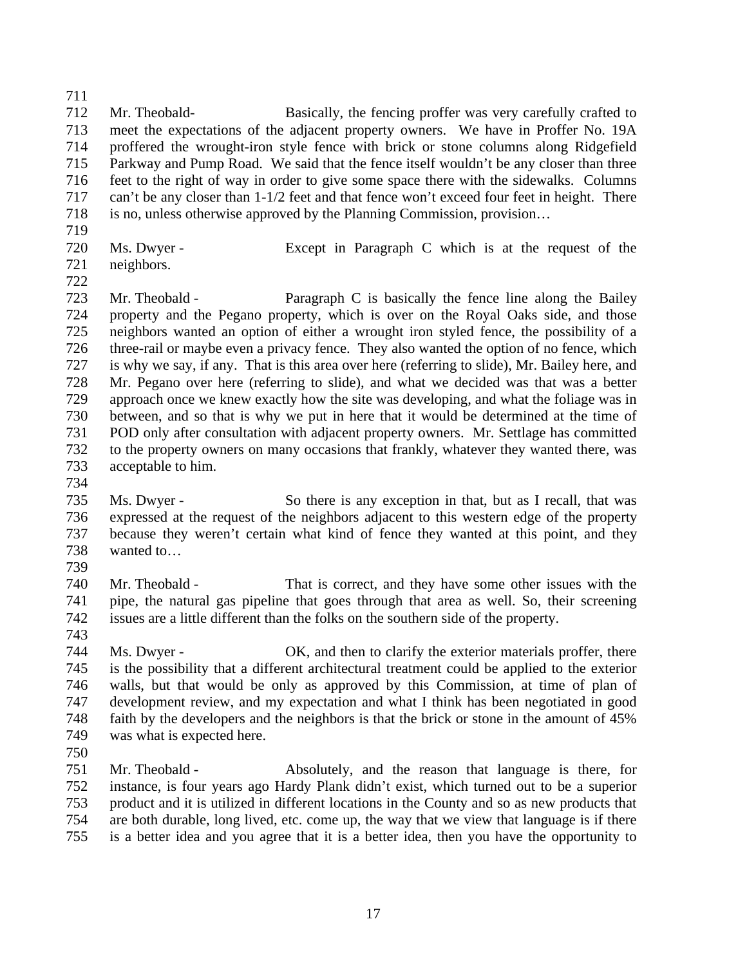Mr. Theobald- Basically, the fencing proffer was very carefully crafted to meet the expectations of the adjacent property owners. We have in Proffer No. 19A proffered the wrought-iron style fence with brick or stone columns along Ridgefield 715 Parkway and Pump Road. We said that the fence itself wouldn't be any closer than three<br>716 feet to the right of way in order to give some space there with the sidewalks. Columns feet to the right of way in order to give some space there with the sidewalks. Columns can't be any closer than 1-1/2 feet and that fence won't exceed four feet in height. There is no, unless otherwise approved by the Planning Commission, provision…

- 
- Ms. Dwyer Except in Paragraph C which is at the request of the
- neighbors.

 Mr. Theobald - Paragraph C is basically the fence line along the Bailey property and the Pegano property, which is over on the Royal Oaks side, and those neighbors wanted an option of either a wrought iron styled fence, the possibility of a three-rail or maybe even a privacy fence. They also wanted the option of no fence, which is why we say, if any. That is this area over here (referring to slide), Mr. Bailey here, and Mr. Pegano over here (referring to slide), and what we decided was that was a better approach once we knew exactly how the site was developing, and what the foliage was in between, and so that is why we put in here that it would be determined at the time of POD only after consultation with adjacent property owners. Mr. Settlage has committed to the property owners on many occasions that frankly, whatever they wanted there, was acceptable to him.

 Ms. Dwyer - So there is any exception in that, but as I recall, that was expressed at the request of the neighbors adjacent to this western edge of the property because they weren't certain what kind of fence they wanted at this point, and they wanted to…

 Mr. Theobald - That is correct, and they have some other issues with the pipe, the natural gas pipeline that goes through that area as well. So, their screening issues are a little different than the folks on the southern side of the property.

 Ms. Dwyer - OK, and then to clarify the exterior materials proffer, there is the possibility that a different architectural treatment could be applied to the exterior walls, but that would be only as approved by this Commission, at time of plan of development review, and my expectation and what I think has been negotiated in good faith by the developers and the neighbors is that the brick or stone in the amount of 45% was what is expected here.

 Mr. Theobald - Absolutely, and the reason that language is there, for instance, is four years ago Hardy Plank didn't exist, which turned out to be a superior product and it is utilized in different locations in the County and so as new products that are both durable, long lived, etc. come up, the way that we view that language is if there is a better idea and you agree that it is a better idea, then you have the opportunity to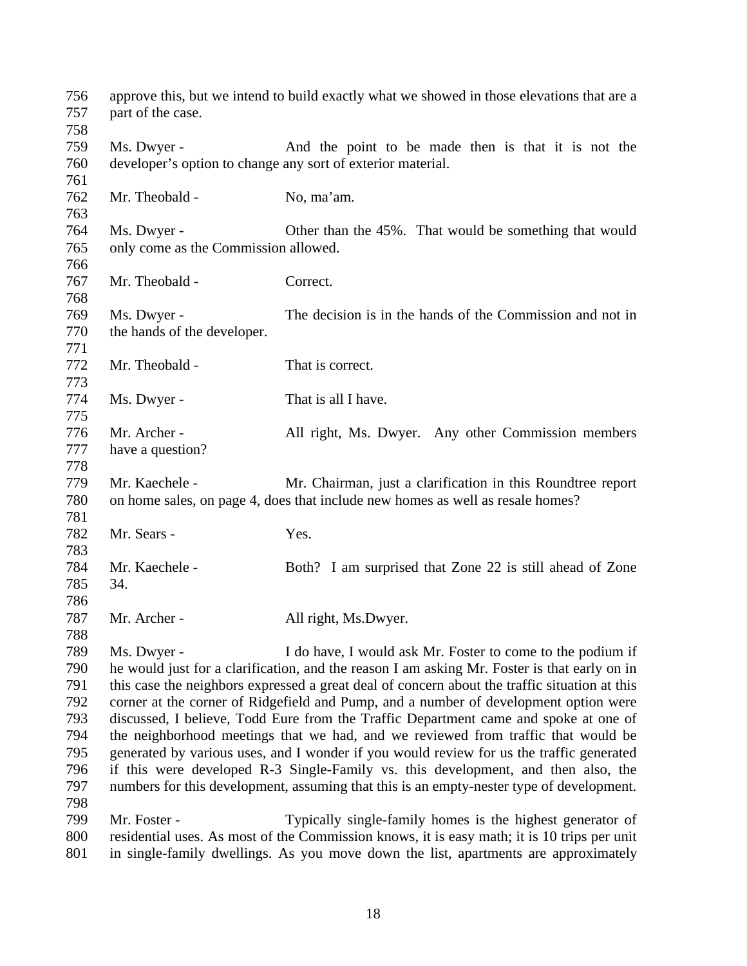| 756<br>757<br>758 | part of the case.                                           | approve this, but we intend to build exactly what we showed in those elevations that are a    |
|-------------------|-------------------------------------------------------------|-----------------------------------------------------------------------------------------------|
| 759               | Ms. Dwyer -                                                 | And the point to be made then is that it is not the                                           |
| 760               | developer's option to change any sort of exterior material. |                                                                                               |
| 761               |                                                             |                                                                                               |
| 762               | Mr. Theobald -                                              | No, ma'am.                                                                                    |
| 763               |                                                             |                                                                                               |
| 764               | Ms. Dwyer -                                                 | Other than the 45%. That would be something that would                                        |
| 765               | only come as the Commission allowed.                        |                                                                                               |
| 766               |                                                             |                                                                                               |
| 767               | Mr. Theobald -                                              | Correct.                                                                                      |
| 768               |                                                             |                                                                                               |
| 769               | Ms. Dwyer -                                                 | The decision is in the hands of the Commission and not in                                     |
| 770               | the hands of the developer.                                 |                                                                                               |
| 771               |                                                             |                                                                                               |
| 772               | Mr. Theobald -                                              | That is correct.                                                                              |
| 773               |                                                             |                                                                                               |
| 774               | Ms. Dwyer -                                                 | That is all I have.                                                                           |
| 775               |                                                             |                                                                                               |
| 776               | Mr. Archer -                                                | All right, Ms. Dwyer. Any other Commission members                                            |
| 777               | have a question?                                            |                                                                                               |
| 778               |                                                             |                                                                                               |
| 779               | Mr. Kaechele -                                              | Mr. Chairman, just a clarification in this Roundtree report                                   |
| 780               |                                                             | on home sales, on page 4, does that include new homes as well as resale homes?                |
| 781               |                                                             |                                                                                               |
| 782               | Mr. Sears -                                                 | Yes.                                                                                          |
| 783               |                                                             |                                                                                               |
| 784               | Mr. Kaechele -                                              | Both? I am surprised that Zone 22 is still ahead of Zone                                      |
| 785               | 34.                                                         |                                                                                               |
| 786               |                                                             |                                                                                               |
| 787               | Mr. Archer -                                                | All right, Ms.Dwyer.                                                                          |
| 788               |                                                             |                                                                                               |
| 789               | Ms. Dwyer -                                                 | I do have, I would ask Mr. Foster to come to the podium if                                    |
| 790               |                                                             | he would just for a clarification, and the reason I am asking Mr. Foster is that early on in  |
| 791               |                                                             | this case the neighbors expressed a great deal of concern about the traffic situation at this |
| 792               |                                                             | corner at the corner of Ridgefield and Pump, and a number of development option were          |
| 793               |                                                             | discussed, I believe, Todd Eure from the Traffic Department came and spoke at one of          |
| 794               |                                                             | the neighborhood meetings that we had, and we reviewed from traffic that would be             |
| 795               |                                                             | generated by various uses, and I wonder if you would review for us the traffic generated      |
| 796               |                                                             | if this were developed R-3 Single-Family vs. this development, and then also, the             |
| 797               |                                                             | numbers for this development, assuming that this is an empty-nester type of development.      |
| 798               |                                                             |                                                                                               |
| 799               | Mr. Foster -                                                | Typically single-family homes is the highest generator of                                     |
| 800               |                                                             | residential uses. As most of the Commission knows, it is easy math; it is 10 trips per unit   |
| 801               |                                                             | in single-family dwellings. As you move down the list, apartments are approximately           |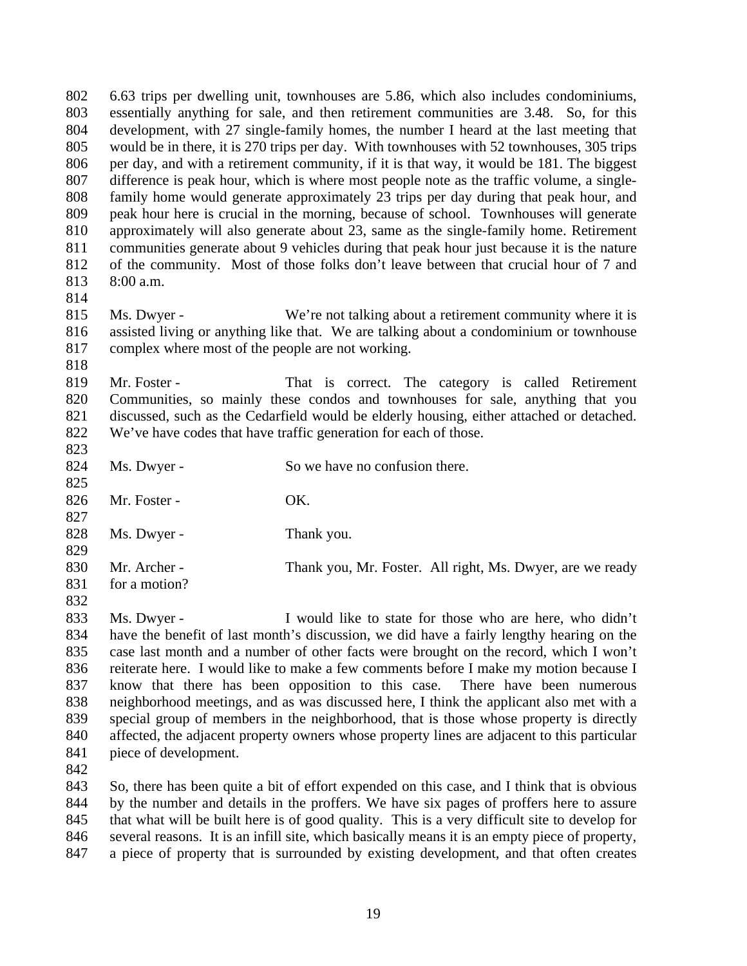6.63 trips per dwelling unit, townhouses are 5.86, which also includes condominiums, essentially anything for sale, and then retirement communities are 3.48. So, for this development, with 27 single-family homes, the number I heard at the last meeting that would be in there, it is 270 trips per day. With townhouses with 52 townhouses, 305 trips per day, and with a retirement community, if it is that way, it would be 181. The biggest difference is peak hour, which is where most people note as the traffic volume, a single- family home would generate approximately 23 trips per day during that peak hour, and peak hour here is crucial in the morning, because of school. Townhouses will generate approximately will also generate about 23, same as the single-family home. Retirement communities generate about 9 vehicles during that peak hour just because it is the nature of the community. Most of those folks don't leave between that crucial hour of 7 and 8:00 a.m. 

- 815 Ms. Dwyer We're not talking about a retirement community where it is assisted living or anything like that. We are talking about a condominium or townhouse complex where most of the people are not working.
- 

819 Mr. Foster - That is correct. The category is called Retirement Communities, so mainly these condos and townhouses for sale, anything that you discussed, such as the Cedarfield would be elderly housing, either attached or detached. We've have codes that have traffic generation for each of those.

 824 Ms. Dwyer - So we have no confusion there. 826 Mr. Foster - OK. 828 Ms. Dwyer - Thank you. 830 Mr. Archer - Thank you, Mr. Foster. All right, Ms. Dwyer, are we ready for a motion? 

 Ms. Dwyer - I would like to state for those who are here, who didn't have the benefit of last month's discussion, we did have a fairly lengthy hearing on the case last month and a number of other facts were brought on the record, which I won't reiterate here. I would like to make a few comments before I make my motion because I know that there has been opposition to this case. There have been numerous neighborhood meetings, and as was discussed here, I think the applicant also met with a special group of members in the neighborhood, that is those whose property is directly affected, the adjacent property owners whose property lines are adjacent to this particular piece of development.

 So, there has been quite a bit of effort expended on this case, and I think that is obvious by the number and details in the proffers. We have six pages of proffers here to assure that what will be built here is of good quality. This is a very difficult site to develop for several reasons. It is an infill site, which basically means it is an empty piece of property, a piece of property that is surrounded by existing development, and that often creates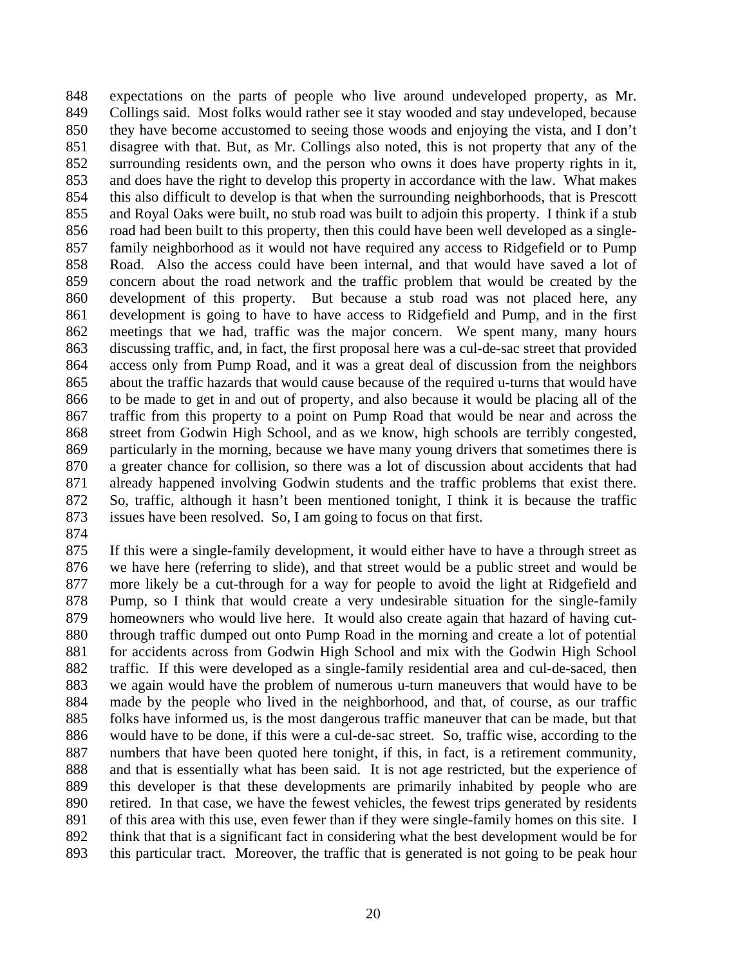expectations on the parts of people who live around undeveloped property, as Mr. Collings said. Most folks would rather see it stay wooded and stay undeveloped, because they have become accustomed to seeing those woods and enjoying the vista, and I don't disagree with that. But, as Mr. Collings also noted, this is not property that any of the surrounding residents own, and the person who owns it does have property rights in it, and does have the right to develop this property in accordance with the law. What makes this also difficult to develop is that when the surrounding neighborhoods, that is Prescott and Royal Oaks were built, no stub road was built to adjoin this property. I think if a stub road had been built to this property, then this could have been well developed as a single- family neighborhood as it would not have required any access to Ridgefield or to Pump Road. Also the access could have been internal, and that would have saved a lot of concern about the road network and the traffic problem that would be created by the development of this property. But because a stub road was not placed here, any development is going to have to have access to Ridgefield and Pump, and in the first meetings that we had, traffic was the major concern. We spent many, many hours discussing traffic, and, in fact, the first proposal here was a cul-de-sac street that provided access only from Pump Road, and it was a great deal of discussion from the neighbors about the traffic hazards that would cause because of the required u-turns that would have to be made to get in and out of property, and also because it would be placing all of the traffic from this property to a point on Pump Road that would be near and across the street from Godwin High School, and as we know, high schools are terribly congested, particularly in the morning, because we have many young drivers that sometimes there is a greater chance for collision, so there was a lot of discussion about accidents that had already happened involving Godwin students and the traffic problems that exist there. So, traffic, although it hasn't been mentioned tonight, I think it is because the traffic issues have been resolved. So, I am going to focus on that first.

 If this were a single-family development, it would either have to have a through street as we have here (referring to slide), and that street would be a public street and would be more likely be a cut-through for a way for people to avoid the light at Ridgefield and Pump, so I think that would create a very undesirable situation for the single-family homeowners who would live here. It would also create again that hazard of having cut- through traffic dumped out onto Pump Road in the morning and create a lot of potential for accidents across from Godwin High School and mix with the Godwin High School traffic. If this were developed as a single-family residential area and cul-de-saced, then we again would have the problem of numerous u-turn maneuvers that would have to be made by the people who lived in the neighborhood, and that, of course, as our traffic folks have informed us, is the most dangerous traffic maneuver that can be made, but that would have to be done, if this were a cul-de-sac street. So, traffic wise, according to the numbers that have been quoted here tonight, if this, in fact, is a retirement community, and that is essentially what has been said. It is not age restricted, but the experience of this developer is that these developments are primarily inhabited by people who are retired. In that case, we have the fewest vehicles, the fewest trips generated by residents of this area with this use, even fewer than if they were single-family homes on this site. I think that that is a significant fact in considering what the best development would be for this particular tract. Moreover, the traffic that is generated is not going to be peak hour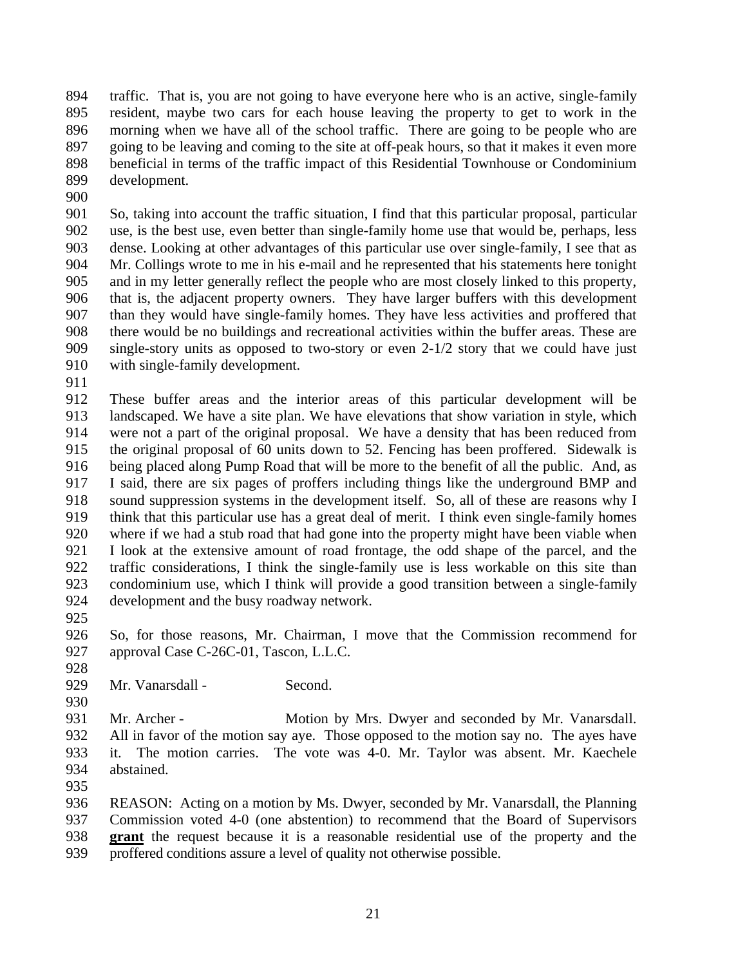traffic. That is, you are not going to have everyone here who is an active, single-family resident, maybe two cars for each house leaving the property to get to work in the morning when we have all of the school traffic. There are going to be people who are going to be leaving and coming to the site at off-peak hours, so that it makes it even more beneficial in terms of the traffic impact of this Residential Townhouse or Condominium development.

 So, taking into account the traffic situation, I find that this particular proposal, particular use, is the best use, even better than single-family home use that would be, perhaps, less dense. Looking at other advantages of this particular use over single-family, I see that as Mr. Collings wrote to me in his e-mail and he represented that his statements here tonight and in my letter generally reflect the people who are most closely linked to this property, that is, the adjacent property owners. They have larger buffers with this development than they would have single-family homes. They have less activities and proffered that there would be no buildings and recreational activities within the buffer areas. These are single-story units as opposed to two-story or even 2-1/2 story that we could have just with single-family development.

 These buffer areas and the interior areas of this particular development will be landscaped. We have a site plan. We have elevations that show variation in style, which were not a part of the original proposal. We have a density that has been reduced from the original proposal of 60 units down to 52. Fencing has been proffered. Sidewalk is being placed along Pump Road that will be more to the benefit of all the public. And, as I said, there are six pages of proffers including things like the underground BMP and sound suppression systems in the development itself. So, all of these are reasons why I think that this particular use has a great deal of merit. I think even single-family homes where if we had a stub road that had gone into the property might have been viable when I look at the extensive amount of road frontage, the odd shape of the parcel, and the traffic considerations, I think the single-family use is less workable on this site than condominium use, which I think will provide a good transition between a single-family development and the busy roadway network.

 So, for those reasons, Mr. Chairman, I move that the Commission recommend for 927 approval Case C-26C-01, Tascon, L.L.C.

928<br>929

- Mr. Vanarsdall Second.
- 931 Mr. Archer Motion by Mrs. Dwyer and seconded by Mr. Vanarsdall. All in favor of the motion say aye. Those opposed to the motion say no. The ayes have it. The motion carries. The vote was 4-0. Mr. Taylor was absent. Mr. Kaechele abstained.
- 

 REASON: Acting on a motion by Ms. Dwyer, seconded by Mr. Vanarsdall, the Planning Commission voted 4-0 (one abstention) to recommend that the Board of Supervisors **grant** the request because it is a reasonable residential use of the property and the proffered conditions assure a level of quality not otherwise possible.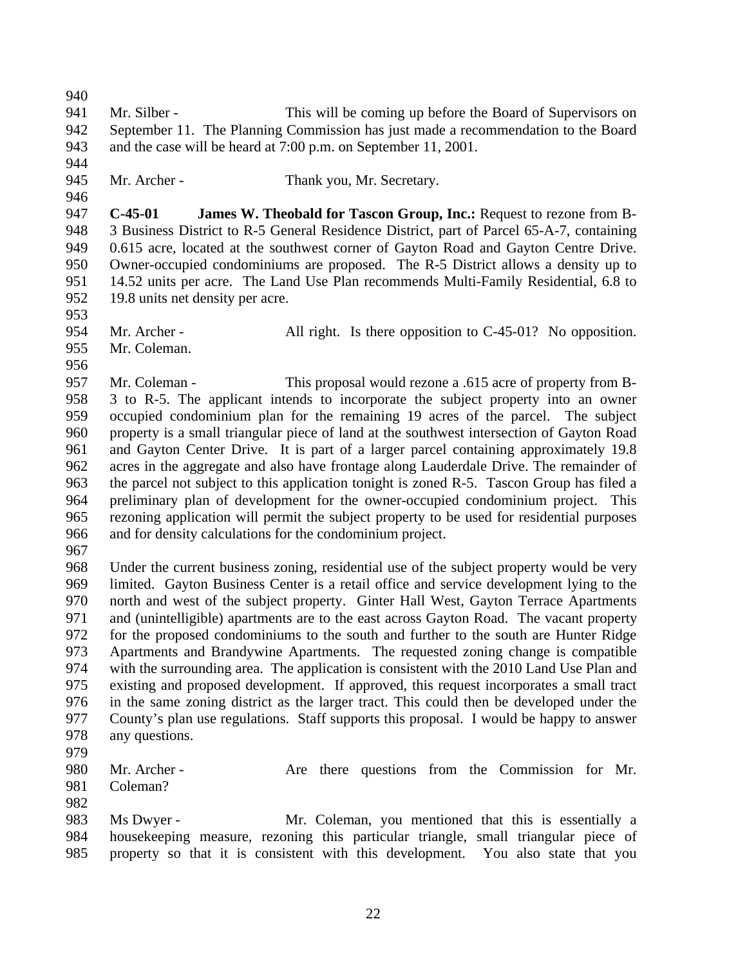Mr. Silber - This will be coming up before the Board of Supervisors on September 11. The Planning Commission has just made a recommendation to the Board and the case will be heard at 7:00 p.m. on September 11, 2001.

945 Mr. Archer - Thank you, Mr. Secretary.

 **C-45-01 James W. Theobald for Tascon Group, Inc.:** Request to rezone from B- 3 Business District to R-5 General Residence District, part of Parcel 65-A-7, containing 0.615 acre, located at the southwest corner of Gayton Road and Gayton Centre Drive. Owner-occupied condominiums are proposed. The R-5 District allows a density up to 14.52 units per acre. The Land Use Plan recommends Multi-Family Residential, 6.8 to 19.8 units net density per acre.

- 
- 954 Mr. Archer All right. Is there opposition to C-45-01? No opposition. Mr. Coleman.
- 

 Mr. Coleman - This proposal would rezone a .615 acre of property from B- 3 to R-5. The applicant intends to incorporate the subject property into an owner occupied condominium plan for the remaining 19 acres of the parcel. The subject property is a small triangular piece of land at the southwest intersection of Gayton Road and Gayton Center Drive. It is part of a larger parcel containing approximately 19.8 acres in the aggregate and also have frontage along Lauderdale Drive. The remainder of the parcel not subject to this application tonight is zoned R-5. Tascon Group has filed a preliminary plan of development for the owner-occupied condominium project. This rezoning application will permit the subject property to be used for residential purposes and for density calculations for the condominium project.

 Under the current business zoning, residential use of the subject property would be very limited. Gayton Business Center is a retail office and service development lying to the north and west of the subject property. Ginter Hall West, Gayton Terrace Apartments and (unintelligible) apartments are to the east across Gayton Road. The vacant property for the proposed condominiums to the south and further to the south are Hunter Ridge Apartments and Brandywine Apartments. The requested zoning change is compatible 974 with the surrounding area. The application is consistent with the 2010 Land Use Plan and<br>975 existing and proposed development. If approved, this request incorporates a small tract existing and proposed development. If approved, this request incorporates a small tract in the same zoning district as the larger tract. This could then be developed under the County's plan use regulations. Staff supports this proposal. I would be happy to answer any questions.

980 Mr. Archer - Are there questions from the Commission for Mr. Coleman?

 Ms Dwyer - Mr. Coleman, you mentioned that this is essentially a housekeeping measure, rezoning this particular triangle, small triangular piece of property so that it is consistent with this development. You also state that you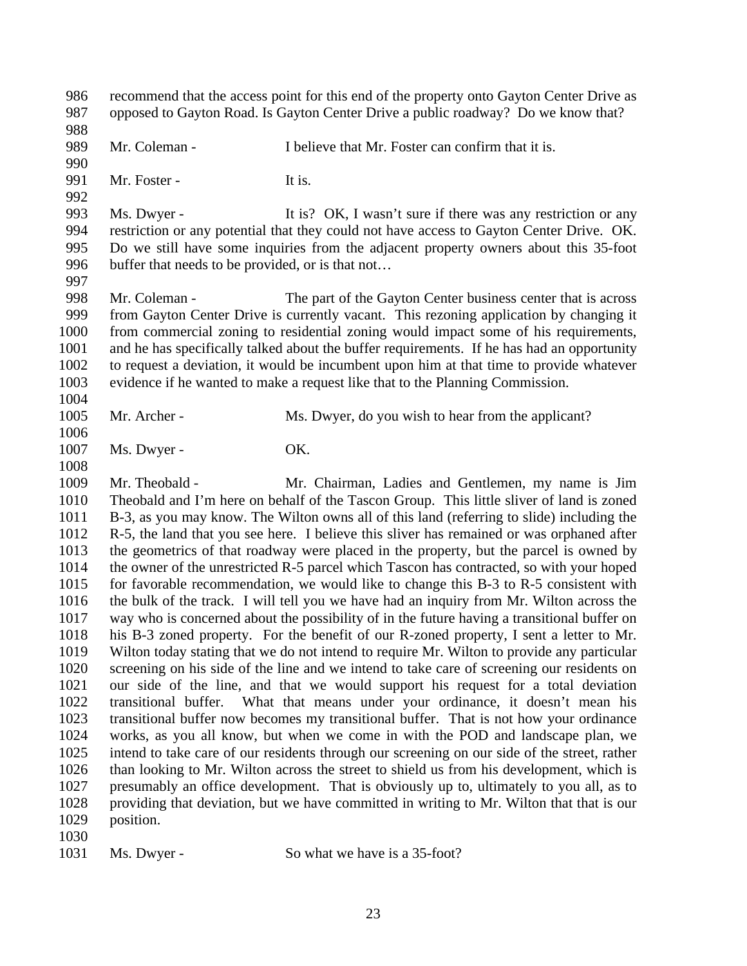recommend that the access point for this end of the property onto Gayton Center Drive as opposed to Gayton Road. Is Gayton Center Drive a public roadway? Do we know that? 989 Mr. Coleman - I believe that Mr. Foster can confirm that it is. 991 Mr. Foster - It is. 993 Ms. Dwyer - It is? OK, I wasn't sure if there was any restriction or any restriction or any potential that they could not have access to Gayton Center Drive. OK. Do we still have some inquiries from the adjacent property owners about this 35-foot 996 buffer that needs to be provided, or is that not... Mr. Coleman - The part of the Gayton Center business center that is across from Gayton Center Drive is currently vacant. This rezoning application by changing it from commercial zoning to residential zoning would impact some of his requirements, and he has specifically talked about the buffer requirements. If he has had an opportunity to request a deviation, it would be incumbent upon him at that time to provide whatever evidence if he wanted to make a request like that to the Planning Commission. 1005 Mr. Archer - Ms. Dwyer, do you wish to hear from the applicant? 1007 Ms. Dwyer - **OK.**  Mr. Theobald - Mr. Chairman, Ladies and Gentlemen, my name is Jim Theobald and I'm here on behalf of the Tascon Group. This little sliver of land is zoned B-3, as you may know. The Wilton owns all of this land (referring to slide) including the R-5, the land that you see here. I believe this sliver has remained or was orphaned after the geometrics of that roadway were placed in the property, but the parcel is owned by the owner of the unrestricted R-5 parcel which Tascon has contracted, so with your hoped for favorable recommendation, we would like to change this B-3 to R-5 consistent with the bulk of the track. I will tell you we have had an inquiry from Mr. Wilton across the way who is concerned about the possibility of in the future having a transitional buffer on his B-3 zoned property. For the benefit of our R-zoned property, I sent a letter to Mr. Wilton today stating that we do not intend to require Mr. Wilton to provide any particular screening on his side of the line and we intend to take care of screening our residents on our side of the line, and that we would support his request for a total deviation transitional buffer. What that means under your ordinance, it doesn't mean his transitional buffer now becomes my transitional buffer. That is not how your ordinance works, as you all know, but when we come in with the POD and landscape plan, we intend to take care of our residents through our screening on our side of the street, rather than looking to Mr. Wilton across the street to shield us from his development, which is presumably an office development. That is obviously up to, ultimately to you all, as to providing that deviation, but we have committed in writing to Mr. Wilton that that is our position. 

Ms. Dwyer - So what we have is a 35-foot?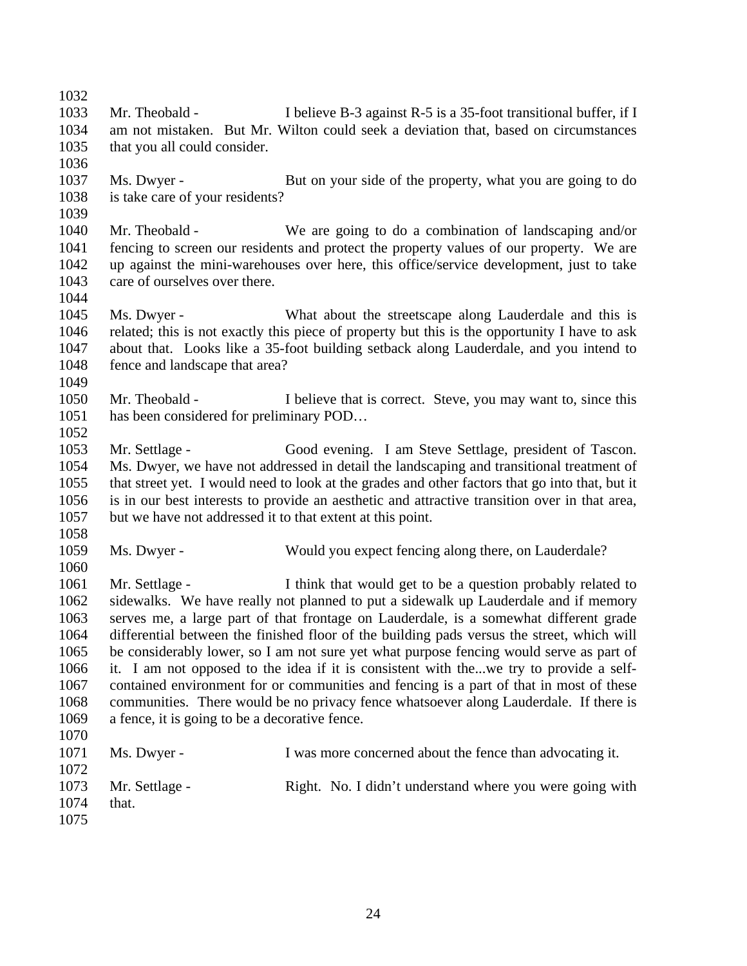Mr. Theobald - I believe B-3 against R-5 is a 35-foot transitional buffer, if I am not mistaken. But Mr. Wilton could seek a deviation that, based on circumstances that you all could consider. Ms. Dwyer - But on your side of the property, what you are going to do is take care of your residents? Mr. Theobald - We are going to do a combination of landscaping and/or fencing to screen our residents and protect the property values of our property. We are up against the mini-warehouses over here, this office/service development, just to take care of ourselves over there. Ms. Dwyer - What about the streetscape along Lauderdale and this is related; this is not exactly this piece of property but this is the opportunity I have to ask about that. Looks like a 35-foot building setback along Lauderdale, and you intend to fence and landscape that area? 1050 Mr. Theobald - I believe that is correct. Steve, you may want to, since this has been considered for preliminary POD… Mr. Settlage - Good evening. I am Steve Settlage, president of Tascon. Ms. Dwyer, we have not addressed in detail the landscaping and transitional treatment of that street yet. I would need to look at the grades and other factors that go into that, but it is in our best interests to provide an aesthetic and attractive transition over in that area, but we have not addressed it to that extent at this point. Ms. Dwyer - Would you expect fencing along there, on Lauderdale? Mr. Settlage - I think that would get to be a question probably related to sidewalks. We have really not planned to put a sidewalk up Lauderdale and if memory serves me, a large part of that frontage on Lauderdale, is a somewhat different grade differential between the finished floor of the building pads versus the street, which will be considerably lower, so I am not sure yet what purpose fencing would serve as part of it. I am not opposed to the idea if it is consistent with the...we try to provide a self- contained environment for or communities and fencing is a part of that in most of these communities. There would be no privacy fence whatsoever along Lauderdale. If there is a fence, it is going to be a decorative fence. Ms. Dwyer - I was more concerned about the fence than advocating it. 1073 Mr. Settlage - Right. No. I didn't understand where you were going with that.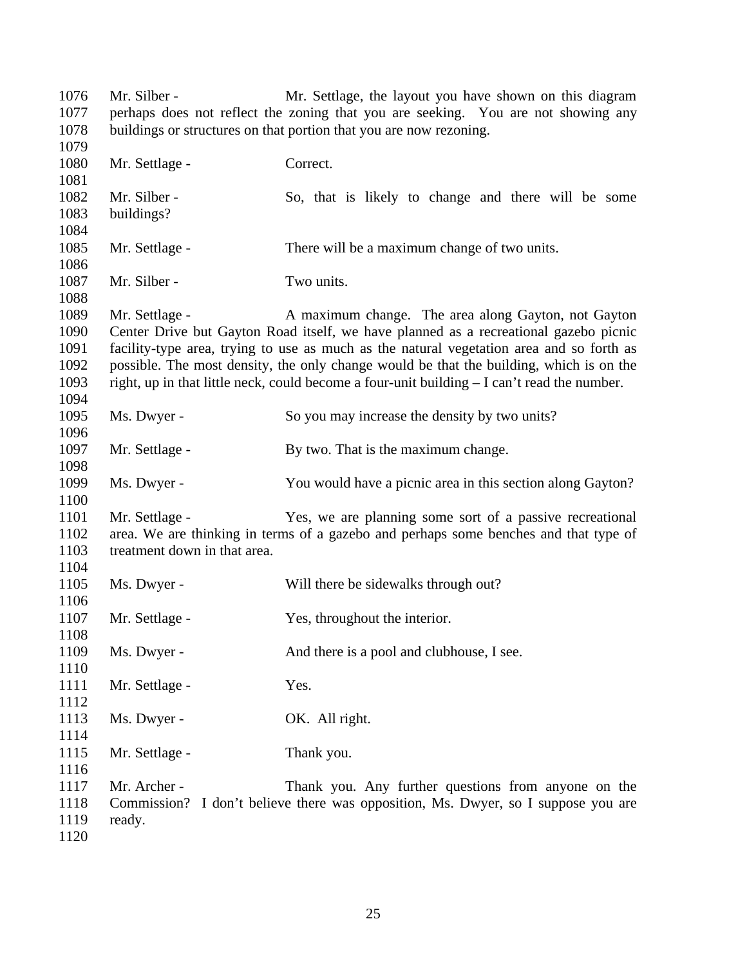Mr. Silber - Mr. Settlage, the layout you have shown on this diagram perhaps does not reflect the zoning that you are seeking. You are not showing any buildings or structures on that portion that you are now rezoning. 1080 Mr. Settlage - Correct. 1082 Mr. Silber - So, that is likely to change and there will be some buildings? Mr. Settlage - There will be a maximum change of two units. 1087 Mr. Silber - Two units. 1089 Mr. Settlage - A maximum change. The area along Gayton, not Gayton Center Drive but Gayton Road itself, we have planned as a recreational gazebo picnic facility-type area, trying to use as much as the natural vegetation area and so forth as possible. The most density, the only change would be that the building, which is on the right, up in that little neck, could become a four-unit building – I can't read the number. Ms. Dwyer - So you may increase the density by two units? 1097 Mr. Settlage - By two. That is the maximum change. Ms. Dwyer - You would have a picnic area in this section along Gayton? Mr. Settlage - Yes, we are planning some sort of a passive recreational area. We are thinking in terms of a gazebo and perhaps some benches and that type of treatment down in that area. Ms. Dwyer - Will there be sidewalks through out? 1107 Mr. Settlage - Yes, throughout the interior. 1109 Ms. Dwyer - And there is a pool and clubhouse, I see. 1111 Mr. Settlage - Yes. 1113 Ms. Dwyer - OK. All right. 1115 Mr. Settlage - Thank you. Mr. Archer - Thank you. Any further questions from anyone on the Commission? I don't believe there was opposition, Ms. Dwyer, so I suppose you are ready.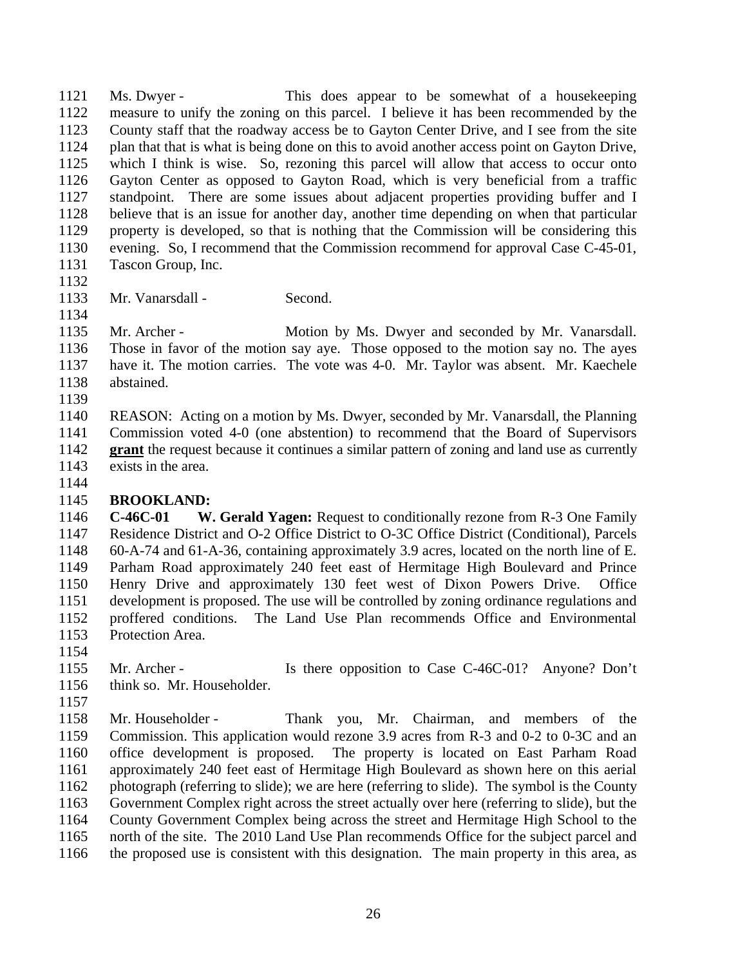Ms. Dwyer - This does appear to be somewhat of a housekeeping measure to unify the zoning on this parcel. I believe it has been recommended by the County staff that the roadway access be to Gayton Center Drive, and I see from the site plan that that is what is being done on this to avoid another access point on Gayton Drive, which I think is wise. So, rezoning this parcel will allow that access to occur onto Gayton Center as opposed to Gayton Road, which is very beneficial from a traffic standpoint. There are some issues about adjacent properties providing buffer and I believe that is an issue for another day, another time depending on when that particular property is developed, so that is nothing that the Commission will be considering this 1130 evening. So, I recommend that the Commission recommend for approval Case C-45-01, 1131 Tascon Group. Inc. Tascon Group, Inc.

Mr. Vanarsdall - Second.

1135 Mr. Archer - Motion by Ms. Dwyer and seconded by Mr. Vanarsdall. Those in favor of the motion say aye. Those opposed to the motion say no. The ayes have it. The motion carries. The vote was 4-0. Mr. Taylor was absent. Mr. Kaechele abstained.

 REASON: Acting on a motion by Ms. Dwyer, seconded by Mr. Vanarsdall, the Planning Commission voted 4-0 (one abstention) to recommend that the Board of Supervisors **grant** the request because it continues a similar pattern of zoning and land use as currently exists in the area.

### **BROOKLAND:**

 **C-46C-01 W. Gerald Yagen:** Request to conditionally rezone from R-3 One Family Residence District and O-2 Office District to O-3C Office District (Conditional), Parcels 60-A-74 and 61-A-36, containing approximately 3.9 acres, located on the north line of E. Parham Road approximately 240 feet east of Hermitage High Boulevard and Prince Henry Drive and approximately 130 feet west of Dixon Powers Drive. Office development is proposed. The use will be controlled by zoning ordinance regulations and proffered conditions. The Land Use Plan recommends Office and Environmental Protection Area.

- 
- 1155 Mr. Archer Is there opposition to Case C-46C-01? Anyone? Don't think so. Mr. Householder.
- 

 Mr. Householder - Thank you, Mr. Chairman, and members of the Commission. This application would rezone 3.9 acres from R-3 and 0-2 to 0-3C and an office development is proposed. The property is located on East Parham Road approximately 240 feet east of Hermitage High Boulevard as shown here on this aerial photograph (referring to slide); we are here (referring to slide). The symbol is the County Government Complex right across the street actually over here (referring to slide), but the County Government Complex being across the street and Hermitage High School to the north of the site. The 2010 Land Use Plan recommends Office for the subject parcel and the proposed use is consistent with this designation. The main property in this area, as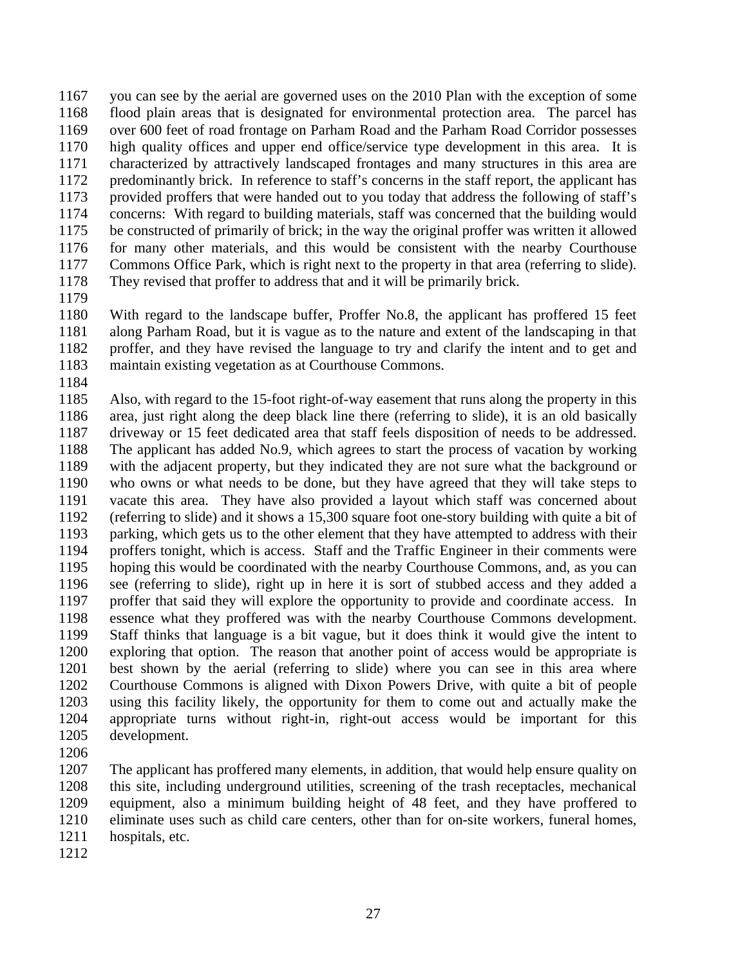you can see by the aerial are governed uses on the 2010 Plan with the exception of some flood plain areas that is designated for environmental protection area. The parcel has over 600 feet of road frontage on Parham Road and the Parham Road Corridor possesses high quality offices and upper end office/service type development in this area. It is characterized by attractively landscaped frontages and many structures in this area are predominantly brick. In reference to staff's concerns in the staff report, the applicant has provided proffers that were handed out to you today that address the following of staff's concerns: With regard to building materials, staff was concerned that the building would be constructed of primarily of brick; in the way the original proffer was written it allowed for many other materials, and this would be consistent with the nearby Courthouse Commons Office Park, which is right next to the property in that area (referring to slide). They revised that proffer to address that and it will be primarily brick.

 With regard to the landscape buffer, Proffer No.8, the applicant has proffered 15 feet along Parham Road, but it is vague as to the nature and extent of the landscaping in that proffer, and they have revised the language to try and clarify the intent and to get and maintain existing vegetation as at Courthouse Commons.

 Also, with regard to the 15-foot right-of-way easement that runs along the property in this area, just right along the deep black line there (referring to slide), it is an old basically driveway or 15 feet dedicated area that staff feels disposition of needs to be addressed. The applicant has added No.9, which agrees to start the process of vacation by working with the adjacent property, but they indicated they are not sure what the background or who owns or what needs to be done, but they have agreed that they will take steps to vacate this area. They have also provided a layout which staff was concerned about (referring to slide) and it shows a 15,300 square foot one-story building with quite a bit of parking, which gets us to the other element that they have attempted to address with their proffers tonight, which is access. Staff and the Traffic Engineer in their comments were hoping this would be coordinated with the nearby Courthouse Commons, and, as you can see (referring to slide), right up in here it is sort of stubbed access and they added a proffer that said they will explore the opportunity to provide and coordinate access. In essence what they proffered was with the nearby Courthouse Commons development. Staff thinks that language is a bit vague, but it does think it would give the intent to exploring that option. The reason that another point of access would be appropriate is best shown by the aerial (referring to slide) where you can see in this area where Courthouse Commons is aligned with Dixon Powers Drive, with quite a bit of people using this facility likely, the opportunity for them to come out and actually make the appropriate turns without right-in, right-out access would be important for this development.

 The applicant has proffered many elements, in addition, that would help ensure quality on this site, including underground utilities, screening of the trash receptacles, mechanical equipment, also a minimum building height of 48 feet, and they have proffered to eliminate uses such as child care centers, other than for on-site workers, funeral homes, hospitals, etc.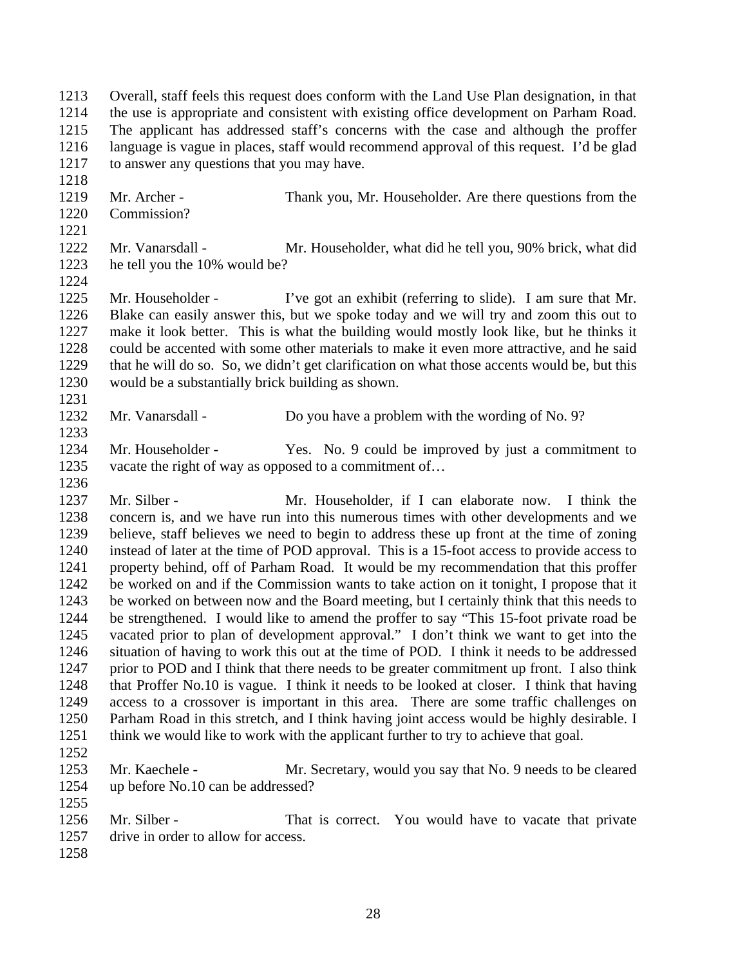| 1213<br>1214 |                                            | Overall, staff feels this request does conform with the Land Use Plan designation, in that<br>the use is appropriate and consistent with existing office development on Parham Road. |
|--------------|--------------------------------------------|--------------------------------------------------------------------------------------------------------------------------------------------------------------------------------------|
| 1215         |                                            | The applicant has addressed staff's concerns with the case and although the proffer                                                                                                  |
| 1216         |                                            | language is vague in places, staff would recommend approval of this request. I'd be glad                                                                                             |
| 1217         | to answer any questions that you may have. |                                                                                                                                                                                      |
| 1218         |                                            |                                                                                                                                                                                      |
| 1219         | Mr. Archer -                               | Thank you, Mr. Householder. Are there questions from the                                                                                                                             |
| 1220         | Commission?                                |                                                                                                                                                                                      |
| 1221         |                                            |                                                                                                                                                                                      |

- Mr. Vanarsdall Mr. Householder, what did he tell you, 90% brick, what did he tell you the 10% would be?
- Mr. Householder I've got an exhibit (referring to slide). I am sure that Mr. Blake can easily answer this, but we spoke today and we will try and zoom this out to make it look better. This is what the building would mostly look like, but he thinks it could be accented with some other materials to make it even more attractive, and he said that he will do so. So, we didn't get clarification on what those accents would be, but this would be a substantially brick building as shown.
- 1232 Mr. Vanarsdall Do you have a problem with the wording of No. 9?
- Mr. Householder Yes. No. 9 could be improved by just a commitment to 1235 vacate the right of way as opposed to a commitment of...
- Mr. Silber Mr. Householder, if I can elaborate now. I think the concern is, and we have run into this numerous times with other developments and we believe, staff believes we need to begin to address these up front at the time of zoning instead of later at the time of POD approval. This is a 15-foot access to provide access to property behind, off of Parham Road. It would be my recommendation that this proffer be worked on and if the Commission wants to take action on it tonight, I propose that it be worked on between now and the Board meeting, but I certainly think that this needs to be strengthened. I would like to amend the proffer to say "This 15-foot private road be vacated prior to plan of development approval." I don't think we want to get into the situation of having to work this out at the time of POD. I think it needs to be addressed 1247 prior to POD and I think that there needs to be greater commitment up front. I also think that Proffer No.10 is vague. I think it needs to be looked at closer. I think that having access to a crossover is important in this area. There are some traffic challenges on Parham Road in this stretch, and I think having joint access would be highly desirable. I think we would like to work with the applicant further to try to achieve that goal.
- 

- Mr. Kaechele Mr. Secretary, would you say that No. 9 needs to be cleared up before No.10 can be addressed?
- 1256 Mr. Silber That is correct. You would have to vacate that private 1257 drive in order to allow for access.
-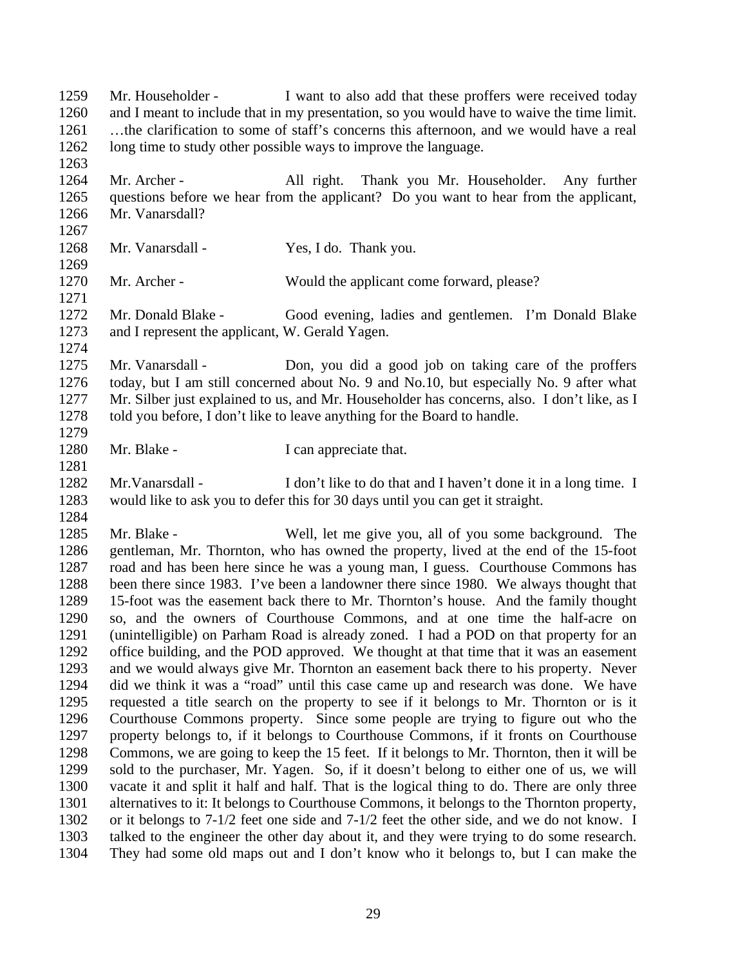Mr. Householder - I want to also add that these proffers were received today and I meant to include that in my presentation, so you would have to waive the time limit. …the clarification to some of staff's concerns this afternoon, and we would have a real long time to study other possible ways to improve the language. 1264 Mr. Archer - All right. Thank you Mr. Householder. Any further questions before we hear from the applicant? Do you want to hear from the applicant, Mr. Vanarsdall? 1268 Mr. Vanarsdall - Yes, I do. Thank you. 1270 Mr. Archer - Would the applicant come forward, please? Mr. Donald Blake - Good evening, ladies and gentlemen. I'm Donald Blake and I represent the applicant, W. Gerald Yagen. Mr. Vanarsdall - Don, you did a good job on taking care of the proffers today, but I am still concerned about No. 9 and No.10, but especially No. 9 after what Mr. Silber just explained to us, and Mr. Householder has concerns, also. I don't like, as I told you before, I don't like to leave anything for the Board to handle. 1280 Mr. Blake - I can appreciate that. Mr.Vanarsdall - I don't like to do that and I haven't done it in a long time. I would like to ask you to defer this for 30 days until you can get it straight. Mr. Blake - Well, let me give you, all of you some background. The gentleman, Mr. Thornton, who has owned the property, lived at the end of the 15-foot road and has been here since he was a young man, I guess. Courthouse Commons has been there since 1983. I've been a landowner there since 1980. We always thought that 15-foot was the easement back there to Mr. Thornton's house. And the family thought so, and the owners of Courthouse Commons, and at one time the half-acre on (unintelligible) on Parham Road is already zoned. I had a POD on that property for an office building, and the POD approved. We thought at that time that it was an easement and we would always give Mr. Thornton an easement back there to his property. Never did we think it was a "road" until this case came up and research was done. We have requested a title search on the property to see if it belongs to Mr. Thornton or is it Courthouse Commons property. Since some people are trying to figure out who the property belongs to, if it belongs to Courthouse Commons, if it fronts on Courthouse Commons, we are going to keep the 15 feet. If it belongs to Mr. Thornton, then it will be sold to the purchaser, Mr. Yagen. So, if it doesn't belong to either one of us, we will vacate it and split it half and half. That is the logical thing to do. There are only three alternatives to it: It belongs to Courthouse Commons, it belongs to the Thornton property, or it belongs to 7-1/2 feet one side and 7-1/2 feet the other side, and we do not know. I talked to the engineer the other day about it, and they were trying to do some research. They had some old maps out and I don't know who it belongs to, but I can make the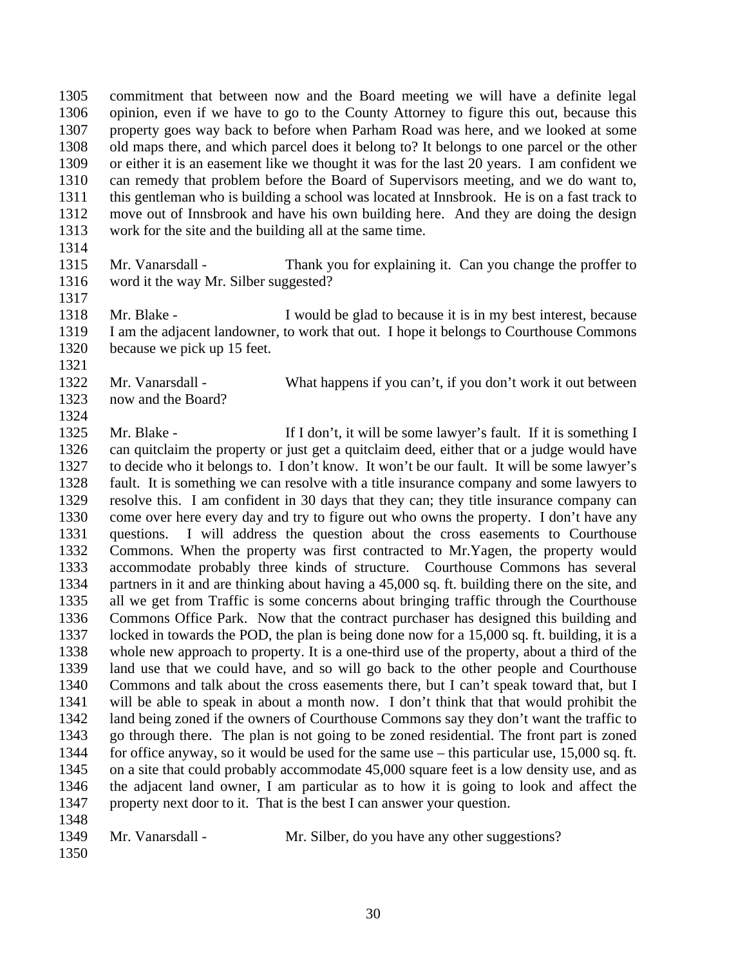commitment that between now and the Board meeting we will have a definite legal opinion, even if we have to go to the County Attorney to figure this out, because this property goes way back to before when Parham Road was here, and we looked at some old maps there, and which parcel does it belong to? It belongs to one parcel or the other or either it is an easement like we thought it was for the last 20 years. I am confident we can remedy that problem before the Board of Supervisors meeting, and we do want to, this gentleman who is building a school was located at Innsbrook. He is on a fast track to move out of Innsbrook and have his own building here. And they are doing the design work for the site and the building all at the same time.

- Mr. Vanarsdall Thank you for explaining it. Can you change the proffer to word it the way Mr. Silber suggested?
- 1318 Mr. Blake I would be glad to because it is in my best interest, because I am the adjacent landowner, to work that out. I hope it belongs to Courthouse Commons because we pick up 15 feet.
- Mr. Vanarsdall What happens if you can't, if you don't work it out between now and the Board?
- 1325 Mr. Blake If I don't, it will be some lawyer's fault. If it is something I can quitclaim the property or just get a quitclaim deed, either that or a judge would have to decide who it belongs to. I don't know. It won't be our fault. It will be some lawyer's fault. It is something we can resolve with a title insurance company and some lawyers to resolve this. I am confident in 30 days that they can; they title insurance company can come over here every day and try to figure out who owns the property. I don't have any questions. I will address the question about the cross easements to Courthouse Commons. When the property was first contracted to Mr.Yagen, the property would accommodate probably three kinds of structure. Courthouse Commons has several partners in it and are thinking about having a 45,000 sq. ft. building there on the site, and all we get from Traffic is some concerns about bringing traffic through the Courthouse Commons Office Park. Now that the contract purchaser has designed this building and locked in towards the POD, the plan is being done now for a 15,000 sq. ft. building, it is a whole new approach to property. It is a one-third use of the property, about a third of the land use that we could have, and so will go back to the other people and Courthouse Commons and talk about the cross easements there, but I can't speak toward that, but I will be able to speak in about a month now. I don't think that that would prohibit the land being zoned if the owners of Courthouse Commons say they don't want the traffic to go through there. The plan is not going to be zoned residential. The front part is zoned for office anyway, so it would be used for the same use – this particular use, 15,000 sq. ft. on a site that could probably accommodate 45,000 square feet is a low density use, and as the adjacent land owner, I am particular as to how it is going to look and affect the property next door to it. That is the best I can answer your question.
- Mr. Vanarsdall Mr. Silber, do you have any other suggestions?
-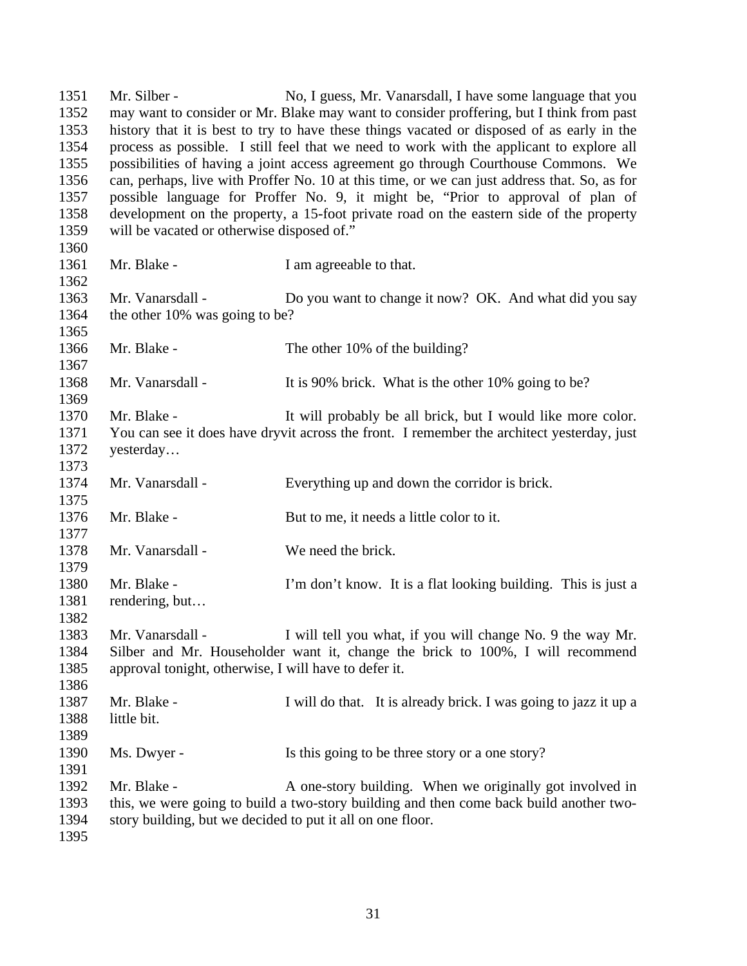Mr. Silber - No, I guess, Mr. Vanarsdall, I have some language that you may want to consider or Mr. Blake may want to consider proffering, but I think from past history that it is best to try to have these things vacated or disposed of as early in the process as possible. I still feel that we need to work with the applicant to explore all possibilities of having a joint access agreement go through Courthouse Commons. We can, perhaps, live with Proffer No. 10 at this time, or we can just address that. So, as for possible language for Proffer No. 9, it might be, "Prior to approval of plan of development on the property, a 15-foot private road on the eastern side of the property will be vacated or otherwise disposed of." 1361 Mr. Blake - I am agreeable to that. 1363 Mr. Vanarsdall - Do you want to change it now? OK. And what did you say 1364 the other 10% was going to be? 1366 Mr. Blake - The other 10% of the building? 1368 Mr. Vanarsdall - It is 90% brick. What is the other 10% going to be? 1370 Mr. Blake - It will probably be all brick, but I would like more color. You can see it does have dryvit across the front. I remember the architect yesterday, just yesterday… Mr. Vanarsdall - Everything up and down the corridor is brick. 1376 Mr. Blake - But to me, it needs a little color to it. Mr. Vanarsdall - We need the brick. Mr. Blake - I'm don't know. It is a flat looking building. This is just a rendering, but… 1383 Mr. Vanarsdall - I will tell you what, if you will change No. 9 the way Mr. Silber and Mr. Householder want it, change the brick to 100%, I will recommend approval tonight, otherwise, I will have to defer it. Mr. Blake - I will do that. It is already brick. I was going to jazz it up a little bit. 1390 Ms. Dwyer - Is this going to be three story or a one story? 1392 Mr. Blake - A one-story building. When we originally got involved in this, we were going to build a two-story building and then come back build another two- story building, but we decided to put it all on one floor.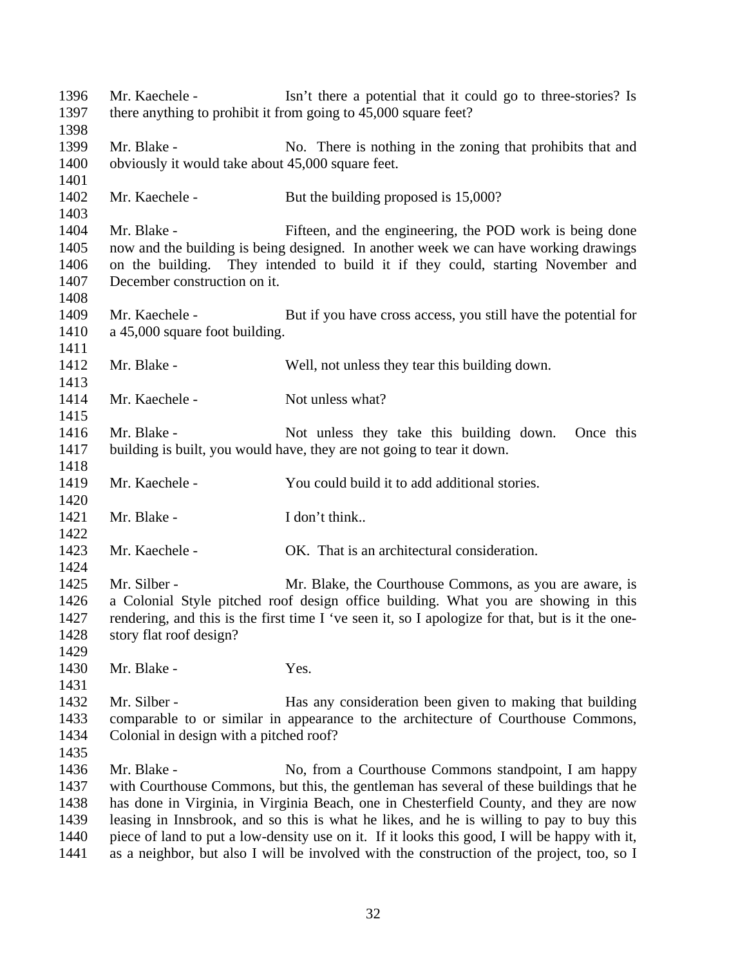Mr. Kaechele - Isn't there a potential that it could go to three-stories? Is there anything to prohibit it from going to 45,000 square feet? 1399 Mr. Blake - No. There is nothing in the zoning that prohibits that and obviously it would take about 45,000 square feet. 1402 Mr. Kaechele - But the building proposed is 15,000? Mr. Blake - Fifteen, and the engineering, the POD work is being done now and the building is being designed. In another week we can have working drawings on the building. They intended to build it if they could, starting November and December construction on it. 1409 Mr. Kaechele - But if you have cross access, you still have the potential for a 45,000 square foot building. Mr. Blake - Well, not unless they tear this building down. 1414 Mr. Kaechele - Not unless what? 1416 Mr. Blake - Not unless they take this building down. Once this building is built, you would have, they are not going to tear it down. Mr. Kaechele - You could build it to add additional stories. 1421 Mr. Blake - I don't think.. Mr. Kaechele - OK. That is an architectural consideration. 1425 Mr. Silber - Mr. Blake, the Courthouse Commons, as you are aware, is a Colonial Style pitched roof design office building. What you are showing in this rendering, and this is the first time I 've seen it, so I apologize for that, but is it the one- story flat roof design? 1430 Mr. Blake - Yes. 1432 Mr. Silber - Has any consideration been given to making that building comparable to or similar in appearance to the architecture of Courthouse Commons, Colonial in design with a pitched roof? 1436 Mr. Blake - No, from a Courthouse Commons standpoint, I am happy with Courthouse Commons, but this, the gentleman has several of these buildings that he has done in Virginia, in Virginia Beach, one in Chesterfield County, and they are now leasing in Innsbrook, and so this is what he likes, and he is willing to pay to buy this piece of land to put a low-density use on it. If it looks this good, I will be happy with it, as a neighbor, but also I will be involved with the construction of the project, too, so I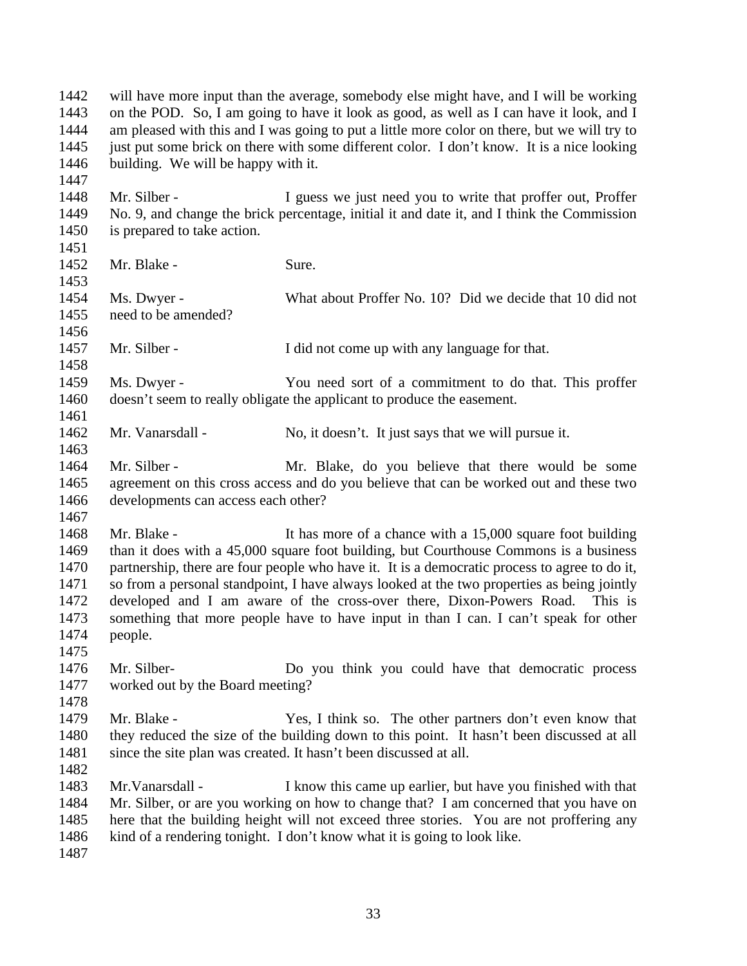will have more input than the average, somebody else might have, and I will be working on the POD. So, I am going to have it look as good, as well as I can have it look, and I am pleased with this and I was going to put a little more color on there, but we will try to just put some brick on there with some different color. I don't know. It is a nice looking building. We will be happy with it.

1448 Mr. Silber - I guess we just need you to write that proffer out, Proffer No. 9, and change the brick percentage, initial it and date it, and I think the Commission is prepared to take action.

Mr. Blake - Sure.

 Ms. Dwyer - What about Proffer No. 10? Did we decide that 10 did not need to be amended? 

1457 Mr. Silber - I did not come up with any language for that.

 Ms. Dwyer - You need sort of a commitment to do that. This proffer doesn't seem to really obligate the applicant to produce the easement. 

1462 Mr. Vanarsdall - No, it doesn't. It just says that we will pursue it.

 Mr. Silber - Mr. Blake, do you believe that there would be some agreement on this cross access and do you believe that can be worked out and these two developments can access each other? 

1468 Mr. Blake - It has more of a chance with a 15,000 square foot building than it does with a 45,000 square foot building, but Courthouse Commons is a business 1470 partnership, there are four people who have it. It is a democratic process to agree to do it, so from a personal standpoint, I have always looked at the two properties as being jointly developed and I am aware of the cross-over there, Dixon-Powers Road. This is something that more people have to have input in than I can. I can't speak for other people.

 Mr. Silber- Do you think you could have that democratic process worked out by the Board meeting?

 Mr. Blake - Yes, I think so. The other partners don't even know that they reduced the size of the building down to this point. It hasn't been discussed at all 1481 since the site plan was created. It hasn't been discussed at all.

 Mr.Vanarsdall - I know this came up earlier, but have you finished with that Mr. Silber, or are you working on how to change that? I am concerned that you have on here that the building height will not exceed three stories. You are not proffering any kind of a rendering tonight. I don't know what it is going to look like.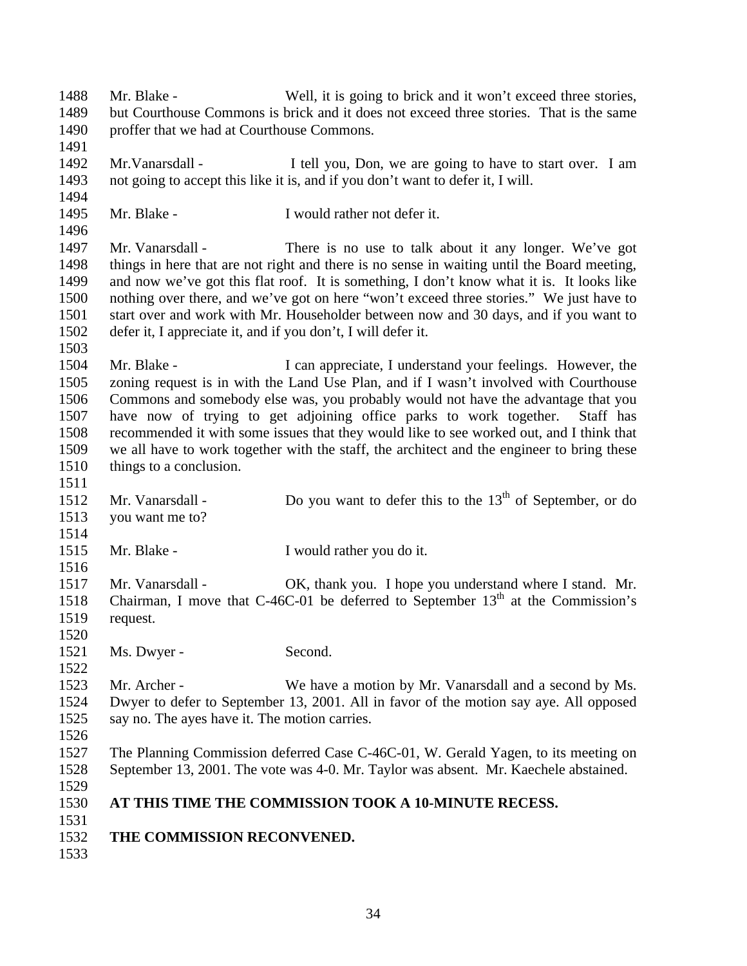Mr. Blake - Well, it is going to brick and it won't exceed three stories, but Courthouse Commons is brick and it does not exceed three stories. That is the same proffer that we had at Courthouse Commons. Mr.Vanarsdall - I tell you, Don, we are going to have to start over. I am not going to accept this like it is, and if you don't want to defer it, I will. Mr. Blake - I would rather not defer it. Mr. Vanarsdall - There is no use to talk about it any longer. We've got things in here that are not right and there is no sense in waiting until the Board meeting, and now we've got this flat roof. It is something, I don't know what it is. It looks like nothing over there, and we've got on here "won't exceed three stories." We just have to start over and work with Mr. Householder between now and 30 days, and if you want to defer it, I appreciate it, and if you don't, I will defer it. 1504 Mr. Blake - I can appreciate, I understand your feelings. However, the zoning request is in with the Land Use Plan, and if I wasn't involved with Courthouse Commons and somebody else was, you probably would not have the advantage that you have now of trying to get adjoining office parks to work together. Staff has recommended it with some issues that they would like to see worked out, and I think that we all have to work together with the staff, the architect and the engineer to bring these things to a conclusion. 1512 Mr. Vanarsdall - Do you want to defer this to the  $13<sup>th</sup>$  of September, or do you want me to? Mr. Blake - I would rather you do it. 1517 Mr. Vanarsdall - OK, thank you. I hope you understand where I stand. Mr. 1518 Chairman, I move that C-46C-01 be deferred to September  $13<sup>th</sup>$  at the Commission's request. 1521 Ms. Dwyer - Second. Mr. Archer - We have a motion by Mr. Vanarsdall and a second by Ms. Dwyer to defer to September 13, 2001. All in favor of the motion say aye. All opposed say no. The ayes have it. The motion carries. The Planning Commission deferred Case C-46C-01, W. Gerald Yagen, to its meeting on September 13, 2001. The vote was 4-0. Mr. Taylor was absent. Mr. Kaechele abstained. **AT THIS TIME THE COMMISSION TOOK A 10-MINUTE RECESS. THE COMMISSION RECONVENED.**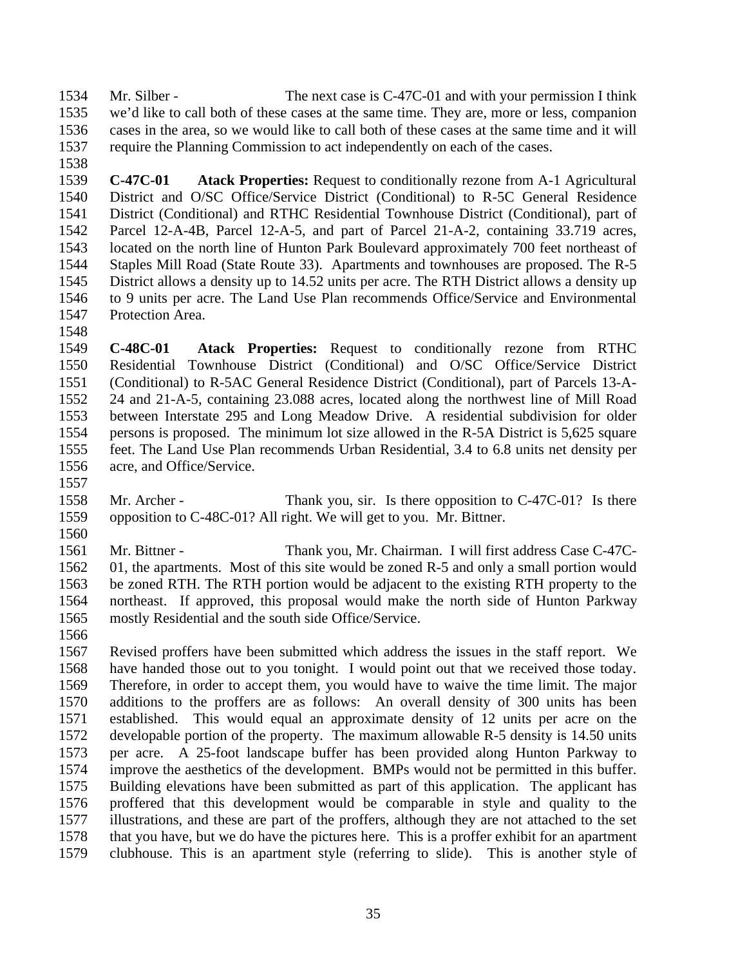Mr. Silber - The next case is C-47C-01 and with your permission I think we'd like to call both of these cases at the same time. They are, more or less, companion cases in the area, so we would like to call both of these cases at the same time and it will require the Planning Commission to act independently on each of the cases.

 **C-47C-01 Atack Properties:** Request to conditionally rezone from A-1 Agricultural District and O/SC Office/Service District (Conditional) to R-5C General Residence District (Conditional) and RTHC Residential Townhouse District (Conditional), part of Parcel 12-A-4B, Parcel 12-A-5, and part of Parcel 21-A-2, containing 33.719 acres, located on the north line of Hunton Park Boulevard approximately 700 feet northeast of Staples Mill Road (State Route 33). Apartments and townhouses are proposed. The R-5 District allows a density up to 14.52 units per acre. The RTH District allows a density up to 9 units per acre. The Land Use Plan recommends Office/Service and Environmental Protection Area.

- **C-48C-01 Atack Properties:** Request to conditionally rezone from RTHC Residential Townhouse District (Conditional) and O/SC Office/Service District (Conditional) to R-5AC General Residence District (Conditional), part of Parcels 13-A- 24 and 21-A-5, containing 23.088 acres, located along the northwest line of Mill Road between Interstate 295 and Long Meadow Drive. A residential subdivision for older persons is proposed. The minimum lot size allowed in the R-5A District is 5,625 square feet. The Land Use Plan recommends Urban Residential, 3.4 to 6.8 units net density per acre, and Office/Service.
- 
- 1558 Mr. Archer Thank you, sir. Is there opposition to C-47C-01? Is there opposition to C-48C-01? All right. We will get to you. Mr. Bittner.
- Mr. Bittner Thank you, Mr. Chairman. I will first address Case C-47C- 01, the apartments. Most of this site would be zoned R-5 and only a small portion would be zoned RTH. The RTH portion would be adjacent to the existing RTH property to the northeast. If approved, this proposal would make the north side of Hunton Parkway mostly Residential and the south side Office/Service.
- 

 Revised proffers have been submitted which address the issues in the staff report. We have handed those out to you tonight. I would point out that we received those today. Therefore, in order to accept them, you would have to waive the time limit. The major additions to the proffers are as follows: An overall density of 300 units has been established. This would equal an approximate density of 12 units per acre on the developable portion of the property. The maximum allowable R-5 density is 14.50 units per acre. A 25-foot landscape buffer has been provided along Hunton Parkway to improve the aesthetics of the development. BMPs would not be permitted in this buffer. Building elevations have been submitted as part of this application. The applicant has proffered that this development would be comparable in style and quality to the illustrations, and these are part of the proffers, although they are not attached to the set that you have, but we do have the pictures here. This is a proffer exhibit for an apartment clubhouse. This is an apartment style (referring to slide). This is another style of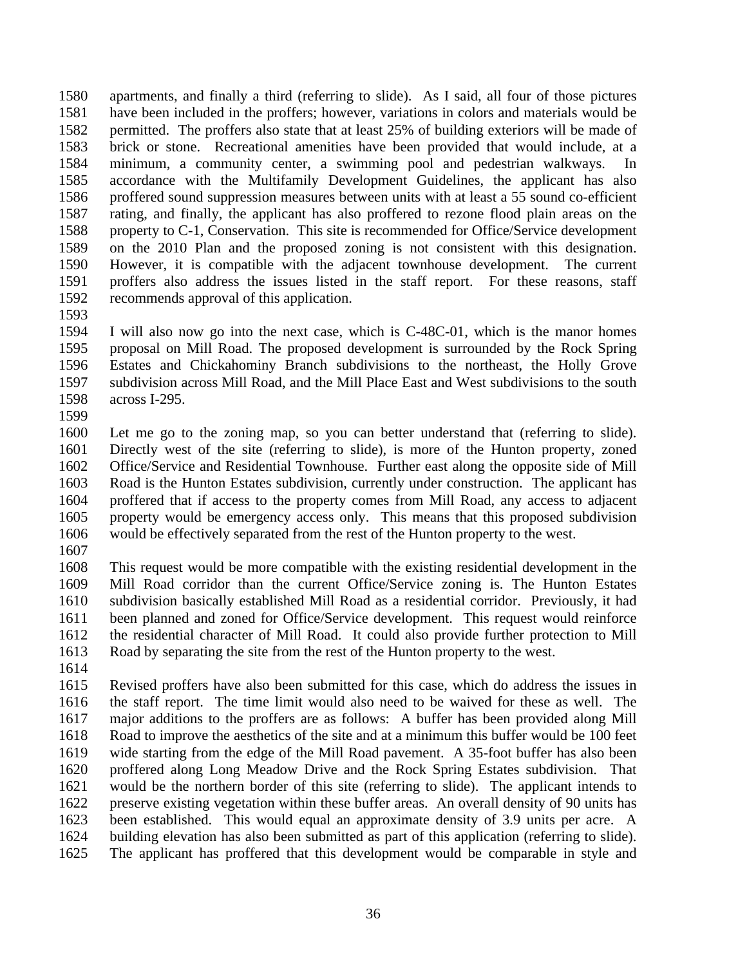apartments, and finally a third (referring to slide). As I said, all four of those pictures have been included in the proffers; however, variations in colors and materials would be permitted. The proffers also state that at least 25% of building exteriors will be made of brick or stone. Recreational amenities have been provided that would include, at a minimum, a community center, a swimming pool and pedestrian walkways. In accordance with the Multifamily Development Guidelines, the applicant has also proffered sound suppression measures between units with at least a 55 sound co-efficient rating, and finally, the applicant has also proffered to rezone flood plain areas on the property to C-1, Conservation. This site is recommended for Office/Service development on the 2010 Plan and the proposed zoning is not consistent with this designation. However, it is compatible with the adjacent townhouse development. The current proffers also address the issues listed in the staff report. For these reasons, staff recommends approval of this application.

 I will also now go into the next case, which is C-48C-01, which is the manor homes proposal on Mill Road. The proposed development is surrounded by the Rock Spring Estates and Chickahominy Branch subdivisions to the northeast, the Holly Grove subdivision across Mill Road, and the Mill Place East and West subdivisions to the south across I-295.

 Let me go to the zoning map, so you can better understand that (referring to slide). Directly west of the site (referring to slide), is more of the Hunton property, zoned Office/Service and Residential Townhouse. Further east along the opposite side of Mill Road is the Hunton Estates subdivision, currently under construction. The applicant has proffered that if access to the property comes from Mill Road, any access to adjacent property would be emergency access only. This means that this proposed subdivision would be effectively separated from the rest of the Hunton property to the west.

 This request would be more compatible with the existing residential development in the Mill Road corridor than the current Office/Service zoning is. The Hunton Estates subdivision basically established Mill Road as a residential corridor. Previously, it had been planned and zoned for Office/Service development. This request would reinforce the residential character of Mill Road. It could also provide further protection to Mill Road by separating the site from the rest of the Hunton property to the west.

 Revised proffers have also been submitted for this case, which do address the issues in the staff report. The time limit would also need to be waived for these as well. The major additions to the proffers are as follows: A buffer has been provided along Mill Road to improve the aesthetics of the site and at a minimum this buffer would be 100 feet wide starting from the edge of the Mill Road pavement. A 35-foot buffer has also been proffered along Long Meadow Drive and the Rock Spring Estates subdivision. That would be the northern border of this site (referring to slide). The applicant intends to preserve existing vegetation within these buffer areas. An overall density of 90 units has been established. This would equal an approximate density of 3.9 units per acre. A building elevation has also been submitted as part of this application (referring to slide). The applicant has proffered that this development would be comparable in style and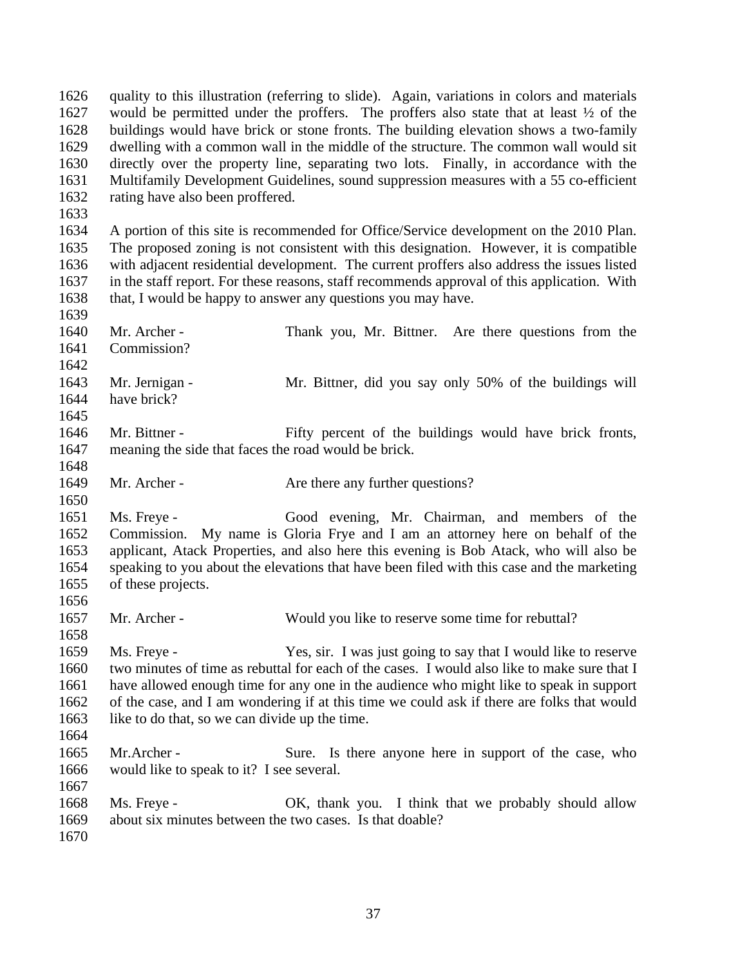quality to this illustration (referring to slide). Again, variations in colors and materials would be permitted under the proffers. The proffers also state that at least ½ of the buildings would have brick or stone fronts. The building elevation shows a two-family dwelling with a common wall in the middle of the structure. The common wall would sit directly over the property line, separating two lots. Finally, in accordance with the Multifamily Development Guidelines, sound suppression measures with a 55 co-efficient rating have also been proffered. A portion of this site is recommended for Office/Service development on the 2010 Plan. The proposed zoning is not consistent with this designation. However, it is compatible with adjacent residential development. The current proffers also address the issues listed in the staff report. For these reasons, staff recommends approval of this application. With that, I would be happy to answer any questions you may have. Mr. Archer - Thank you, Mr. Bittner. Are there questions from the Commission? Mr. Jernigan - Mr. Bittner, did you say only 50% of the buildings will have brick? 1646 Mr. Bittner - Fifty percent of the buildings would have brick fronts, meaning the side that faces the road would be brick. 1649 Mr. Archer - Are there any further questions? Ms. Freye - Good evening, Mr. Chairman, and members of the Commission. My name is Gloria Frye and I am an attorney here on behalf of the applicant, Atack Properties, and also here this evening is Bob Atack, who will also be speaking to you about the elevations that have been filed with this case and the marketing of these projects. 1657 Mr. Archer - Would you like to reserve some time for rebuttal? Ms. Freye - Yes, sir. I was just going to say that I would like to reserve two minutes of time as rebuttal for each of the cases. I would also like to make sure that I have allowed enough time for any one in the audience who might like to speak in support of the case, and I am wondering if at this time we could ask if there are folks that would like to do that, so we can divide up the time. 1665 Mr. Archer - Sure. Is there anyone here in support of the case, who would like to speak to it? I see several. Ms. Freye - OK, thank you. I think that we probably should allow about six minutes between the two cases. Is that doable?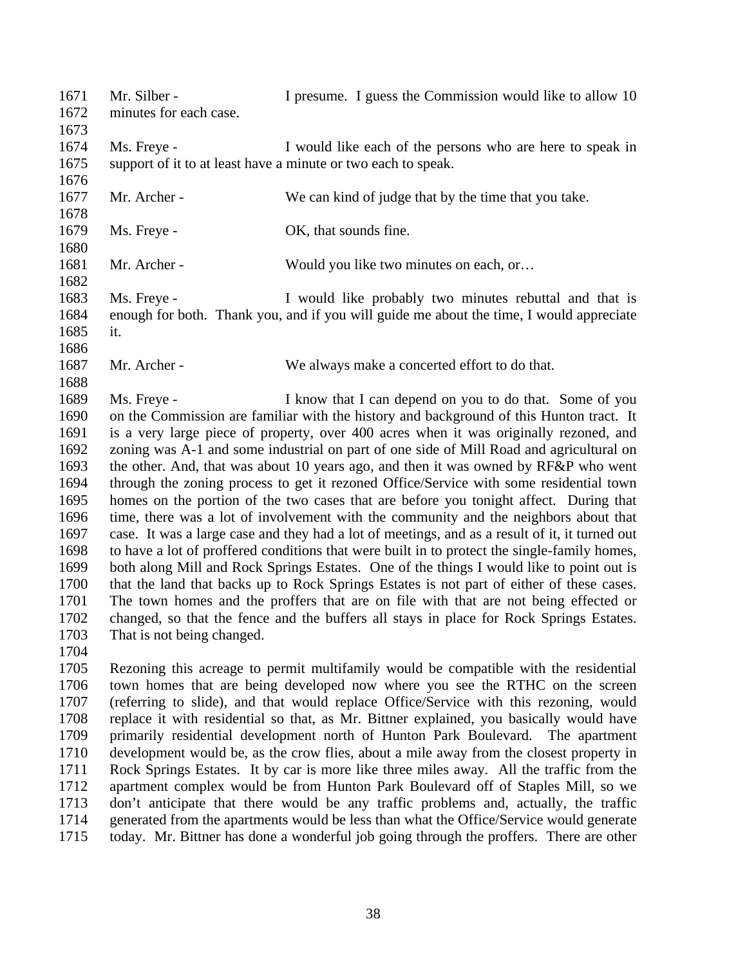| 1671<br>1672 | Mr. Silber -<br>minutes for each case. | I presume. I guess the Commission would like to allow 10                                       |
|--------------|----------------------------------------|------------------------------------------------------------------------------------------------|
| 1673         |                                        |                                                                                                |
| 1674         | Ms. Freye -                            | I would like each of the persons who are here to speak in                                      |
| 1675         |                                        | support of it to at least have a minute or two each to speak.                                  |
| 1676         |                                        |                                                                                                |
| 1677         | Mr. Archer -                           | We can kind of judge that by the time that you take.                                           |
| 1678         |                                        |                                                                                                |
| 1679<br>1680 | Ms. Freye -                            | OK, that sounds fine.                                                                          |
| 1681         | Mr. Archer -                           | Would you like two minutes on each, or                                                         |
| 1682         |                                        |                                                                                                |
| 1683         | Ms. Freye -                            | I would like probably two minutes rebuttal and that is                                         |
| 1684         |                                        | enough for both. Thank you, and if you will guide me about the time, I would appreciate        |
| 1685         | it.                                    |                                                                                                |
| 1686         |                                        |                                                                                                |
| 1687         | Mr. Archer -                           | We always make a concerted effort to do that.                                                  |
| 1688         |                                        |                                                                                                |
| 1689         | Ms. Freye -                            | I know that I can depend on you to do that. Some of you                                        |
| 1690         |                                        | on the Commission are familiar with the history and background of this Hunton tract. It        |
| 1691         |                                        | is a very large piece of property, over 400 acres when it was originally rezoned, and          |
| 1692         |                                        | zoning was A-1 and some industrial on part of one side of Mill Road and agricultural on        |
| 1693         |                                        | the other. And, that was about 10 years ago, and then it was owned by RF&P who went            |
| 1694         |                                        | through the zoning process to get it rezoned Office/Service with some residential town         |
| 1695         |                                        | homes on the portion of the two cases that are before you tonight affect. During that          |
| 1696         |                                        | time, there was a lot of involvement with the community and the neighbors about that           |
| 1697         |                                        | case. It was a large case and they had a lot of meetings, and as a result of it, it turned out |
| 1698         |                                        | to have a lot of proffered conditions that were built in to protect the single-family homes,   |
| 1699         |                                        | both along Mill and Rock Springs Estates. One of the things I would like to point out is       |
| 1700         |                                        | that the land that backs up to Rock Springs Estates is not part of either of these cases.      |
| 1701         |                                        | The town homes and the proffers that are on file with that are not being effected or           |
| 1702         |                                        | changed, so that the fence and the buffers all stays in place for Rock Springs Estates.        |
| 1703         | That is not being changed.             |                                                                                                |
| 1704         |                                        |                                                                                                |
| 1705         |                                        | Rezoning this acreage to permit multifamily would be compatible with the residential           |
| 1706         |                                        | town homes that are being developed now where you see the RTHC on the screen                   |
| 1707         |                                        | (referring to slide), and that would replace Office/Service with this rezoning, would          |
| 1708         |                                        | replace it with residential so that, as Mr. Bittner explained, you basically would have        |
| 1709         |                                        | primarily residential development north of Hunton Park Boulevard. The apartment                |
| 1710         |                                        | development would be, as the crow flies, about a mile away from the closest property in        |
| 1711         |                                        | Rock Springs Estates. It by car is more like three miles away. All the traffic from the        |
| 1712         |                                        | apartment complex would be from Hunton Park Boulevard off of Staples Mill, so we               |
| 1712         |                                        | don't entigipate that there would be any traffic problems and actually the traffic             |

1713 don't anticipate that there would be any traffic problems and, actually, the traffic 1714 generated from the apartments would be less than what the Office/Service would generate 1714 generated from the apartments would be less than what the Office/Service would generate<br>1715 today. Mr. Bittner has done a wonderful job going through the proffers. There are other today. Mr. Bittner has done a wonderful job going through the proffers. There are other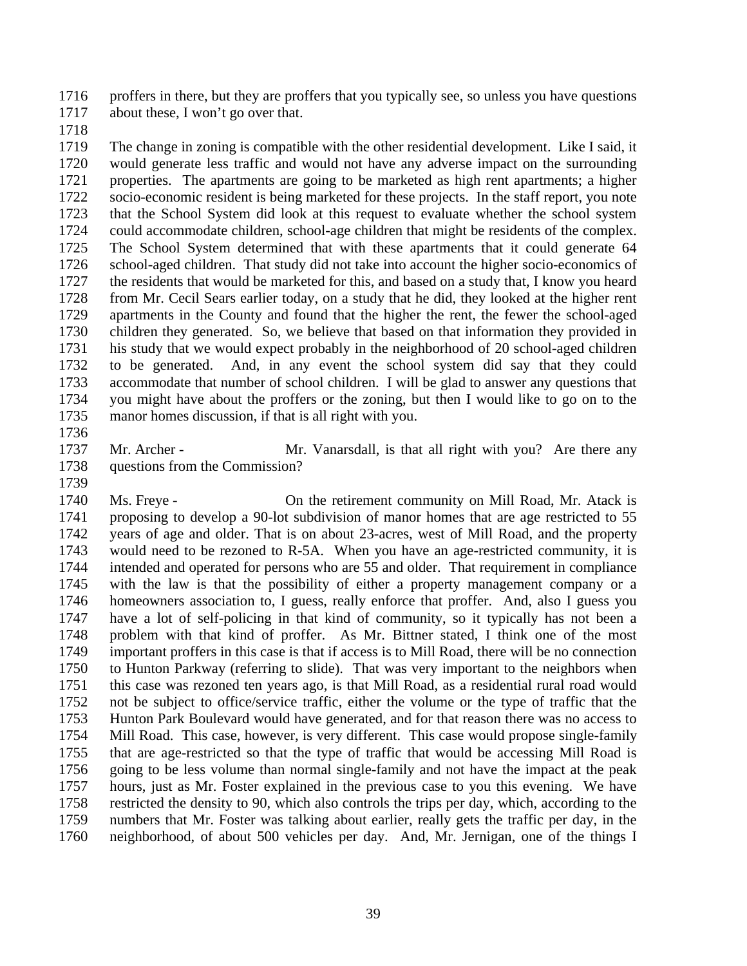proffers in there, but they are proffers that you typically see, so unless you have questions about these, I won't go over that.

 The change in zoning is compatible with the other residential development. Like I said, it would generate less traffic and would not have any adverse impact on the surrounding properties. The apartments are going to be marketed as high rent apartments; a higher socio-economic resident is being marketed for these projects. In the staff report, you note that the School System did look at this request to evaluate whether the school system could accommodate children, school-age children that might be residents of the complex. The School System determined that with these apartments that it could generate 64 school-aged children. That study did not take into account the higher socio-economics of the residents that would be marketed for this, and based on a study that, I know you heard from Mr. Cecil Sears earlier today, on a study that he did, they looked at the higher rent apartments in the County and found that the higher the rent, the fewer the school-aged children they generated. So, we believe that based on that information they provided in his study that we would expect probably in the neighborhood of 20 school-aged children to be generated. And, in any event the school system did say that they could accommodate that number of school children. I will be glad to answer any questions that you might have about the proffers or the zoning, but then I would like to go on to the manor homes discussion, if that is all right with you.

1737 Mr. Archer - Mr. Vanarsdall, is that all right with you? Are there any questions from the Commission?

 Ms. Freye - On the retirement community on Mill Road, Mr. Atack is proposing to develop a 90-lot subdivision of manor homes that are age restricted to 55 years of age and older. That is on about 23-acres, west of Mill Road, and the property would need to be rezoned to R-5A. When you have an age-restricted community, it is intended and operated for persons who are 55 and older. That requirement in compliance with the law is that the possibility of either a property management company or a homeowners association to, I guess, really enforce that proffer. And, also I guess you have a lot of self-policing in that kind of community, so it typically has not been a problem with that kind of proffer. As Mr. Bittner stated, I think one of the most important proffers in this case is that if access is to Mill Road, there will be no connection to Hunton Parkway (referring to slide). That was very important to the neighbors when this case was rezoned ten years ago, is that Mill Road, as a residential rural road would not be subject to office/service traffic, either the volume or the type of traffic that the Hunton Park Boulevard would have generated, and for that reason there was no access to Mill Road. This case, however, is very different. This case would propose single-family that are age-restricted so that the type of traffic that would be accessing Mill Road is going to be less volume than normal single-family and not have the impact at the peak hours, just as Mr. Foster explained in the previous case to you this evening. We have restricted the density to 90, which also controls the trips per day, which, according to the numbers that Mr. Foster was talking about earlier, really gets the traffic per day, in the neighborhood, of about 500 vehicles per day. And, Mr. Jernigan, one of the things I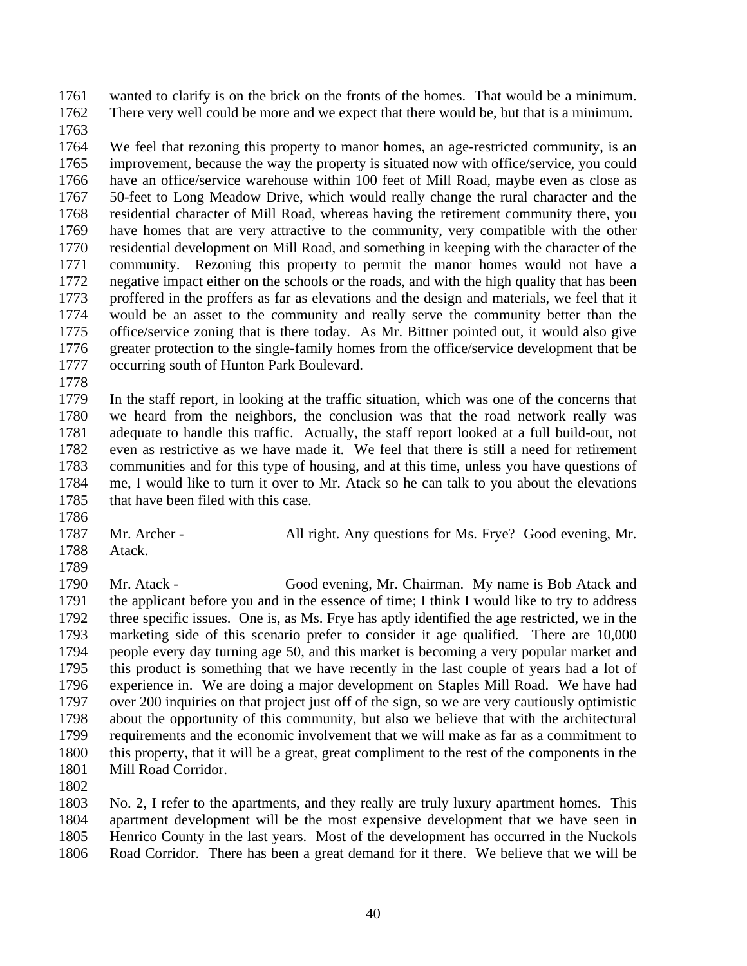wanted to clarify is on the brick on the fronts of the homes. That would be a minimum. There very well could be more and we expect that there would be, but that is a minimum.

 We feel that rezoning this property to manor homes, an age-restricted community, is an improvement, because the way the property is situated now with office/service, you could have an office/service warehouse within 100 feet of Mill Road, maybe even as close as 50-feet to Long Meadow Drive, which would really change the rural character and the residential character of Mill Road, whereas having the retirement community there, you have homes that are very attractive to the community, very compatible with the other residential development on Mill Road, and something in keeping with the character of the community. Rezoning this property to permit the manor homes would not have a negative impact either on the schools or the roads, and with the high quality that has been proffered in the proffers as far as elevations and the design and materials, we feel that it would be an asset to the community and really serve the community better than the office/service zoning that is there today. As Mr. Bittner pointed out, it would also give greater protection to the single-family homes from the office/service development that be occurring south of Hunton Park Boulevard.

 In the staff report, in looking at the traffic situation, which was one of the concerns that we heard from the neighbors, the conclusion was that the road network really was adequate to handle this traffic. Actually, the staff report looked at a full build-out, not even as restrictive as we have made it. We feel that there is still a need for retirement communities and for this type of housing, and at this time, unless you have questions of me, I would like to turn it over to Mr. Atack so he can talk to you about the elevations 1785 that have been filed with this case.

 Atack. 

1787 Mr. Archer - All right. Any questions for Ms. Frye? Good evening, Mr.

 Mr. Atack - Good evening, Mr. Chairman. My name is Bob Atack and the applicant before you and in the essence of time; I think I would like to try to address three specific issues. One is, as Ms. Frye has aptly identified the age restricted, we in the marketing side of this scenario prefer to consider it age qualified. There are 10,000 people every day turning age 50, and this market is becoming a very popular market and this product is something that we have recently in the last couple of years had a lot of experience in. We are doing a major development on Staples Mill Road. We have had over 200 inquiries on that project just off of the sign, so we are very cautiously optimistic about the opportunity of this community, but also we believe that with the architectural requirements and the economic involvement that we will make as far as a commitment to this property, that it will be a great, great compliment to the rest of the components in the Mill Road Corridor.

 No. 2, I refer to the apartments, and they really are truly luxury apartment homes. This apartment development will be the most expensive development that we have seen in Henrico County in the last years. Most of the development has occurred in the Nuckols Road Corridor. There has been a great demand for it there. We believe that we will be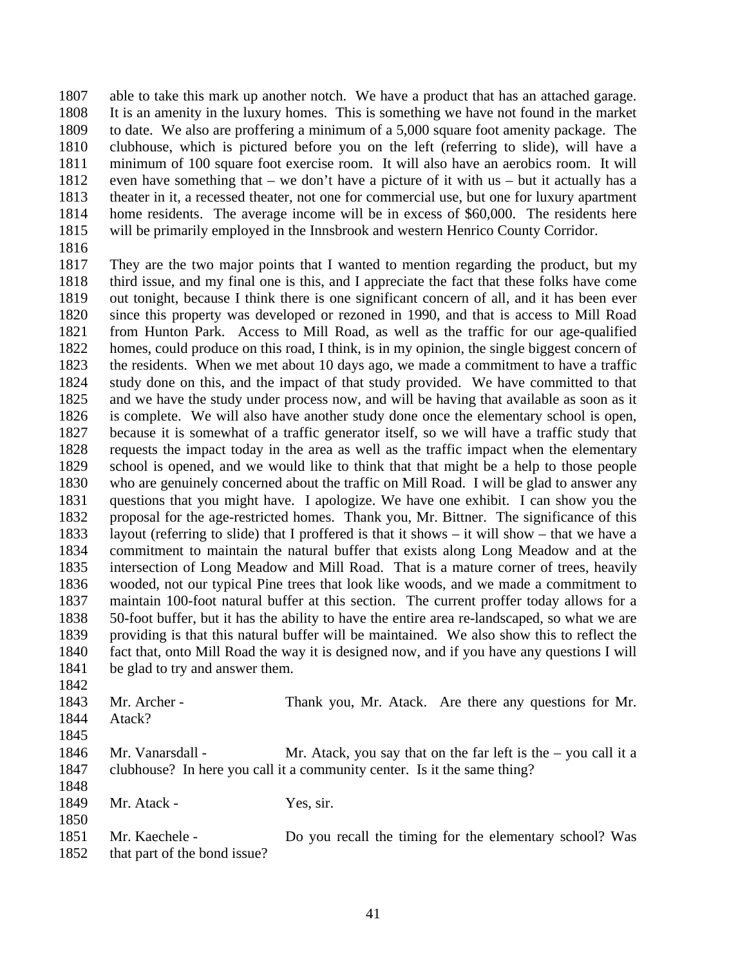able to take this mark up another notch. We have a product that has an attached garage. It is an amenity in the luxury homes. This is something we have not found in the market to date. We also are proffering a minimum of a 5,000 square foot amenity package. The clubhouse, which is pictured before you on the left (referring to slide), will have a minimum of 100 square foot exercise room. It will also have an aerobics room. It will even have something that – we don't have a picture of it with us – but it actually has a theater in it, a recessed theater, not one for commercial use, but one for luxury apartment home residents. The average income will be in excess of \$60,000. The residents here will be primarily employed in the Innsbrook and western Henrico County Corridor.

 They are the two major points that I wanted to mention regarding the product, but my third issue, and my final one is this, and I appreciate the fact that these folks have come out tonight, because I think there is one significant concern of all, and it has been ever since this property was developed or rezoned in 1990, and that is access to Mill Road from Hunton Park. Access to Mill Road, as well as the traffic for our age-qualified homes, could produce on this road, I think, is in my opinion, the single biggest concern of the residents. When we met about 10 days ago, we made a commitment to have a traffic study done on this, and the impact of that study provided. We have committed to that and we have the study under process now, and will be having that available as soon as it is complete. We will also have another study done once the elementary school is open, because it is somewhat of a traffic generator itself, so we will have a traffic study that requests the impact today in the area as well as the traffic impact when the elementary school is opened, and we would like to think that that might be a help to those people who are genuinely concerned about the traffic on Mill Road. I will be glad to answer any questions that you might have. I apologize. We have one exhibit. I can show you the proposal for the age-restricted homes. Thank you, Mr. Bittner. The significance of this layout (referring to slide) that I proffered is that it shows – it will show – that we have a commitment to maintain the natural buffer that exists along Long Meadow and at the intersection of Long Meadow and Mill Road. That is a mature corner of trees, heavily wooded, not our typical Pine trees that look like woods, and we made a commitment to maintain 100-foot natural buffer at this section. The current proffer today allows for a 50-foot buffer, but it has the ability to have the entire area re-landscaped, so what we are providing is that this natural buffer will be maintained. We also show this to reflect the fact that, onto Mill Road the way it is designed now, and if you have any questions I will be glad to try and answer them. 

| 1843<br>1844 | Mr. Archer -<br>Atack? | Thank you, Mr. Atack. Are there any questions for Mr.                    |
|--------------|------------------------|--------------------------------------------------------------------------|
| 1845         |                        |                                                                          |
| 1846         | Mr. Vanarsdall -       | Mr. Atack, you say that on the far left is the $-$ you call it a         |
| 1847         |                        | clubhouse? In here you call it a community center. Is it the same thing? |
| 1848         |                        |                                                                          |
| 1849         | Mr. Atack -            | Yes, sir.                                                                |
| 1850         |                        |                                                                          |
| 1851         | Mr. Kaechele -         | Do you recall the timing for the elementary school? Was                  |
|              |                        |                                                                          |

that part of the bond issue?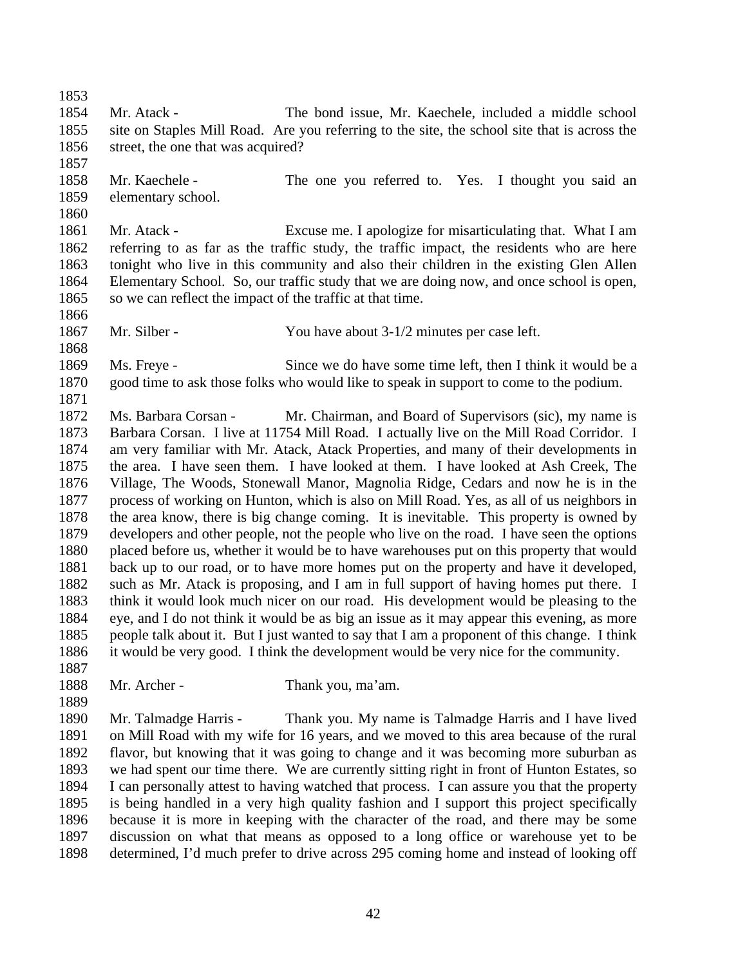Mr. Atack - The bond issue, Mr. Kaechele, included a middle school site on Staples Mill Road. Are you referring to the site, the school site that is across the street, the one that was acquired? Mr. Kaechele - The one you referred to. Yes. I thought you said an elementary school. Mr. Atack - Excuse me. I apologize for misarticulating that. What I am referring to as far as the traffic study, the traffic impact, the residents who are here tonight who live in this community and also their children in the existing Glen Allen Elementary School. So, our traffic study that we are doing now, and once school is open, 1865 so we can reflect the impact of the traffic at that time. Mr. Silber - You have about 3-1/2 minutes per case left. Ms. Freye - Since we do have some time left, then I think it would be a good time to ask those folks who would like to speak in support to come to the podium. Ms. Barbara Corsan - Mr. Chairman, and Board of Supervisors (sic), my name is Barbara Corsan. I live at 11754 Mill Road. I actually live on the Mill Road Corridor. I am very familiar with Mr. Atack, Atack Properties, and many of their developments in the area. I have seen them. I have looked at them. I have looked at Ash Creek, The Village, The Woods, Stonewall Manor, Magnolia Ridge, Cedars and now he is in the process of working on Hunton, which is also on Mill Road. Yes, as all of us neighbors in the area know, there is big change coming. It is inevitable. This property is owned by developers and other people, not the people who live on the road. I have seen the options placed before us, whether it would be to have warehouses put on this property that would back up to our road, or to have more homes put on the property and have it developed, such as Mr. Atack is proposing, and I am in full support of having homes put there. I think it would look much nicer on our road. His development would be pleasing to the eye, and I do not think it would be as big an issue as it may appear this evening, as more people talk about it. But I just wanted to say that I am a proponent of this change. I think it would be very good. I think the development would be very nice for the community. Mr. Archer - Thank you, ma'am. 

 Mr. Talmadge Harris - Thank you. My name is Talmadge Harris and I have lived on Mill Road with my wife for 16 years, and we moved to this area because of the rural flavor, but knowing that it was going to change and it was becoming more suburban as we had spent our time there. We are currently sitting right in front of Hunton Estates, so I can personally attest to having watched that process. I can assure you that the property is being handled in a very high quality fashion and I support this project specifically because it is more in keeping with the character of the road, and there may be some discussion on what that means as opposed to a long office or warehouse yet to be determined, I'd much prefer to drive across 295 coming home and instead of looking off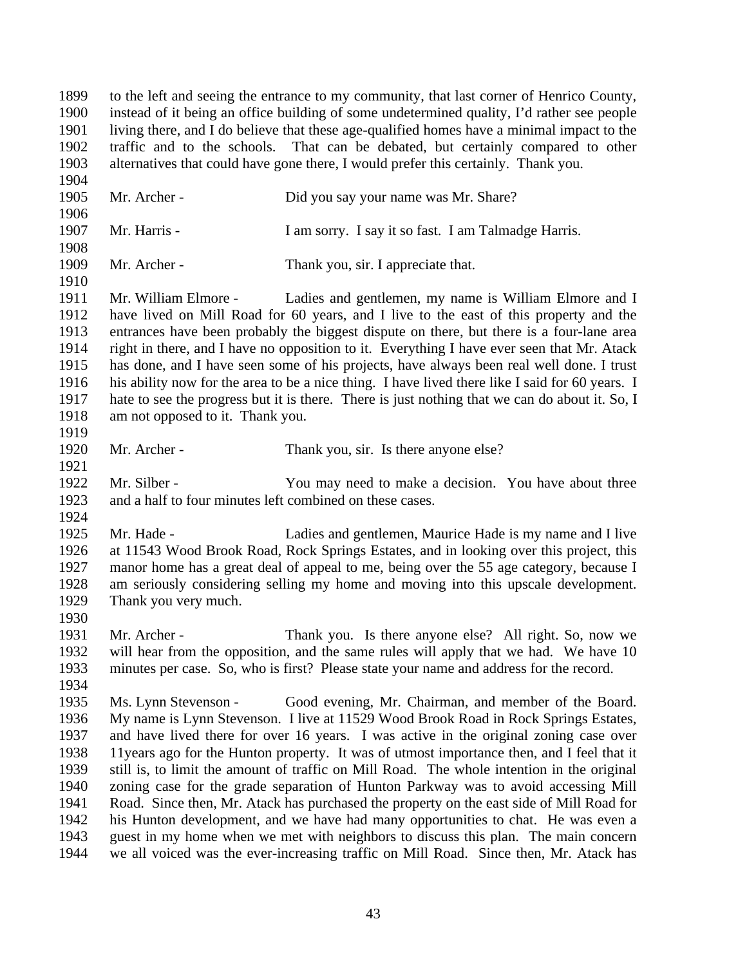to the left and seeing the entrance to my community, that last corner of Henrico County, instead of it being an office building of some undetermined quality, I'd rather see people living there, and I do believe that these age-qualified homes have a minimal impact to the traffic and to the schools. That can be debated, but certainly compared to other alternatives that could have gone there, I would prefer this certainly. Thank you. Mr. Archer - Did you say your name was Mr. Share? Mr. Harris - I am sorry. I say it so fast. I am Talmadge Harris. Mr. Archer - Thank you, sir. I appreciate that. Mr. William Elmore - Ladies and gentlemen, my name is William Elmore and I have lived on Mill Road for 60 years, and I live to the east of this property and the entrances have been probably the biggest dispute on there, but there is a four-lane area right in there, and I have no opposition to it. Everything I have ever seen that Mr. Atack has done, and I have seen some of his projects, have always been real well done. I trust his ability now for the area to be a nice thing. I have lived there like I said for 60 years. I hate to see the progress but it is there. There is just nothing that we can do about it. So, I am not opposed to it. Thank you. Mr. Archer - Thank you, sir. Is there anyone else? 1922 Mr. Silber - You may need to make a decision. You have about three and a half to four minutes left combined on these cases. Mr. Hade - Ladies and gentlemen, Maurice Hade is my name and I live at 11543 Wood Brook Road, Rock Springs Estates, and in looking over this project, this manor home has a great deal of appeal to me, being over the 55 age category, because I am seriously considering selling my home and moving into this upscale development. Thank you very much. 1931 Mr. Archer - Thank you. Is there anyone else? All right. So, now we will hear from the opposition, and the same rules will apply that we had. We have 10 minutes per case. So, who is first? Please state your name and address for the record. Ms. Lynn Stevenson - Good evening, Mr. Chairman, and member of the Board. My name is Lynn Stevenson. I live at 11529 Wood Brook Road in Rock Springs Estates, and have lived there for over 16 years. I was active in the original zoning case over 11years ago for the Hunton property. It was of utmost importance then, and I feel that it still is, to limit the amount of traffic on Mill Road. The whole intention in the original zoning case for the grade separation of Hunton Parkway was to avoid accessing Mill Road. Since then, Mr. Atack has purchased the property on the east side of Mill Road for his Hunton development, and we have had many opportunities to chat. He was even a guest in my home when we met with neighbors to discuss this plan. The main concern we all voiced was the ever-increasing traffic on Mill Road. Since then, Mr. Atack has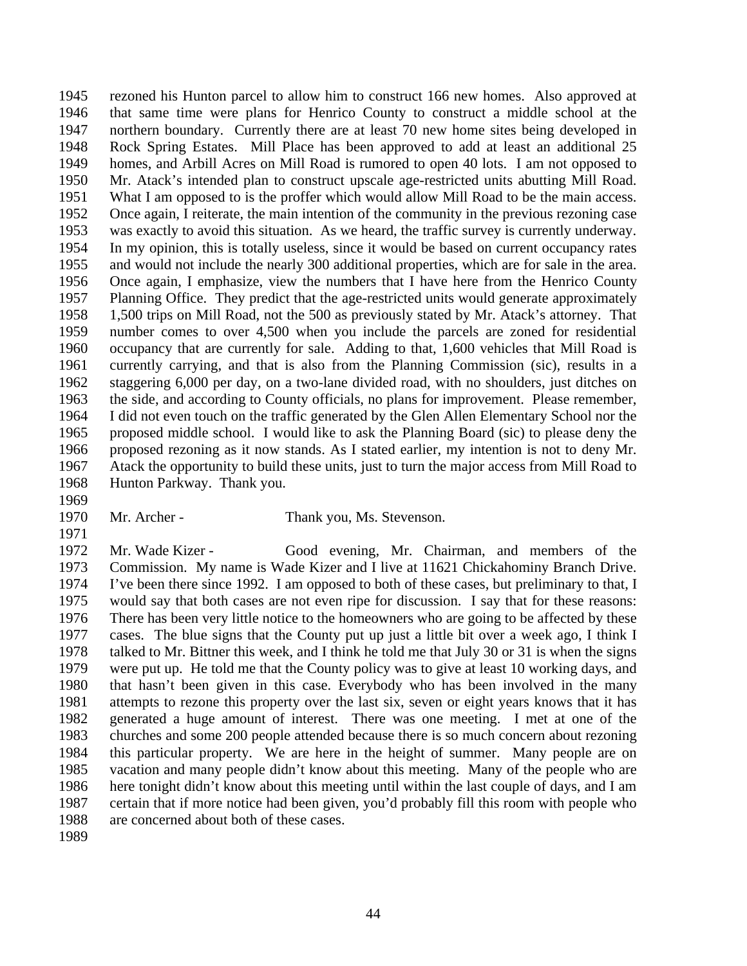rezoned his Hunton parcel to allow him to construct 166 new homes. Also approved at that same time were plans for Henrico County to construct a middle school at the northern boundary. Currently there are at least 70 new home sites being developed in Rock Spring Estates. Mill Place has been approved to add at least an additional 25 homes, and Arbill Acres on Mill Road is rumored to open 40 lots. I am not opposed to Mr. Atack's intended plan to construct upscale age-restricted units abutting Mill Road. What I am opposed to is the proffer which would allow Mill Road to be the main access. Once again, I reiterate, the main intention of the community in the previous rezoning case was exactly to avoid this situation. As we heard, the traffic survey is currently underway. In my opinion, this is totally useless, since it would be based on current occupancy rates and would not include the nearly 300 additional properties, which are for sale in the area. Once again, I emphasize, view the numbers that I have here from the Henrico County Planning Office. They predict that the age-restricted units would generate approximately 1,500 trips on Mill Road, not the 500 as previously stated by Mr. Atack's attorney. That number comes to over 4,500 when you include the parcels are zoned for residential occupancy that are currently for sale. Adding to that, 1,600 vehicles that Mill Road is currently carrying, and that is also from the Planning Commission (sic), results in a staggering 6,000 per day, on a two-lane divided road, with no shoulders, just ditches on the side, and according to County officials, no plans for improvement. Please remember, I did not even touch on the traffic generated by the Glen Allen Elementary School nor the proposed middle school. I would like to ask the Planning Board (sic) to please deny the proposed rezoning as it now stands. As I stated earlier, my intention is not to deny Mr. Atack the opportunity to build these units, just to turn the major access from Mill Road to Hunton Parkway. Thank you.

- 
- 

Mr. Archer - Thank you, Ms. Stevenson.

 Mr. Wade Kizer - Good evening, Mr. Chairman, and members of the Commission. My name is Wade Kizer and I live at 11621 Chickahominy Branch Drive. I've been there since 1992. I am opposed to both of these cases, but preliminary to that, I would say that both cases are not even ripe for discussion. I say that for these reasons: There has been very little notice to the homeowners who are going to be affected by these cases. The blue signs that the County put up just a little bit over a week ago, I think I talked to Mr. Bittner this week, and I think he told me that July 30 or 31 is when the signs were put up. He told me that the County policy was to give at least 10 working days, and that hasn't been given in this case. Everybody who has been involved in the many attempts to rezone this property over the last six, seven or eight years knows that it has generated a huge amount of interest. There was one meeting. I met at one of the churches and some 200 people attended because there is so much concern about rezoning this particular property. We are here in the height of summer. Many people are on vacation and many people didn't know about this meeting. Many of the people who are here tonight didn't know about this meeting until within the last couple of days, and I am certain that if more notice had been given, you'd probably fill this room with people who are concerned about both of these cases.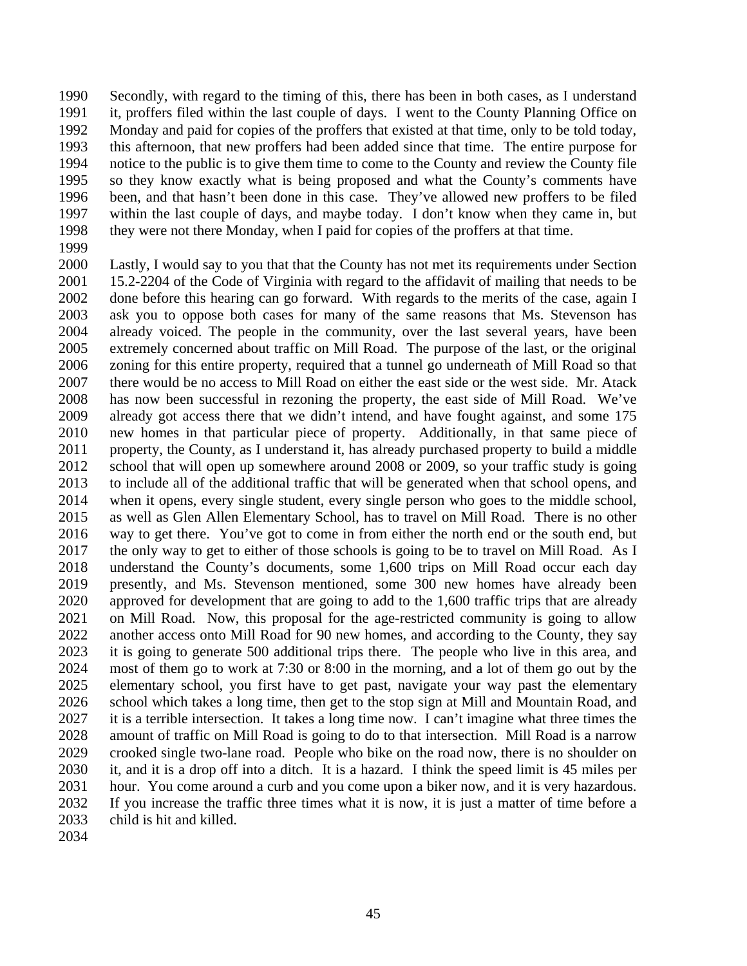Secondly, with regard to the timing of this, there has been in both cases, as I understand it, proffers filed within the last couple of days. I went to the County Planning Office on Monday and paid for copies of the proffers that existed at that time, only to be told today, this afternoon, that new proffers had been added since that time. The entire purpose for notice to the public is to give them time to come to the County and review the County file so they know exactly what is being proposed and what the County's comments have been, and that hasn't been done in this case. They've allowed new proffers to be filed within the last couple of days, and maybe today. I don't know when they came in, but they were not there Monday, when I paid for copies of the proffers at that time.

 Lastly, I would say to you that that the County has not met its requirements under Section 15.2-2204 of the Code of Virginia with regard to the affidavit of mailing that needs to be done before this hearing can go forward. With regards to the merits of the case, again I ask you to oppose both cases for many of the same reasons that Ms. Stevenson has already voiced. The people in the community, over the last several years, have been extremely concerned about traffic on Mill Road. The purpose of the last, or the original zoning for this entire property, required that a tunnel go underneath of Mill Road so that there would be no access to Mill Road on either the east side or the west side. Mr. Atack has now been successful in rezoning the property, the east side of Mill Road. We've already got access there that we didn't intend, and have fought against, and some 175 new homes in that particular piece of property. Additionally, in that same piece of property, the County, as I understand it, has already purchased property to build a middle school that will open up somewhere around 2008 or 2009, so your traffic study is going to include all of the additional traffic that will be generated when that school opens, and when it opens, every single student, every single person who goes to the middle school, as well as Glen Allen Elementary School, has to travel on Mill Road. There is no other way to get there. You've got to come in from either the north end or the south end, but the only way to get to either of those schools is going to be to travel on Mill Road. As I understand the County's documents, some 1,600 trips on Mill Road occur each day presently, and Ms. Stevenson mentioned, some 300 new homes have already been approved for development that are going to add to the 1,600 traffic trips that are already on Mill Road. Now, this proposal for the age-restricted community is going to allow another access onto Mill Road for 90 new homes, and according to the County, they say it is going to generate 500 additional trips there. The people who live in this area, and most of them go to work at 7:30 or 8:00 in the morning, and a lot of them go out by the elementary school, you first have to get past, navigate your way past the elementary school which takes a long time, then get to the stop sign at Mill and Mountain Road, and it is a terrible intersection. It takes a long time now. I can't imagine what three times the amount of traffic on Mill Road is going to do to that intersection. Mill Road is a narrow crooked single two-lane road. People who bike on the road now, there is no shoulder on it, and it is a drop off into a ditch. It is a hazard. I think the speed limit is 45 miles per hour. You come around a curb and you come upon a biker now, and it is very hazardous. If you increase the traffic three times what it is now, it is just a matter of time before a child is hit and killed.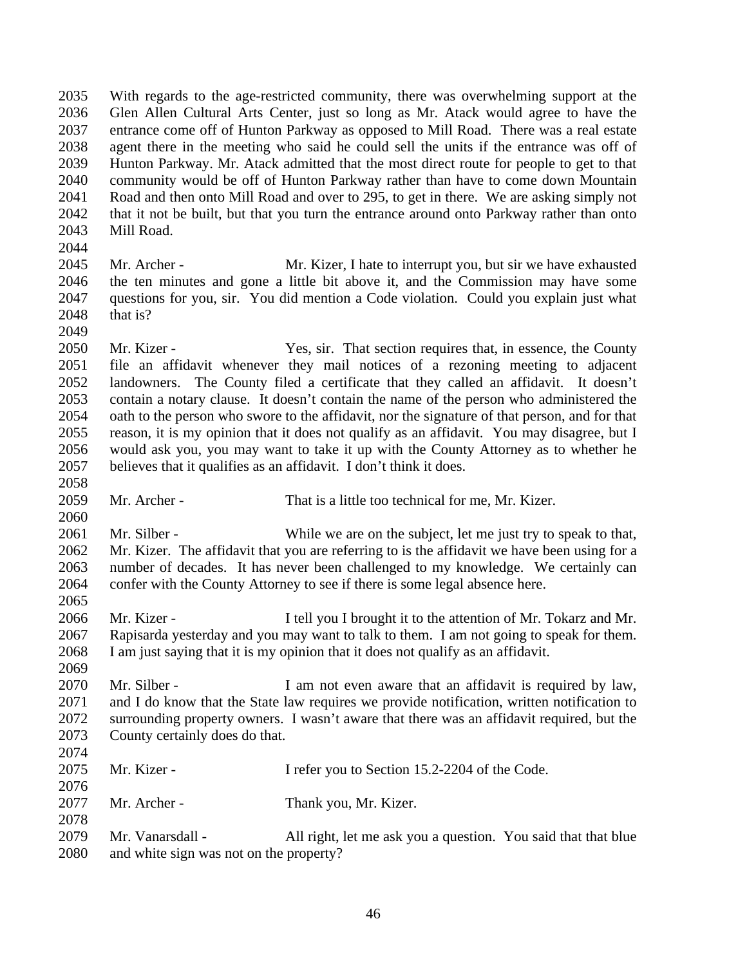With regards to the age-restricted community, there was overwhelming support at the Glen Allen Cultural Arts Center, just so long as Mr. Atack would agree to have the entrance come off of Hunton Parkway as opposed to Mill Road. There was a real estate agent there in the meeting who said he could sell the units if the entrance was off of Hunton Parkway. Mr. Atack admitted that the most direct route for people to get to that community would be off of Hunton Parkway rather than have to come down Mountain Road and then onto Mill Road and over to 295, to get in there. We are asking simply not that it not be built, but that you turn the entrance around onto Parkway rather than onto Mill Road. 

 Mr. Archer - Mr. Kizer, I hate to interrupt you, but sir we have exhausted the ten minutes and gone a little bit above it, and the Commission may have some questions for you, sir. You did mention a Code violation. Could you explain just what that is? 

2050 Mr. Kizer - Yes, sir. That section requires that, in essence, the County file an affidavit whenever they mail notices of a rezoning meeting to adjacent landowners. The County filed a certificate that they called an affidavit. It doesn't contain a notary clause. It doesn't contain the name of the person who administered the oath to the person who swore to the affidavit, nor the signature of that person, and for that reason, it is my opinion that it does not qualify as an affidavit. You may disagree, but I would ask you, you may want to take it up with the County Attorney as to whether he believes that it qualifies as an affidavit. I don't think it does.

Mr. Archer - That is a little too technical for me, Mr. Kizer.

 Mr. Silber - While we are on the subject, let me just try to speak to that, Mr. Kizer. The affidavit that you are referring to is the affidavit we have been using for a number of decades. It has never been challenged to my knowledge. We certainly can confer with the County Attorney to see if there is some legal absence here.

 Mr. Kizer - I tell you I brought it to the attention of Mr. Tokarz and Mr. Rapisarda yesterday and you may want to talk to them. I am not going to speak for them. I am just saying that it is my opinion that it does not qualify as an affidavit.

2070 Mr. Silber - I am not even aware that an affidavit is required by law, and I do know that the State law requires we provide notification, written notification to surrounding property owners. I wasn't aware that there was an affidavit required, but the County certainly does do that. 

| 2075 | Mr. Kizer -                             | I refer you to Section 15.2-2204 of the Code.                 |
|------|-----------------------------------------|---------------------------------------------------------------|
| 2076 |                                         |                                                               |
| 2077 | Mr. Archer -                            | Thank you, Mr. Kizer.                                         |
| 2078 |                                         |                                                               |
| 2079 | Mr. Vanarsdall -                        | All right, let me ask you a question. You said that that blue |
| 2080 | and white sign was not on the property? |                                                               |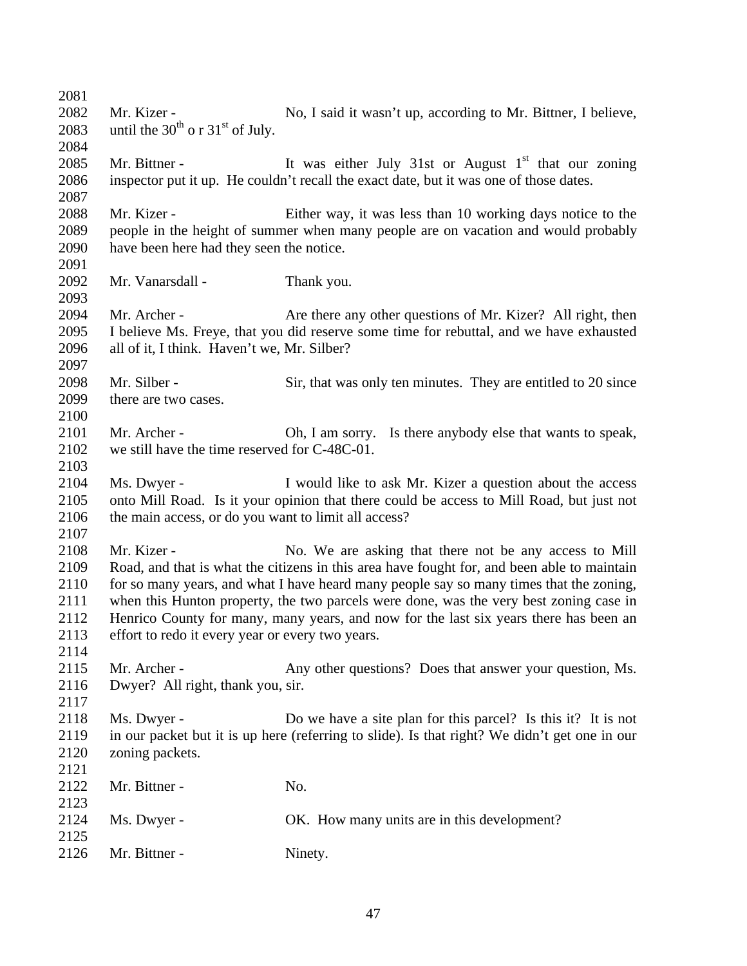| 2081 |                                                      |                                                                                               |
|------|------------------------------------------------------|-----------------------------------------------------------------------------------------------|
| 2082 | Mr. Kizer -                                          | No, I said it wasn't up, according to Mr. Bittner, I believe,                                 |
| 2083 | until the $30^{th}$ o r $31^{st}$ of July.           |                                                                                               |
| 2084 |                                                      |                                                                                               |
| 2085 | Mr. Bittner -                                        | It was either July 31st or August $1st$ that our zoning                                       |
| 2086 |                                                      | inspector put it up. He couldn't recall the exact date, but it was one of those dates.        |
| 2087 |                                                      |                                                                                               |
| 2088 | Mr. Kizer -                                          | Either way, it was less than 10 working days notice to the                                    |
| 2089 |                                                      | people in the height of summer when many people are on vacation and would probably            |
| 2090 | have been here had they seen the notice.             |                                                                                               |
| 2091 |                                                      |                                                                                               |
| 2092 | Mr. Vanarsdall -                                     |                                                                                               |
| 2093 |                                                      | Thank you.                                                                                    |
| 2094 | Mr. Archer -                                         |                                                                                               |
|      |                                                      | Are there any other questions of Mr. Kizer? All right, then                                   |
| 2095 |                                                      | I believe Ms. Freye, that you did reserve some time for rebuttal, and we have exhausted       |
| 2096 | all of it, I think. Haven't we, Mr. Silber?          |                                                                                               |
| 2097 | Mr. Silber -                                         |                                                                                               |
| 2098 |                                                      | Sir, that was only ten minutes. They are entitled to 20 since                                 |
| 2099 | there are two cases.                                 |                                                                                               |
| 2100 |                                                      |                                                                                               |
| 2101 | Mr. Archer -                                         | Oh, I am sorry. Is there anybody else that wants to speak,                                    |
| 2102 | we still have the time reserved for C-48C-01.        |                                                                                               |
| 2103 |                                                      |                                                                                               |
| 2104 | Ms. Dwyer -                                          | I would like to ask Mr. Kizer a question about the access                                     |
| 2105 |                                                      | onto Mill Road. Is it your opinion that there could be access to Mill Road, but just not      |
| 2106 | the main access, or do you want to limit all access? |                                                                                               |
| 2107 |                                                      |                                                                                               |
| 2108 | Mr. Kizer -                                          | No. We are asking that there not be any access to Mill                                        |
| 2109 |                                                      | Road, and that is what the citizens in this area have fought for, and been able to maintain   |
| 2110 |                                                      | for so many years, and what I have heard many people say so many times that the zoning,       |
| 2111 |                                                      | when this Hunton property, the two parcels were done, was the very best zoning case in        |
| 2112 |                                                      | Henrico County for many, many years, and now for the last six years there has been an         |
| 2113 | effort to redo it every year or every two years.     |                                                                                               |
| 2114 |                                                      |                                                                                               |
| 2115 | Mr. Archer -                                         | Any other questions? Does that answer your question, Ms.                                      |
| 2116 | Dwyer? All right, thank you, sir.                    |                                                                                               |
| 2117 |                                                      |                                                                                               |
| 2118 | Ms. Dwyer -                                          | Do we have a site plan for this parcel? Is this it? It is not                                 |
| 2119 |                                                      | in our packet but it is up here (referring to slide). Is that right? We didn't get one in our |
| 2120 | zoning packets.                                      |                                                                                               |
| 2121 |                                                      |                                                                                               |
| 2122 | Mr. Bittner -                                        | No.                                                                                           |
| 2123 |                                                      |                                                                                               |
| 2124 | Ms. Dwyer -                                          | OK. How many units are in this development?                                                   |
| 2125 |                                                      |                                                                                               |
| 2126 | Mr. Bittner -                                        | Ninety.                                                                                       |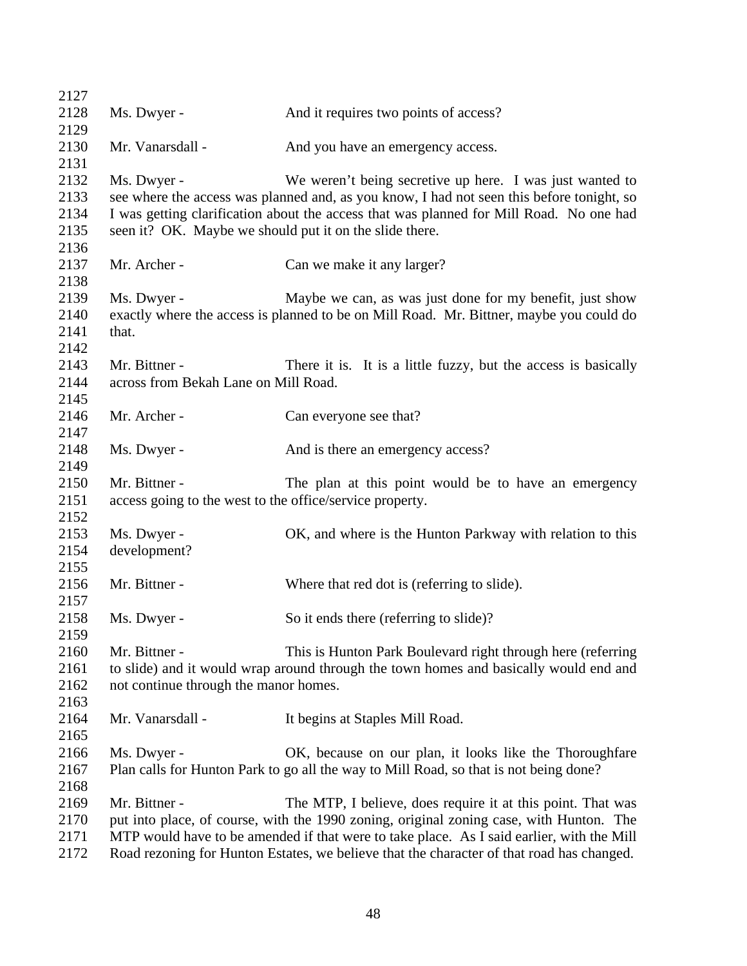| 2127 |                                                          |                                                                                           |
|------|----------------------------------------------------------|-------------------------------------------------------------------------------------------|
| 2128 | Ms. Dwyer -                                              | And it requires two points of access?                                                     |
| 2129 |                                                          |                                                                                           |
| 2130 | Mr. Vanarsdall -                                         | And you have an emergency access.                                                         |
| 2131 |                                                          |                                                                                           |
| 2132 | Ms. Dwyer -                                              | We weren't being secretive up here. I was just wanted to                                  |
| 2133 |                                                          | see where the access was planned and, as you know, I had not seen this before tonight, so |
| 2134 |                                                          | I was getting clarification about the access that was planned for Mill Road. No one had   |
| 2135 | seen it? OK. Maybe we should put it on the slide there.  |                                                                                           |
| 2136 |                                                          |                                                                                           |
| 2137 | Mr. Archer -                                             | Can we make it any larger?                                                                |
| 2138 |                                                          |                                                                                           |
| 2139 | Ms. Dwyer -                                              | Maybe we can, as was just done for my benefit, just show                                  |
| 2140 |                                                          | exactly where the access is planned to be on Mill Road. Mr. Bittner, maybe you could do   |
| 2141 | that.                                                    |                                                                                           |
| 2142 |                                                          |                                                                                           |
| 2143 | Mr. Bittner -                                            | There it is. It is a little fuzzy, but the access is basically                            |
| 2144 | across from Bekah Lane on Mill Road.                     |                                                                                           |
| 2145 |                                                          |                                                                                           |
| 2146 | Mr. Archer -                                             | Can everyone see that?                                                                    |
| 2147 |                                                          |                                                                                           |
| 2148 | Ms. Dwyer -                                              | And is there an emergency access?                                                         |
| 2149 |                                                          |                                                                                           |
| 2150 | Mr. Bittner -                                            | The plan at this point would be to have an emergency                                      |
| 2151 | access going to the west to the office/service property. |                                                                                           |
| 2152 |                                                          |                                                                                           |
| 2153 | Ms. Dwyer -                                              | OK, and where is the Hunton Parkway with relation to this                                 |
| 2154 | development?                                             |                                                                                           |
| 2155 |                                                          |                                                                                           |
| 2156 | Mr. Bittner -                                            | Where that red dot is (referring to slide).                                               |
| 2157 |                                                          |                                                                                           |
| 2158 | Ms. Dwyer -                                              | So it ends there (referring to slide)?                                                    |
| 2159 |                                                          |                                                                                           |
| 2160 | Mr. Bittner -                                            | This is Hunton Park Boulevard right through here (referring                               |
| 2161 |                                                          | to slide) and it would wrap around through the town homes and basically would end and     |
| 2162 | not continue through the manor homes.                    |                                                                                           |
| 2163 |                                                          |                                                                                           |
| 2164 | Mr. Vanarsdall -                                         | It begins at Staples Mill Road.                                                           |
| 2165 |                                                          |                                                                                           |
| 2166 | Ms. Dwyer -                                              | OK, because on our plan, it looks like the Thoroughfare                                   |
| 2167 |                                                          | Plan calls for Hunton Park to go all the way to Mill Road, so that is not being done?     |
| 2168 |                                                          |                                                                                           |
| 2169 | Mr. Bittner -                                            | The MTP, I believe, does require it at this point. That was                               |
| 2170 |                                                          | put into place, of course, with the 1990 zoning, original zoning case, with Hunton. The   |
| 2171 |                                                          | MTP would have to be amended if that were to take place. As I said earlier, with the Mill |
| 2172 |                                                          | Road rezoning for Hunton Estates, we believe that the character of that road has changed. |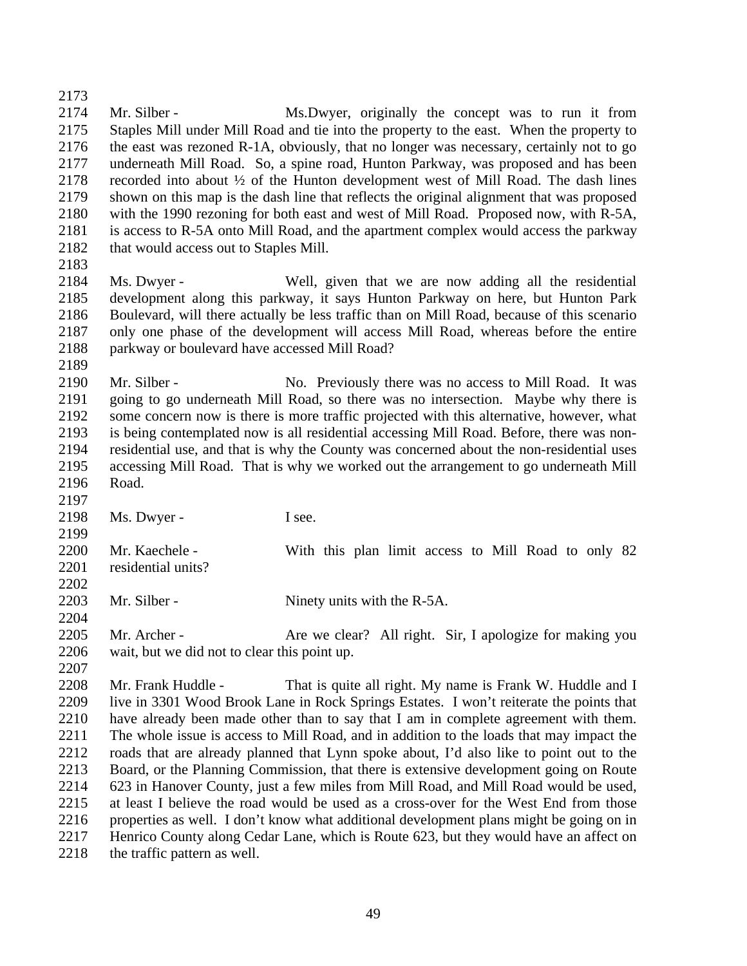Mr. Silber - Ms.Dwyer, originally the concept was to run it from Staples Mill under Mill Road and tie into the property to the east. When the property to the east was rezoned R-1A, obviously, that no longer was necessary, certainly not to go underneath Mill Road. So, a spine road, Hunton Parkway, was proposed and has been recorded into about ½ of the Hunton development west of Mill Road. The dash lines shown on this map is the dash line that reflects the original alignment that was proposed with the 1990 rezoning for both east and west of Mill Road. Proposed now, with R-5A, is access to R-5A onto Mill Road, and the apartment complex would access the parkway 2182 that would access out to Staples Mill. 

- Ms. Dwyer Well, given that we are now adding all the residential development along this parkway, it says Hunton Parkway on here, but Hunton Park Boulevard, will there actually be less traffic than on Mill Road, because of this scenario only one phase of the development will access Mill Road, whereas before the entire parkway or boulevard have accessed Mill Road?
- 2190 Mr. Silber No. Previously there was no access to Mill Road. It was going to go underneath Mill Road, so there was no intersection. Maybe why there is some concern now is there is more traffic projected with this alternative, however, what is being contemplated now is all residential accessing Mill Road. Before, there was non- residential use, and that is why the County was concerned about the non-residential uses accessing Mill Road. That is why we worked out the arrangement to go underneath Mill Road.
- 2198 Ms. Dwyer I see.

 2200 Mr. Kaechele - With this plan limit access to Mill Road to only 82 2201 residential units? 

- 2203 Mr. Silber Ninety units with the R-5A.
- 2205 Mr. Archer Are we clear? All right. Sir, I apologize for making you wait, but we did not to clear this point up.
- 2208 Mr. Frank Huddle - That is quite all right. My name is Frank W. Huddle and I live in 3301 Wood Brook Lane in Rock Springs Estates. I won't reiterate the points that have already been made other than to say that I am in complete agreement with them. The whole issue is access to Mill Road, and in addition to the loads that may impact the roads that are already planned that Lynn spoke about, I'd also like to point out to the Board, or the Planning Commission, that there is extensive development going on Route 623 in Hanover County, just a few miles from Mill Road, and Mill Road would be used, at least I believe the road would be used as a cross-over for the West End from those properties as well. I don't know what additional development plans might be going on in Henrico County along Cedar Lane, which is Route 623, but they would have an affect on 2218 the traffic pattern as well.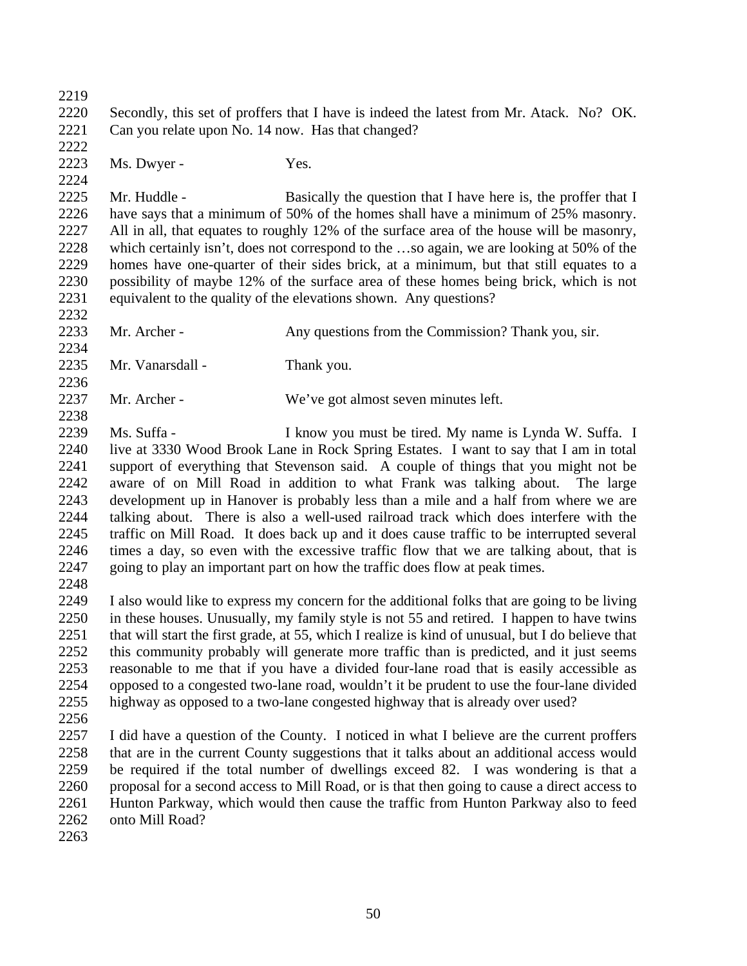Secondly, this set of proffers that I have is indeed the latest from Mr. Atack. No? OK. Can you relate upon No. 14 now. Has that changed? 2223 Ms. Dwyer - Yes. 

2225 Mr. Huddle - Basically the question that I have here is, the proffer that I have says that a minimum of 50% of the homes shall have a minimum of 25% masonry. All in all, that equates to roughly 12% of the surface area of the house will be masonry, which certainly isn't, does not correspond to the …so again, we are looking at 50% of the homes have one-quarter of their sides brick, at a minimum, but that still equates to a possibility of maybe 12% of the surface area of these homes being brick, which is not equivalent to the quality of the elevations shown. Any questions? 

2233 Mr. Archer - Any questions from the Commission? Thank you, sir. Mr. Vanarsdall - Thank you. Mr. Archer - We've got almost seven minutes left. 

 Ms. Suffa - I know you must be tired. My name is Lynda W. Suffa. I live at 3330 Wood Brook Lane in Rock Spring Estates. I want to say that I am in total support of everything that Stevenson said. A couple of things that you might not be aware of on Mill Road in addition to what Frank was talking about. The large development up in Hanover is probably less than a mile and a half from where we are talking about. There is also a well-used railroad track which does interfere with the traffic on Mill Road. It does back up and it does cause traffic to be interrupted several times a day, so even with the excessive traffic flow that we are talking about, that is going to play an important part on how the traffic does flow at peak times.

 I also would like to express my concern for the additional folks that are going to be living in these houses. Unusually, my family style is not 55 and retired. I happen to have twins that will start the first grade, at 55, which I realize is kind of unusual, but I do believe that this community probably will generate more traffic than is predicted, and it just seems reasonable to me that if you have a divided four-lane road that is easily accessible as opposed to a congested two-lane road, wouldn't it be prudent to use the four-lane divided highway as opposed to a two-lane congested highway that is already over used?

 I did have a question of the County. I noticed in what I believe are the current proffers that are in the current County suggestions that it talks about an additional access would be required if the total number of dwellings exceed 82. I was wondering is that a proposal for a second access to Mill Road, or is that then going to cause a direct access to Hunton Parkway, which would then cause the traffic from Hunton Parkway also to feed onto Mill Road?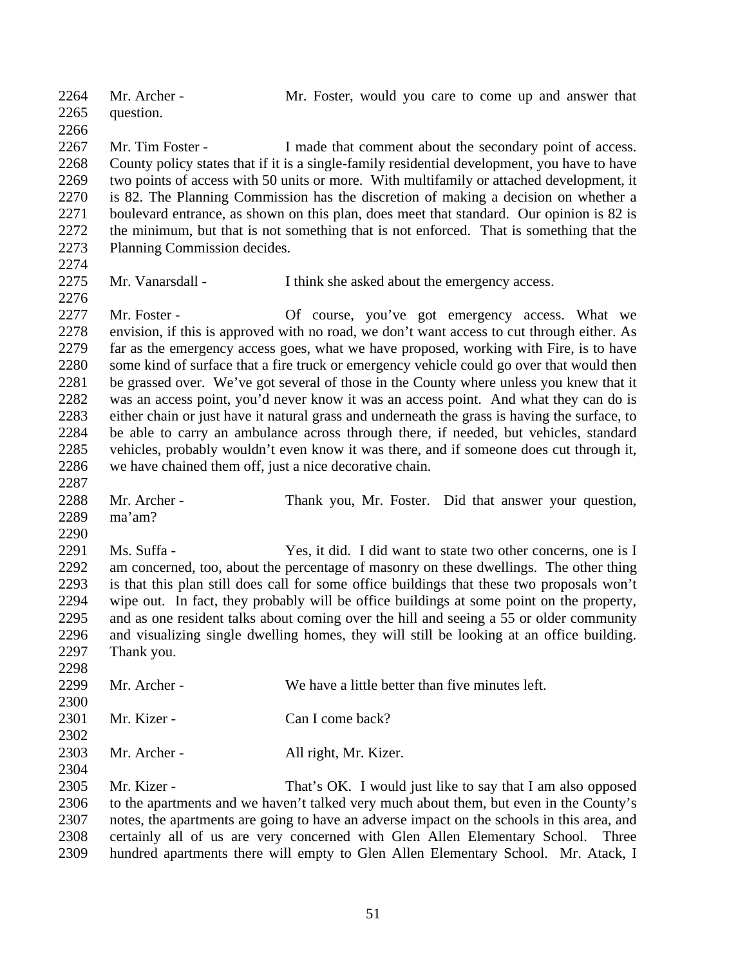Mr. Archer - Mr. Foster, would you care to come up and answer that question. 2267 Mr. Tim Foster - I made that comment about the secondary point of access. County policy states that if it is a single-family residential development, you have to have two points of access with 50 units or more. With multifamily or attached development, it is 82. The Planning Commission has the discretion of making a decision on whether a boulevard entrance, as shown on this plan, does meet that standard. Our opinion is 82 is the minimum, but that is not something that is not enforced. That is something that the Planning Commission decides. Mr. Vanarsdall - I think she asked about the emergency access. 2277 Mr. Foster - Of course, you've got emergency access. What we envision, if this is approved with no road, we don't want access to cut through either. As far as the emergency access goes, what we have proposed, working with Fire, is to have some kind of surface that a fire truck or emergency vehicle could go over that would then be grassed over. We've got several of those in the County where unless you knew that it was an access point, you'd never know it was an access point. And what they can do is either chain or just have it natural grass and underneath the grass is having the surface, to be able to carry an ambulance across through there, if needed, but vehicles, standard vehicles, probably wouldn't even know it was there, and if someone does cut through it, we have chained them off, just a nice decorative chain. Mr. Archer - Thank you, Mr. Foster. Did that answer your question, ma'am? Ms. Suffa - Yes, it did. I did want to state two other concerns, one is I am concerned, too, about the percentage of masonry on these dwellings. The other thing is that this plan still does call for some office buildings that these two proposals won't wipe out. In fact, they probably will be office buildings at some point on the property, and as one resident talks about coming over the hill and seeing a 55 or older community and visualizing single dwelling homes, they will still be looking at an office building. Thank you. 2299 Mr. Archer - We have a little better than five minutes left. 2301 Mr. Kizer - Can I come back? Mr. Archer - All right, Mr. Kizer. 2305 Mr. Kizer - That's OK. I would just like to say that I am also opposed to the apartments and we haven't talked very much about them, but even in the County's notes, the apartments are going to have an adverse impact on the schools in this area, and certainly all of us are very concerned with Glen Allen Elementary School. Three hundred apartments there will empty to Glen Allen Elementary School. Mr. Atack, I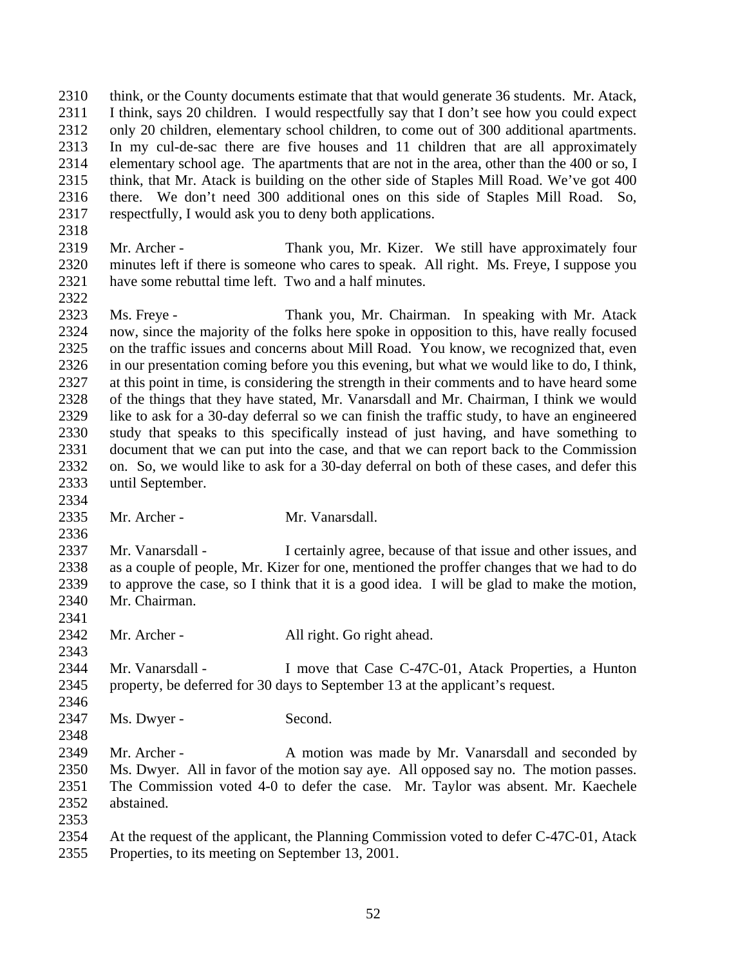think, or the County documents estimate that that would generate 36 students. Mr. Atack, I think, says 20 children. I would respectfully say that I don't see how you could expect only 20 children, elementary school children, to come out of 300 additional apartments. In my cul-de-sac there are five houses and 11 children that are all approximately elementary school age. The apartments that are not in the area, other than the 400 or so, I think, that Mr. Atack is building on the other side of Staples Mill Road. We've got 400 there. We don't need 300 additional ones on this side of Staples Mill Road. So, respectfully, I would ask you to deny both applications.

 Mr. Archer - Thank you, Mr. Kizer. We still have approximately four minutes left if there is someone who cares to speak. All right. Ms. Freye, I suppose you have some rebuttal time left. Two and a half minutes. 

 Ms. Freye - Thank you, Mr. Chairman. In speaking with Mr. Atack now, since the majority of the folks here spoke in opposition to this, have really focused on the traffic issues and concerns about Mill Road. You know, we recognized that, even in our presentation coming before you this evening, but what we would like to do, I think, at this point in time, is considering the strength in their comments and to have heard some of the things that they have stated, Mr. Vanarsdall and Mr. Chairman, I think we would like to ask for a 30-day deferral so we can finish the traffic study, to have an engineered study that speaks to this specifically instead of just having, and have something to document that we can put into the case, and that we can report back to the Commission on. So, we would like to ask for a 30-day deferral on both of these cases, and defer this until September.

Mr. Archer - Mr. Vanarsdall.

 Mr. Vanarsdall - I certainly agree, because of that issue and other issues, and as a couple of people, Mr. Kizer for one, mentioned the proffer changes that we had to do to approve the case, so I think that it is a good idea. I will be glad to make the motion, Mr. Chairman.

- Mr. Archer All right. Go right ahead.
- Mr. Vanarsdall I move that Case C-47C-01, Atack Properties, a Hunton property, be deferred for 30 days to September 13 at the applicant's request.
- 2347 Ms. Dwyer Second.
- 2349 Mr. Archer A motion was made by Mr. Vanarsdall and seconded by Ms. Dwyer. All in favor of the motion say aye. All opposed say no. The motion passes. The Commission voted 4-0 to defer the case. Mr. Taylor was absent. Mr. Kaechele abstained.
- 

 At the request of the applicant, the Planning Commission voted to defer C-47C-01, Atack Properties, to its meeting on September 13, 2001.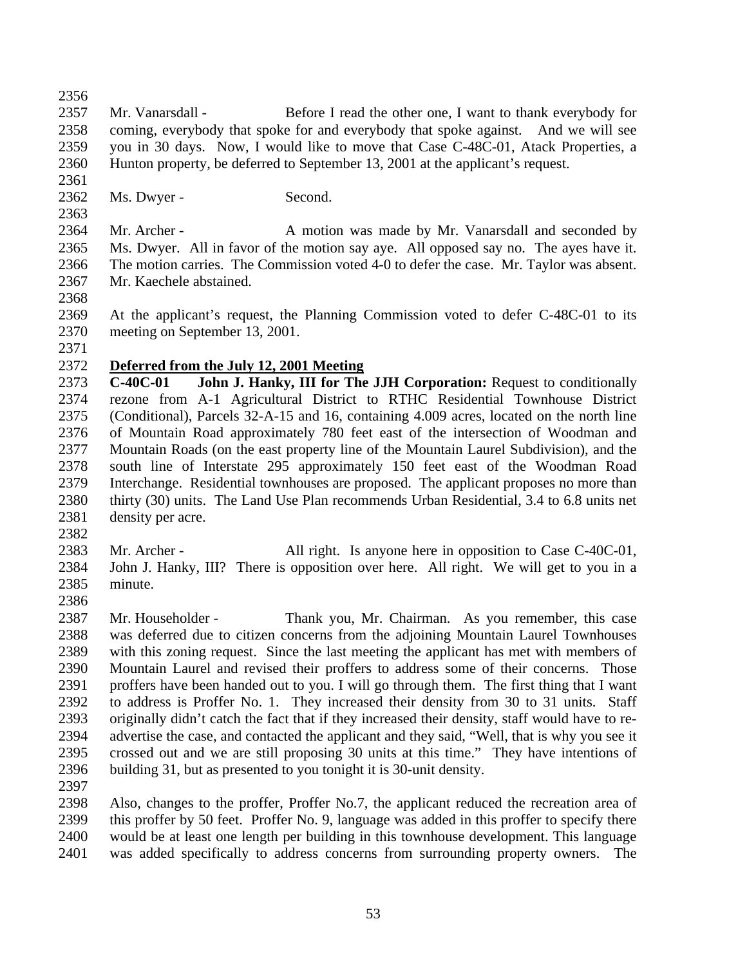Mr. Vanarsdall - Before I read the other one, I want to thank everybody for coming, everybody that spoke for and everybody that spoke against. And we will see you in 30 days. Now, I would like to move that Case C-48C-01, Atack Properties, a Hunton property, be deferred to September 13, 2001 at the applicant's request.

2362 Ms. Dwyer - Second.

2364 Mr. Archer - A motion was made by Mr. Vanarsdall and seconded by Ms. Dwyer. All in favor of the motion say aye. All opposed say no. The ayes have it. The motion carries. The Commission voted 4-0 to defer the case. Mr. Taylor was absent. Mr. Kaechele abstained.

 At the applicant's request, the Planning Commission voted to defer C-48C-01 to its meeting on September 13, 2001.

## **Deferred from the July 12, 2001 Meeting**

 **C-40C-01 John J. Hanky, III for The JJH Corporation:** Request to conditionally rezone from A-1 Agricultural District to RTHC Residential Townhouse District (Conditional), Parcels 32-A-15 and 16, containing 4.009 acres, located on the north line of Mountain Road approximately 780 feet east of the intersection of Woodman and Mountain Roads (on the east property line of the Mountain Laurel Subdivision), and the south line of Interstate 295 approximately 150 feet east of the Woodman Road Interchange. Residential townhouses are proposed. The applicant proposes no more than thirty (30) units. The Land Use Plan recommends Urban Residential, 3.4 to 6.8 units net density per acre.

2383 Mr. Archer - All right. Is anyone here in opposition to Case C-40C-01, John J. Hanky, III? There is opposition over here. All right. We will get to you in a minute. 

 Mr. Householder - Thank you, Mr. Chairman. As you remember, this case was deferred due to citizen concerns from the adjoining Mountain Laurel Townhouses with this zoning request. Since the last meeting the applicant has met with members of Mountain Laurel and revised their proffers to address some of their concerns. Those proffers have been handed out to you. I will go through them. The first thing that I want to address is Proffer No. 1. They increased their density from 30 to 31 units. Staff originally didn't catch the fact that if they increased their density, staff would have to re- advertise the case, and contacted the applicant and they said, "Well, that is why you see it crossed out and we are still proposing 30 units at this time." They have intentions of building 31, but as presented to you tonight it is 30-unit density.

 Also, changes to the proffer, Proffer No.7, the applicant reduced the recreation area of this proffer by 50 feet. Proffer No. 9, language was added in this proffer to specify there would be at least one length per building in this townhouse development. This language was added specifically to address concerns from surrounding property owners. The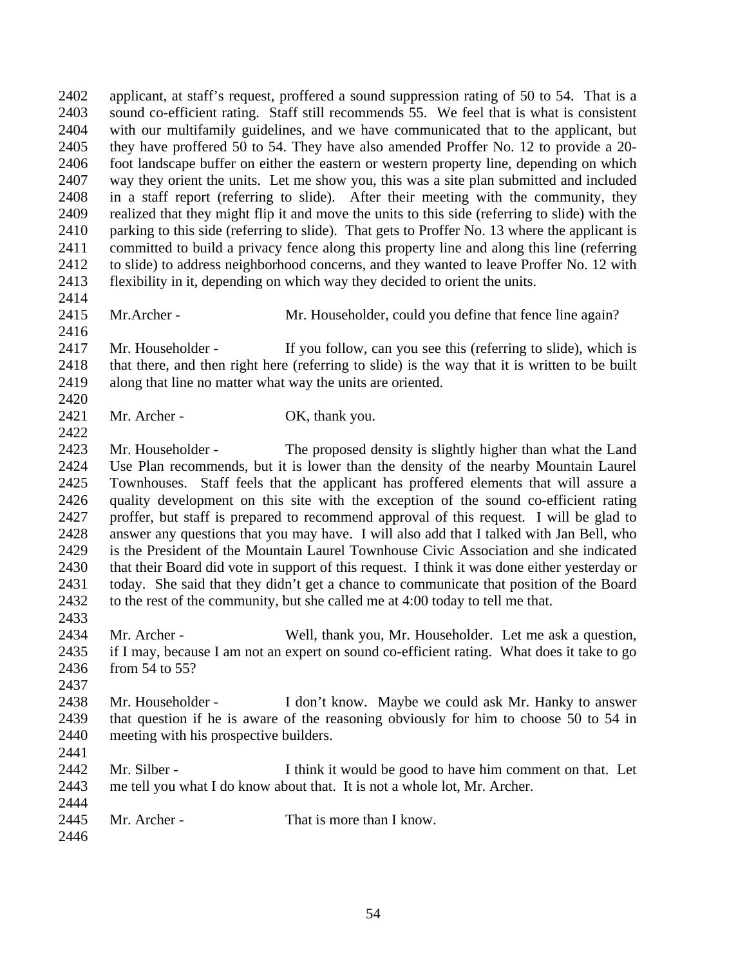applicant, at staff's request, proffered a sound suppression rating of 50 to 54. That is a sound co-efficient rating. Staff still recommends 55. We feel that is what is consistent with our multifamily guidelines, and we have communicated that to the applicant, but they have proffered 50 to 54. They have also amended Proffer No. 12 to provide a 20- foot landscape buffer on either the eastern or western property line, depending on which way they orient the units. Let me show you, this was a site plan submitted and included in a staff report (referring to slide). After their meeting with the community, they realized that they might flip it and move the units to this side (referring to slide) with the parking to this side (referring to slide). That gets to Proffer No. 13 where the applicant is committed to build a privacy fence along this property line and along this line (referring to slide) to address neighborhood concerns, and they wanted to leave Proffer No. 12 with flexibility in it, depending on which way they decided to orient the units.

2415 Mr. Archer - Mr. Householder, could you define that fence line again?

 Mr. Householder - If you follow, can you see this (referring to slide), which is that there, and then right here (referring to slide) is the way that it is written to be built along that line no matter what way the units are oriented. 

2421 Mr. Archer - OK, thank you.

 Mr. Householder - The proposed density is slightly higher than what the Land Use Plan recommends, but it is lower than the density of the nearby Mountain Laurel Townhouses. Staff feels that the applicant has proffered elements that will assure a quality development on this site with the exception of the sound co-efficient rating proffer, but staff is prepared to recommend approval of this request. I will be glad to answer any questions that you may have. I will also add that I talked with Jan Bell, who is the President of the Mountain Laurel Townhouse Civic Association and she indicated that their Board did vote in support of this request. I think it was done either yesterday or today. She said that they didn't get a chance to communicate that position of the Board to the rest of the community, but she called me at 4:00 today to tell me that. 

 Mr. Archer - Well, thank you, Mr. Householder. Let me ask a question, if I may, because I am not an expert on sound co-efficient rating. What does it take to go from 54 to 55?

 Mr. Householder - I don't know. Maybe we could ask Mr. Hanky to answer that question if he is aware of the reasoning obviously for him to choose 50 to 54 in meeting with his prospective builders.

2442 Mr. Silber - I think it would be good to have him comment on that. Let me tell you what I do know about that. It is not a whole lot, Mr. Archer.

2445 Mr. Archer - That is more than I know.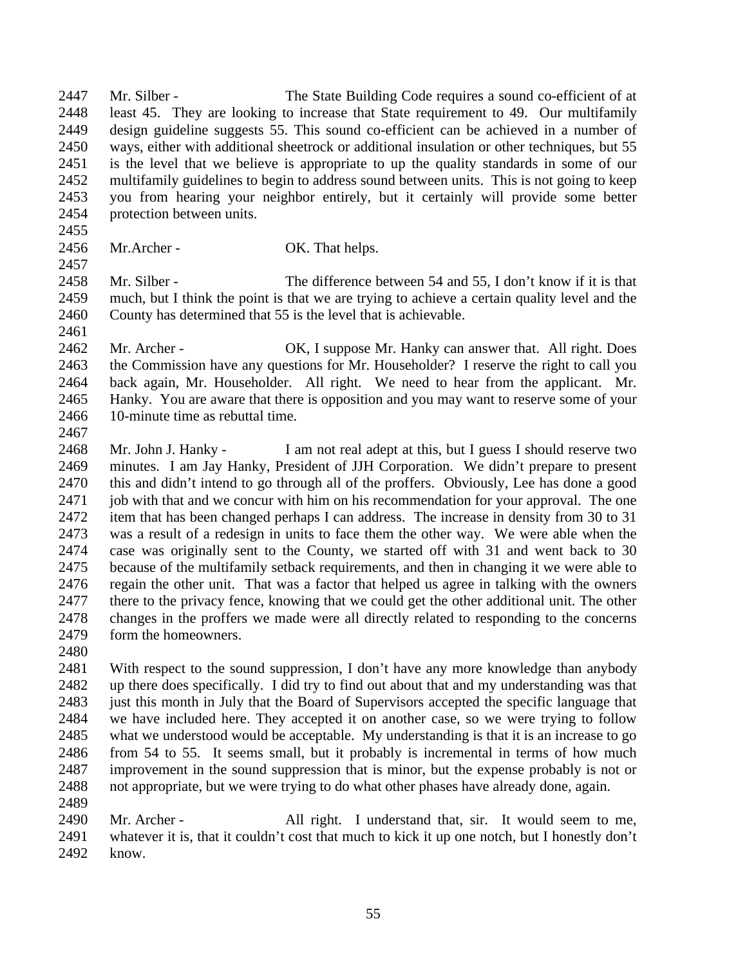Mr. Silber - The State Building Code requires a sound co-efficient of at least 45. They are looking to increase that State requirement to 49. Our multifamily design guideline suggests 55. This sound co-efficient can be achieved in a number of ways, either with additional sheetrock or additional insulation or other techniques, but 55 is the level that we believe is appropriate to up the quality standards in some of our multifamily guidelines to begin to address sound between units. This is not going to keep you from hearing your neighbor entirely, but it certainly will provide some better protection between units.

#### 2456 Mr.Archer - OK. That helps.

 Mr. Silber - The difference between 54 and 55, I don't know if it is that much, but I think the point is that we are trying to achieve a certain quality level and the County has determined that 55 is the level that is achievable.

2462 Mr. Archer - OK, I suppose Mr. Hanky can answer that. All right. Does the Commission have any questions for Mr. Householder? I reserve the right to call you back again, Mr. Householder. All right. We need to hear from the applicant. Mr. Hanky. You are aware that there is opposition and you may want to reserve some of your 10-minute time as rebuttal time. 

 Mr. John J. Hanky - I am not real adept at this, but I guess I should reserve two minutes. I am Jay Hanky, President of JJH Corporation. We didn't prepare to present this and didn't intend to go through all of the proffers. Obviously, Lee has done a good job with that and we concur with him on his recommendation for your approval. The one item that has been changed perhaps I can address. The increase in density from 30 to 31 was a result of a redesign in units to face them the other way. We were able when the case was originally sent to the County, we started off with 31 and went back to 30 because of the multifamily setback requirements, and then in changing it we were able to regain the other unit. That was a factor that helped us agree in talking with the owners there to the privacy fence, knowing that we could get the other additional unit. The other changes in the proffers we made were all directly related to responding to the concerns 2479 form the homeowners.

 With respect to the sound suppression, I don't have any more knowledge than anybody up there does specifically. I did try to find out about that and my understanding was that just this month in July that the Board of Supervisors accepted the specific language that we have included here. They accepted it on another case, so we were trying to follow what we understood would be acceptable. My understanding is that it is an increase to go from 54 to 55. It seems small, but it probably is incremental in terms of how much improvement in the sound suppression that is minor, but the expense probably is not or not appropriate, but we were trying to do what other phases have already done, again.

 Mr. Archer - All right. I understand that, sir. It would seem to me, whatever it is, that it couldn't cost that much to kick it up one notch, but I honestly don't know.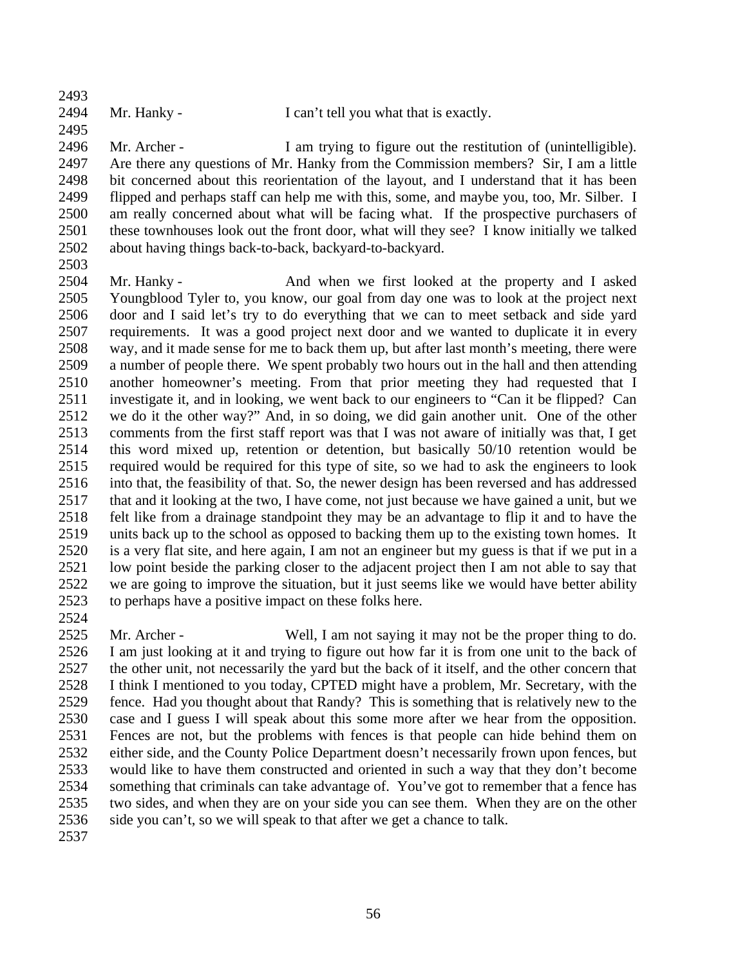Mr. Hanky - I can't tell you what that is exactly.

 Mr. Archer - I am trying to figure out the restitution of (unintelligible). Are there any questions of Mr. Hanky from the Commission members? Sir, I am a little bit concerned about this reorientation of the layout, and I understand that it has been flipped and perhaps staff can help me with this, some, and maybe you, too, Mr. Silber. I am really concerned about what will be facing what. If the prospective purchasers of these townhouses look out the front door, what will they see? I know initially we talked about having things back-to-back, backyard-to-backyard.

2504 Mr. Hanky - And when we first looked at the property and I asked Youngblood Tyler to, you know, our goal from day one was to look at the project next door and I said let's try to do everything that we can to meet setback and side yard requirements. It was a good project next door and we wanted to duplicate it in every way, and it made sense for me to back them up, but after last month's meeting, there were a number of people there. We spent probably two hours out in the hall and then attending another homeowner's meeting. From that prior meeting they had requested that I investigate it, and in looking, we went back to our engineers to "Can it be flipped? Can we do it the other way?" And, in so doing, we did gain another unit. One of the other comments from the first staff report was that I was not aware of initially was that, I get this word mixed up, retention or detention, but basically 50/10 retention would be required would be required for this type of site, so we had to ask the engineers to look into that, the feasibility of that. So, the newer design has been reversed and has addressed that and it looking at the two, I have come, not just because we have gained a unit, but we felt like from a drainage standpoint they may be an advantage to flip it and to have the units back up to the school as opposed to backing them up to the existing town homes. It is a very flat site, and here again, I am not an engineer but my guess is that if we put in a low point beside the parking closer to the adjacent project then I am not able to say that we are going to improve the situation, but it just seems like we would have better ability to perhaps have a positive impact on these folks here.

 Mr. Archer - Well, I am not saying it may not be the proper thing to do. I am just looking at it and trying to figure out how far it is from one unit to the back of the other unit, not necessarily the yard but the back of it itself, and the other concern that I think I mentioned to you today, CPTED might have a problem, Mr. Secretary, with the fence. Had you thought about that Randy? This is something that is relatively new to the case and I guess I will speak about this some more after we hear from the opposition. Fences are not, but the problems with fences is that people can hide behind them on either side, and the County Police Department doesn't necessarily frown upon fences, but would like to have them constructed and oriented in such a way that they don't become something that criminals can take advantage of. You've got to remember that a fence has two sides, and when they are on your side you can see them. When they are on the other side you can't, so we will speak to that after we get a chance to talk.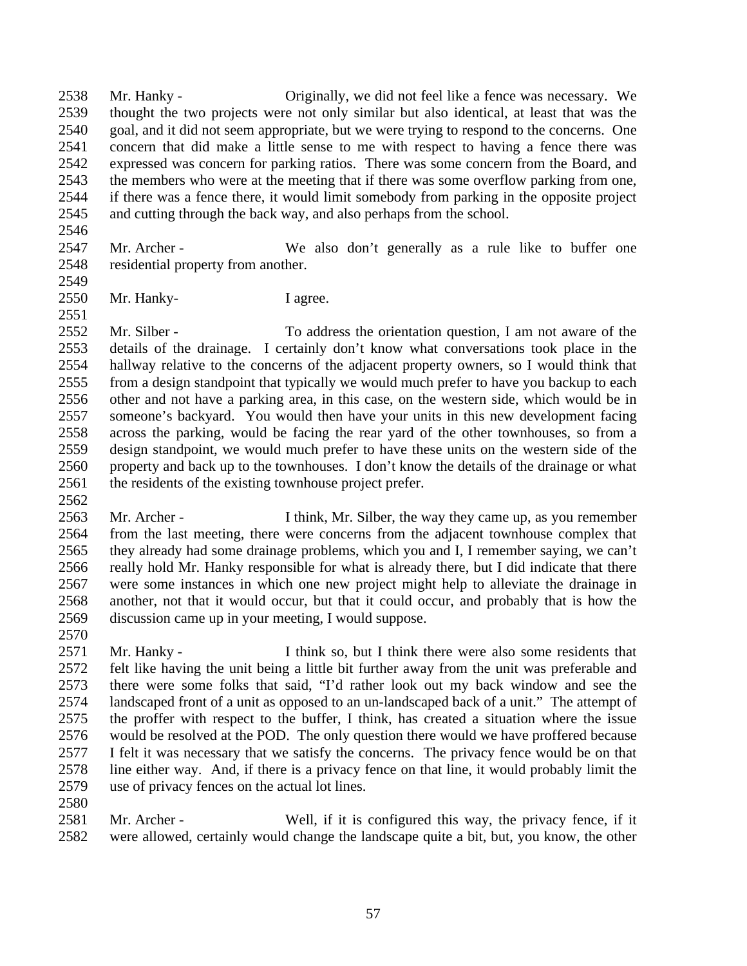Mr. Hanky - Originally, we did not feel like a fence was necessary. We thought the two projects were not only similar but also identical, at least that was the goal, and it did not seem appropriate, but we were trying to respond to the concerns. One concern that did make a little sense to me with respect to having a fence there was expressed was concern for parking ratios. There was some concern from the Board, and the members who were at the meeting that if there was some overflow parking from one, if there was a fence there, it would limit somebody from parking in the opposite project and cutting through the back way, and also perhaps from the school.

- Mr. Archer We also don't generally as a rule like to buffer one residential property from another.
- Mr. Hanky- I agree.

 Mr. Silber - To address the orientation question, I am not aware of the details of the drainage. I certainly don't know what conversations took place in the hallway relative to the concerns of the adjacent property owners, so I would think that from a design standpoint that typically we would much prefer to have you backup to each other and not have a parking area, in this case, on the western side, which would be in someone's backyard. You would then have your units in this new development facing across the parking, would be facing the rear yard of the other townhouses, so from a design standpoint, we would much prefer to have these units on the western side of the property and back up to the townhouses. I don't know the details of the drainage or what 2561 the residents of the existing townhouse project prefer.

- Mr. Archer I think, Mr. Silber, the way they came up, as you remember from the last meeting, there were concerns from the adjacent townhouse complex that they already had some drainage problems, which you and I, I remember saying, we can't really hold Mr. Hanky responsible for what is already there, but I did indicate that there were some instances in which one new project might help to alleviate the drainage in another, not that it would occur, but that it could occur, and probably that is how the discussion came up in your meeting, I would suppose.
- 

 Mr. Hanky - I think so, but I think there were also some residents that felt like having the unit being a little bit further away from the unit was preferable and there were some folks that said, "I'd rather look out my back window and see the landscaped front of a unit as opposed to an un-landscaped back of a unit." The attempt of the proffer with respect to the buffer, I think, has created a situation where the issue would be resolved at the POD. The only question there would we have proffered because I felt it was necessary that we satisfy the concerns. The privacy fence would be on that line either way. And, if there is a privacy fence on that line, it would probably limit the use of privacy fences on the actual lot lines.

 Mr. Archer - Well, if it is configured this way, the privacy fence, if it were allowed, certainly would change the landscape quite a bit, but, you know, the other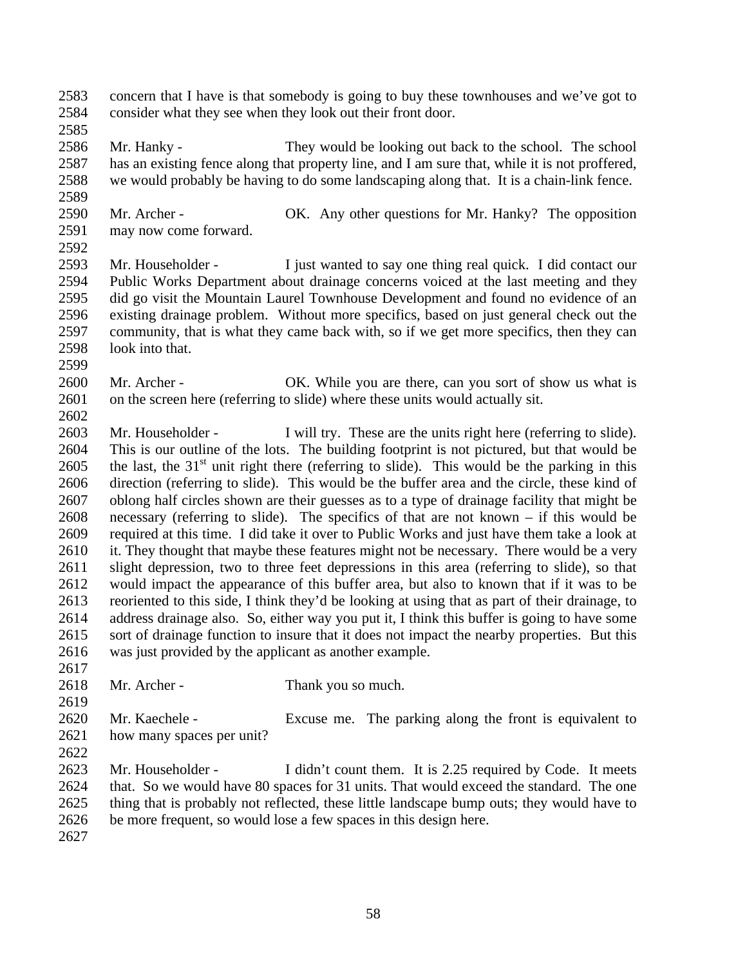concern that I have is that somebody is going to buy these townhouses and we've got to consider what they see when they look out their front door.

- 
- 

 Mr. Hanky - They would be looking out back to the school. The school has an existing fence along that property line, and I am sure that, while it is not proffered, we would probably be having to do some landscaping along that. It is a chain-link fence.

- Mr. Archer OK. Any other questions for Mr. Hanky? The opposition may now come forward.
- 

 Mr. Householder - I just wanted to say one thing real quick. I did contact our Public Works Department about drainage concerns voiced at the last meeting and they did go visit the Mountain Laurel Townhouse Development and found no evidence of an existing drainage problem. Without more specifics, based on just general check out the community, that is what they came back with, so if we get more specifics, then they can look into that.

2600 Mr. Archer - OK. While you are there, can you sort of show us what is on the screen here (referring to slide) where these units would actually sit.

 Mr. Householder - I will try. These are the units right here (referring to slide). This is our outline of the lots. The building footprint is not pictured, but that would be 2605 the last, the  $31<sup>st</sup>$  unit right there (referring to slide). This would be the parking in this direction (referring to slide). This would be the buffer area and the circle, these kind of oblong half circles shown are their guesses as to a type of drainage facility that might be necessary (referring to slide). The specifics of that are not known – if this would be required at this time. I did take it over to Public Works and just have them take a look at 2610 it. They thought that maybe these features might not be necessary. There would be a very slight depression, two to three feet depressions in this area (referring to slide), so that would impact the appearance of this buffer area, but also to known that if it was to be reoriented to this side, I think they'd be looking at using that as part of their drainage, to address drainage also. So, either way you put it, I think this buffer is going to have some sort of drainage function to insure that it does not impact the nearby properties. But this was just provided by the applicant as another example.

2618 Mr. Archer - Thank you so much.

 Mr. Kaechele - Excuse me. The parking along the front is equivalent to how many spaces per unit?

 Mr. Householder - I didn't count them. It is 2.25 required by Code. It meets that. So we would have 80 spaces for 31 units. That would exceed the standard. The one thing that is probably not reflected, these little landscape bump outs; they would have to be more frequent, so would lose a few spaces in this design here.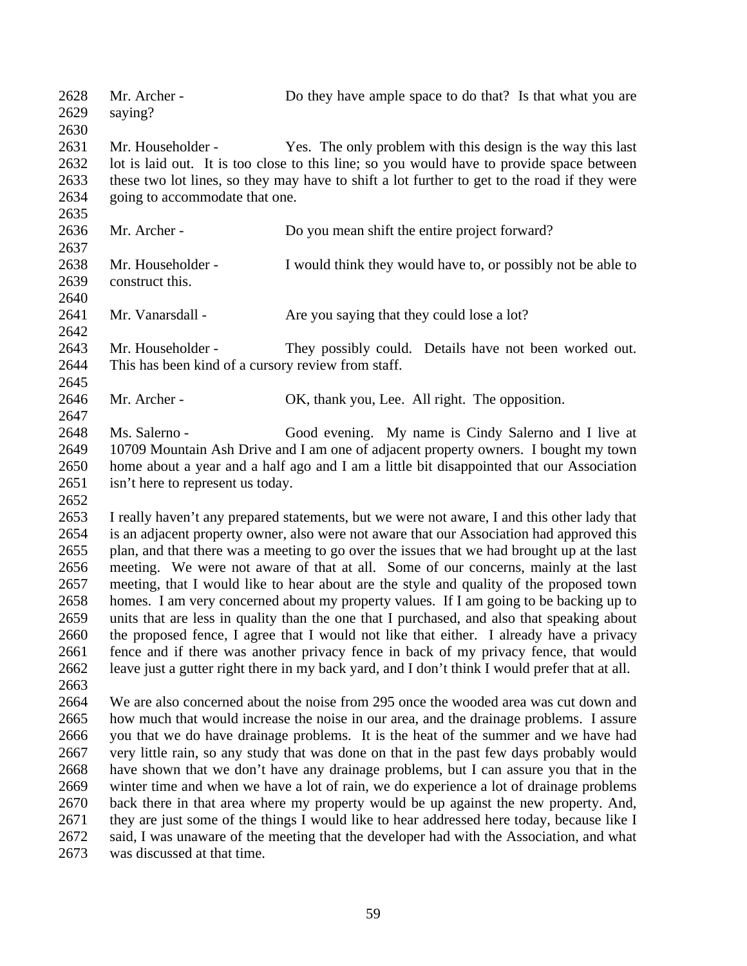2628 Mr. Archer - Do they have ample space to do that? Is that what you are saying? Mr. Householder - Yes. The only problem with this design is the way this last lot is laid out. It is too close to this line; so you would have to provide space between these two lot lines, so they may have to shift a lot further to get to the road if they were going to accommodate that one. Mr. Archer - Do you mean shift the entire project forward? Mr. Householder - I would think they would have to, or possibly not be able to construct this. 2641 Mr. Vanarsdall - Are you saying that they could lose a lot? Mr. Householder - They possibly could. Details have not been worked out. This has been kind of a cursory review from staff. Mr. Archer - OK, thank you, Lee. All right. The opposition. Ms. Salerno - Good evening. My name is Cindy Salerno and I live at 10709 Mountain Ash Drive and I am one of adjacent property owners. I bought my town home about a year and a half ago and I am a little bit disappointed that our Association 2651 isn't here to represent us today. I really haven't any prepared statements, but we were not aware, I and this other lady that is an adjacent property owner, also were not aware that our Association had approved this plan, and that there was a meeting to go over the issues that we had brought up at the last meeting. We were not aware of that at all. Some of our concerns, mainly at the last meeting, that I would like to hear about are the style and quality of the proposed town homes. I am very concerned about my property values. If I am going to be backing up to units that are less in quality than the one that I purchased, and also that speaking about the proposed fence, I agree that I would not like that either. I already have a privacy fence and if there was another privacy fence in back of my privacy fence, that would leave just a gutter right there in my back yard, and I don't think I would prefer that at all. We are also concerned about the noise from 295 once the wooded area was cut down and how much that would increase the noise in our area, and the drainage problems. I assure you that we do have drainage problems. It is the heat of the summer and we have had very little rain, so any study that was done on that in the past few days probably would have shown that we don't have any drainage problems, but I can assure you that in the winter time and when we have a lot of rain, we do experience a lot of drainage problems back there in that area where my property would be up against the new property. And, 2671 they are just some of the things I would like to hear addressed here today, because like I said, I was unaware of the meeting that the developer had with the Association, and what was discussed at that time.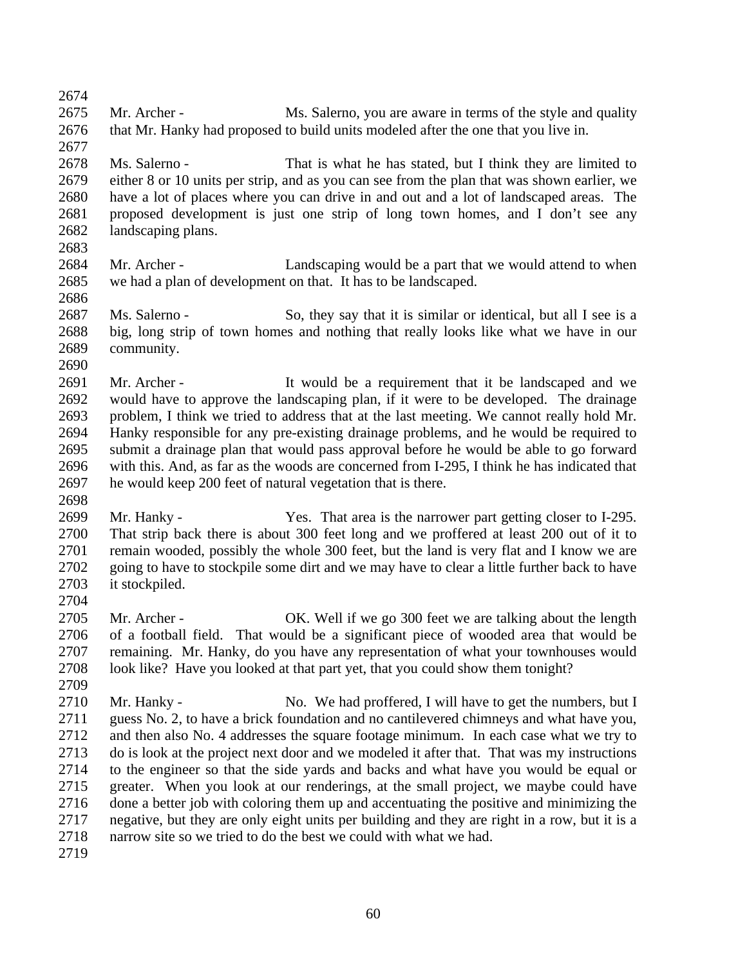Mr. Archer - Ms. Salerno, you are aware in terms of the style and quality that Mr. Hanky had proposed to build units modeled after the one that you live in. Ms. Salerno - That is what he has stated, but I think they are limited to either 8 or 10 units per strip, and as you can see from the plan that was shown earlier, we have a lot of places where you can drive in and out and a lot of landscaped areas. The proposed development is just one strip of long town homes, and I don't see any landscaping plans. 2684 Mr. Archer - Landscaping would be a part that we would attend to when we had a plan of development on that. It has to be landscaped. Ms. Salerno - So, they say that it is similar or identical, but all I see is a big, long strip of town homes and nothing that really looks like what we have in our community. Mr. Archer - It would be a requirement that it be landscaped and we would have to approve the landscaping plan, if it were to be developed. The drainage problem, I think we tried to address that at the last meeting. We cannot really hold Mr. Hanky responsible for any pre-existing drainage problems, and he would be required to submit a drainage plan that would pass approval before he would be able to go forward with this. And, as far as the woods are concerned from I-295, I think he has indicated that he would keep 200 feet of natural vegetation that is there. Mr. Hanky - Yes. That area is the narrower part getting closer to I-295. That strip back there is about 300 feet long and we proffered at least 200 out of it to remain wooded, possibly the whole 300 feet, but the land is very flat and I know we are going to have to stockpile some dirt and we may have to clear a little further back to have it stockpiled. Mr. Archer - OK. Well if we go 300 feet we are talking about the length of a football field. That would be a significant piece of wooded area that would be remaining. Mr. Hanky, do you have any representation of what your townhouses would look like? Have you looked at that part yet, that you could show them tonight? 2710 Mr. Hanky - No. We had proffered, I will have to get the numbers, but I guess No. 2, to have a brick foundation and no cantilevered chimneys and what have you, and then also No. 4 addresses the square footage minimum. In each case what we try to do is look at the project next door and we modeled it after that. That was my instructions to the engineer so that the side yards and backs and what have you would be equal or greater. When you look at our renderings, at the small project, we maybe could have done a better job with coloring them up and accentuating the positive and minimizing the negative, but they are only eight units per building and they are right in a row, but it is a narrow site so we tried to do the best we could with what we had.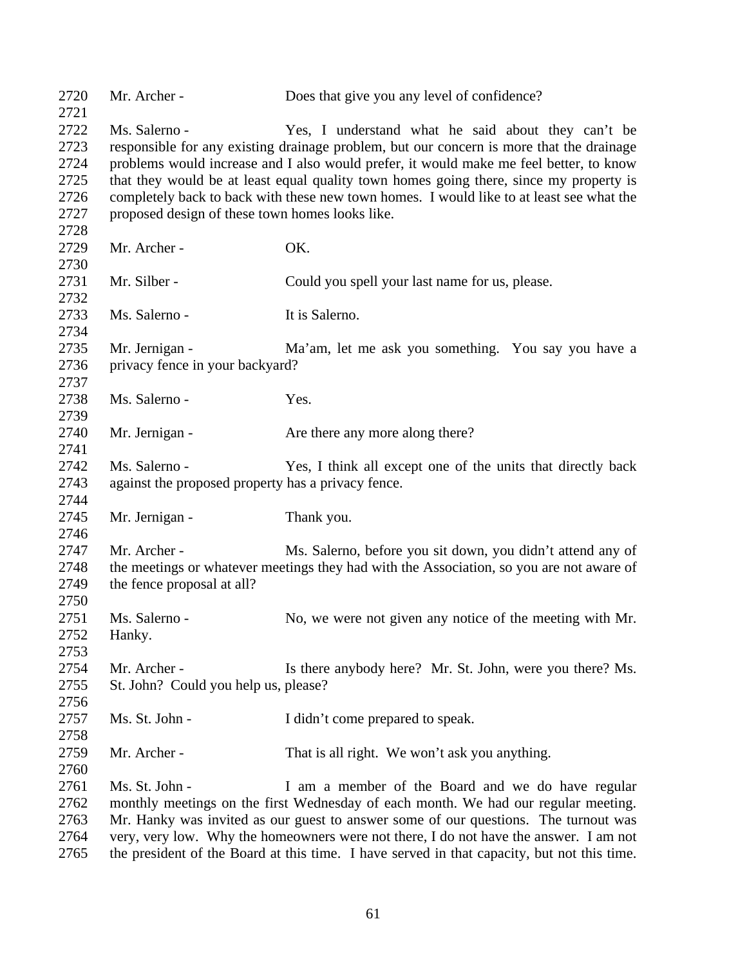| 2720         | Mr. Archer -                                       | Does that give you any level of confidence?                                                 |
|--------------|----------------------------------------------------|---------------------------------------------------------------------------------------------|
| 2721<br>2722 | Ms. Salerno -                                      |                                                                                             |
|              |                                                    | Yes, I understand what he said about they can't be                                          |
| 2723         |                                                    | responsible for any existing drainage problem, but our concern is more that the drainage    |
| 2724         |                                                    | problems would increase and I also would prefer, it would make me feel better, to know      |
| 2725         |                                                    | that they would be at least equal quality town homes going there, since my property is      |
| 2726         |                                                    | completely back to back with these new town homes. I would like to at least see what the    |
| 2727         | proposed design of these town homes looks like.    |                                                                                             |
| 2728         |                                                    |                                                                                             |
| 2729         | Mr. Archer -                                       | OK.                                                                                         |
| 2730         |                                                    |                                                                                             |
| 2731         | Mr. Silber -                                       | Could you spell your last name for us, please.                                              |
| 2732         |                                                    |                                                                                             |
| 2733         | Ms. Salerno -                                      | It is Salerno.                                                                              |
| 2734         |                                                    |                                                                                             |
| 2735         | Mr. Jernigan -                                     | Ma'am, let me ask you something. You say you have a                                         |
| 2736         | privacy fence in your backyard?                    |                                                                                             |
| 2737         |                                                    |                                                                                             |
| 2738         | Ms. Salerno -                                      | Yes.                                                                                        |
| 2739         |                                                    |                                                                                             |
| 2740         | Mr. Jernigan -                                     | Are there any more along there?                                                             |
| 2741         |                                                    |                                                                                             |
| 2742         | Ms. Salerno -                                      | Yes, I think all except one of the units that directly back                                 |
| 2743         | against the proposed property has a privacy fence. |                                                                                             |
| 2744         |                                                    |                                                                                             |
| 2745         | Mr. Jernigan -                                     | Thank you.                                                                                  |
| 2746         |                                                    |                                                                                             |
| 2747         | Mr. Archer -                                       | Ms. Salerno, before you sit down, you didn't attend any of                                  |
| 2748         |                                                    | the meetings or whatever meetings they had with the Association, so you are not aware of    |
| 2749         | the fence proposal at all?                         |                                                                                             |
| 2750         |                                                    |                                                                                             |
| 2751         | Ms. Salerno -                                      | No, we were not given any notice of the meeting with Mr.                                    |
| 2752         | Hanky.                                             |                                                                                             |
| 2753         |                                                    |                                                                                             |
| 2754         | Mr. Archer -                                       | Is there anybody here? Mr. St. John, were you there? Ms.                                    |
| 2755         | St. John? Could you help us, please?               |                                                                                             |
| 2756         |                                                    |                                                                                             |
| 2757         | Ms. St. John -                                     | I didn't come prepared to speak.                                                            |
| 2758         |                                                    |                                                                                             |
|              | Mr. Archer -                                       | That is all right. We won't ask you anything.                                               |
| 2759         |                                                    |                                                                                             |
| 2760         |                                                    |                                                                                             |
| 2761         | Ms. St. John -                                     | I am a member of the Board and we do have regular                                           |
| 2762         |                                                    | monthly meetings on the first Wednesday of each month. We had our regular meeting.          |
| 2763         |                                                    | Mr. Hanky was invited as our guest to answer some of our questions. The turnout was         |
| 2764         |                                                    | very, very low. Why the homeowners were not there, I do not have the answer. I am not       |
| 2765         |                                                    | the president of the Board at this time. I have served in that capacity, but not this time. |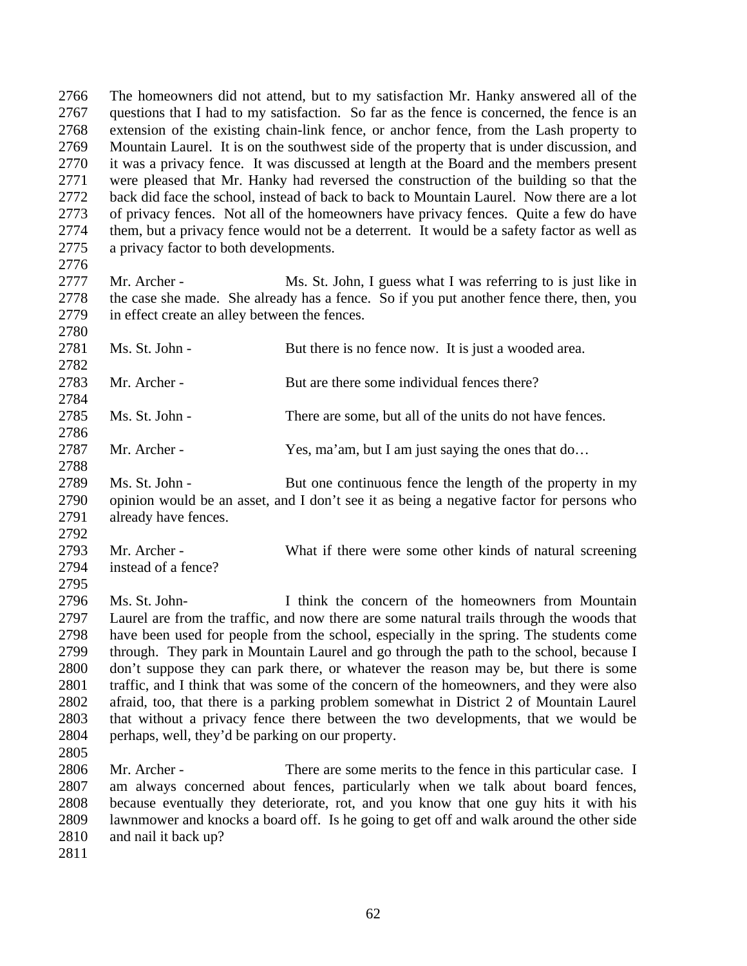The homeowners did not attend, but to my satisfaction Mr. Hanky answered all of the questions that I had to my satisfaction. So far as the fence is concerned, the fence is an extension of the existing chain-link fence, or anchor fence, from the Lash property to Mountain Laurel. It is on the southwest side of the property that is under discussion, and it was a privacy fence. It was discussed at length at the Board and the members present were pleased that Mr. Hanky had reversed the construction of the building so that the back did face the school, instead of back to back to Mountain Laurel. Now there are a lot of privacy fences. Not all of the homeowners have privacy fences. Quite a few do have them, but a privacy fence would not be a deterrent. It would be a safety factor as well as a privacy factor to both developments. 

 Mr. Archer - Ms. St. John, I guess what I was referring to is just like in the case she made. She already has a fence. So if you put another fence there, then, you in effect create an alley between the fences. 

2781 Ms. St. John - But there is no fence now. It is just a wooded area.

Mr. Archer - But are there some individual fences there?

Ms. St. John - There are some, but all of the units do not have fences.

Mr. Archer - Yes, ma'am, but I am just saying the ones that do…

 2789 Ms. St. John - But one continuous fence the length of the property in my opinion would be an asset, and I don't see it as being a negative factor for persons who already have fences.

 Mr. Archer - What if there were some other kinds of natural screening instead of a fence?

 Ms. St. John- I think the concern of the homeowners from Mountain Laurel are from the traffic, and now there are some natural trails through the woods that have been used for people from the school, especially in the spring. The students come through. They park in Mountain Laurel and go through the path to the school, because I don't suppose they can park there, or whatever the reason may be, but there is some traffic, and I think that was some of the concern of the homeowners, and they were also afraid, too, that there is a parking problem somewhat in District 2 of Mountain Laurel that without a privacy fence there between the two developments, that we would be perhaps, well, they'd be parking on our property. 

 Mr. Archer - There are some merits to the fence in this particular case. I am always concerned about fences, particularly when we talk about board fences, because eventually they deteriorate, rot, and you know that one guy hits it with his lawnmower and knocks a board off. Is he going to get off and walk around the other side and nail it back up?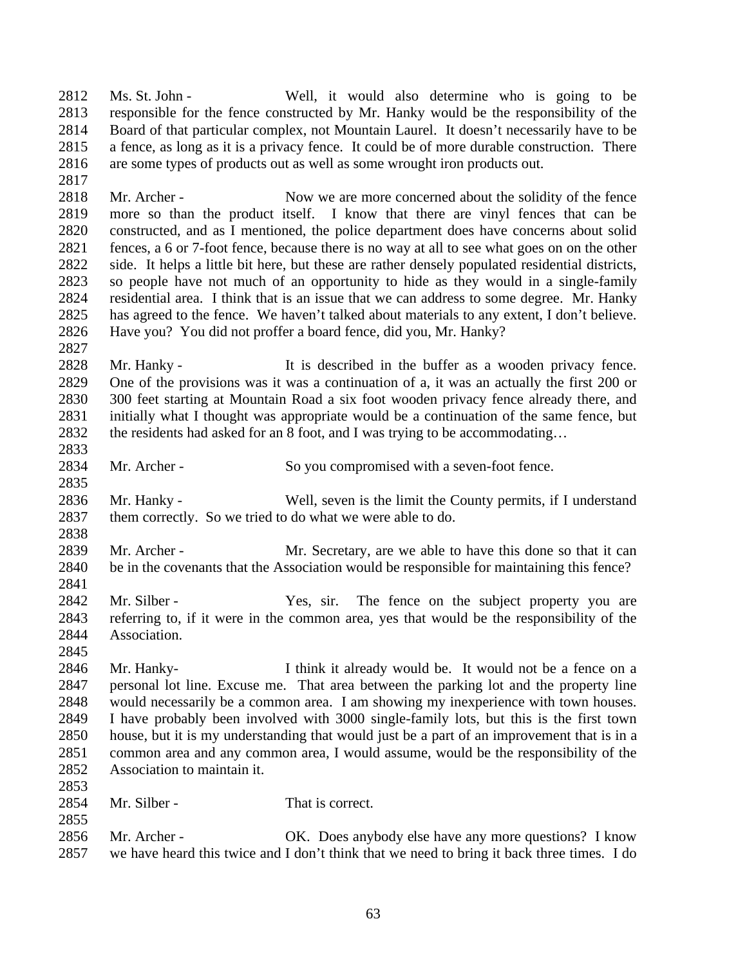Ms. St. John - Well, it would also determine who is going to be responsible for the fence constructed by Mr. Hanky would be the responsibility of the Board of that particular complex, not Mountain Laurel. It doesn't necessarily have to be a fence, as long as it is a privacy fence. It could be of more durable construction. There are some types of products out as well as some wrought iron products out.

2818 Mr. Archer - Now we are more concerned about the solidity of the fence more so than the product itself. I know that there are vinyl fences that can be constructed, and as I mentioned, the police department does have concerns about solid fences, a 6 or 7-foot fence, because there is no way at all to see what goes on on the other side. It helps a little bit here, but these are rather densely populated residential districts, so people have not much of an opportunity to hide as they would in a single-family residential area. I think that is an issue that we can address to some degree. Mr. Hanky has agreed to the fence. We haven't talked about materials to any extent, I don't believe. Have you? You did not proffer a board fence, did you, Mr. Hanky?

2828 Mr. Hanky - It is described in the buffer as a wooden privacy fence. One of the provisions was it was a continuation of a, it was an actually the first 200 or 300 feet starting at Mountain Road a six foot wooden privacy fence already there, and initially what I thought was appropriate would be a continuation of the same fence, but the residents had asked for an 8 foot, and I was trying to be accommodating…

Mr. Archer - So you compromised with a seven-foot fence.

 Mr. Hanky - Well, seven is the limit the County permits, if I understand them correctly. So we tried to do what we were able to do.

 Mr. Archer - Mr. Secretary, are we able to have this done so that it can be in the covenants that the Association would be responsible for maintaining this fence? 

2842 Mr. Silber - Yes, sir. The fence on the subject property you are referring to, if it were in the common area, yes that would be the responsibility of the Association.

 Mr. Hanky- I think it already would be. It would not be a fence on a personal lot line. Excuse me. That area between the parking lot and the property line would necessarily be a common area. I am showing my inexperience with town houses. I have probably been involved with 3000 single-family lots, but this is the first town house, but it is my understanding that would just be a part of an improvement that is in a common area and any common area, I would assume, would be the responsibility of the Association to maintain it. 

2854 Mr. Silber - That is correct.

 Mr. Archer - OK. Does anybody else have any more questions? I know we have heard this twice and I don't think that we need to bring it back three times. I do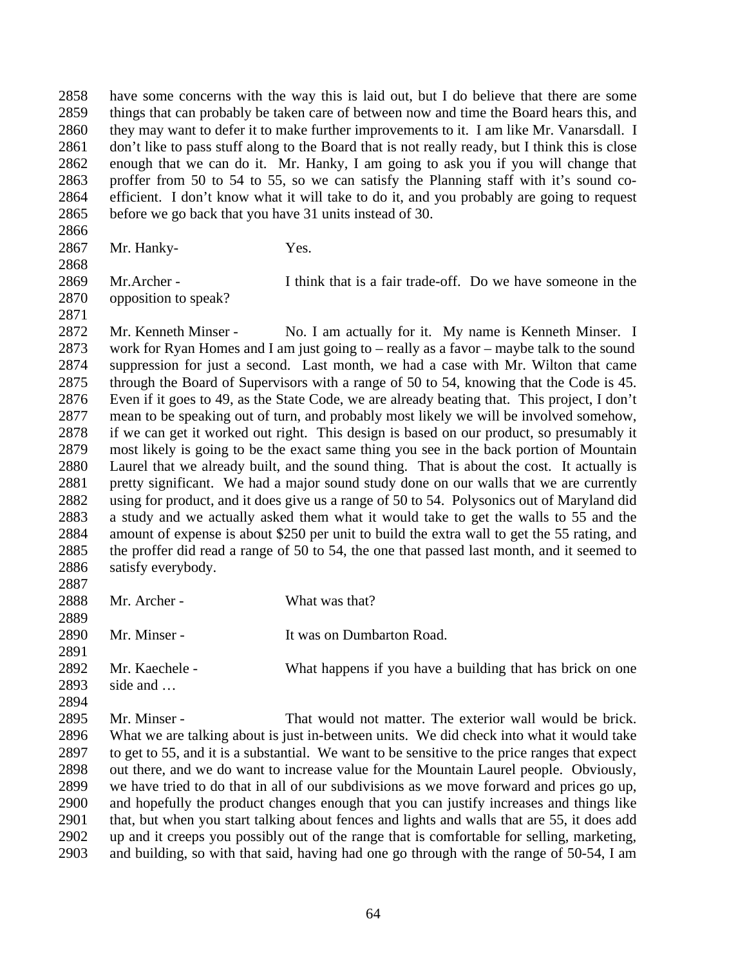have some concerns with the way this is laid out, but I do believe that there are some things that can probably be taken care of between now and time the Board hears this, and 2860 they may want to defer it to make further improvements to it. I am like Mr. Vanarsdall. I 2861 don't like to pass stuff along to the Board that is not really ready, but I think this is close enough that we can do it. Mr. Hanky, I am going to ask you if you will change that proffer from 50 to 54 to 55, so we can satisfy the Planning staff with it's sound co- efficient. I don't know what it will take to do it, and you probably are going to request before we go back that you have 31 units instead of 30.

Mr. Hanky- Yes.

 Mr.Archer - I think that is a fair trade-off. Do we have someone in the opposition to speak?

 Mr. Kenneth Minser - No. I am actually for it. My name is Kenneth Minser. I work for Ryan Homes and I am just going to – really as a favor – maybe talk to the sound suppression for just a second. Last month, we had a case with Mr. Wilton that came through the Board of Supervisors with a range of 50 to 54, knowing that the Code is 45. Even if it goes to 49, as the State Code, we are already beating that. This project, I don't mean to be speaking out of turn, and probably most likely we will be involved somehow, if we can get it worked out right. This design is based on our product, so presumably it most likely is going to be the exact same thing you see in the back portion of Mountain Laurel that we already built, and the sound thing. That is about the cost. It actually is pretty significant. We had a major sound study done on our walls that we are currently using for product, and it does give us a range of 50 to 54. Polysonics out of Maryland did a study and we actually asked them what it would take to get the walls to 55 and the amount of expense is about \$250 per unit to build the extra wall to get the 55 rating, and the proffer did read a range of 50 to 54, the one that passed last month, and it seemed to satisfy everybody.

2888 Mr. Archer - What was that? 

Mr. Minser - It was on Dumbarton Road.

Mr. Kaechele - What happens if you have a building that has brick on one

side and …

 Mr. Minser - That would not matter. The exterior wall would be brick. What we are talking about is just in-between units. We did check into what it would take to get to 55, and it is a substantial. We want to be sensitive to the price ranges that expect out there, and we do want to increase value for the Mountain Laurel people. Obviously, we have tried to do that in all of our subdivisions as we move forward and prices go up, and hopefully the product changes enough that you can justify increases and things like that, but when you start talking about fences and lights and walls that are 55, it does add up and it creeps you possibly out of the range that is comfortable for selling, marketing, and building, so with that said, having had one go through with the range of 50-54, I am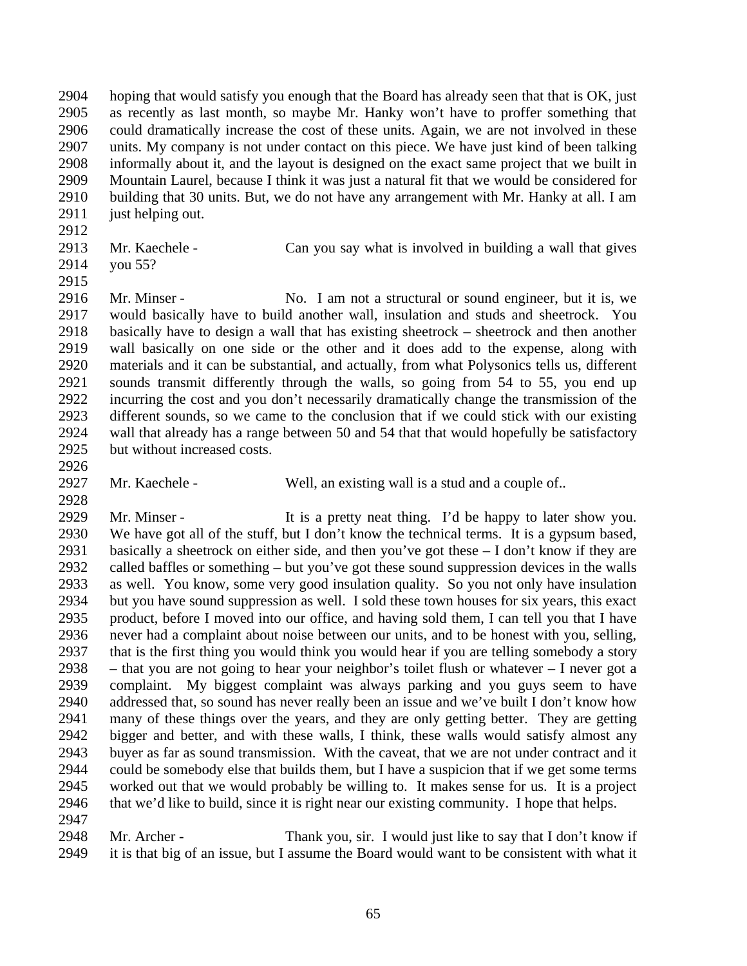hoping that would satisfy you enough that the Board has already seen that that is OK, just as recently as last month, so maybe Mr. Hanky won't have to proffer something that could dramatically increase the cost of these units. Again, we are not involved in these units. My company is not under contact on this piece. We have just kind of been talking informally about it, and the layout is designed on the exact same project that we built in Mountain Laurel, because I think it was just a natural fit that we would be considered for building that 30 units. But, we do not have any arrangement with Mr. Hanky at all. I am 2911 just helping out.

- 
- 
- you 55?

Mr. Kaechele - Can you say what is involved in building a wall that gives

- 2916 Mr. Minser No. I am not a structural or sound engineer, but it is, we would basically have to build another wall, insulation and studs and sheetrock. You basically have to design a wall that has existing sheetrock – sheetrock and then another wall basically on one side or the other and it does add to the expense, along with materials and it can be substantial, and actually, from what Polysonics tells us, different sounds transmit differently through the walls, so going from 54 to 55, you end up incurring the cost and you don't necessarily dramatically change the transmission of the different sounds, so we came to the conclusion that if we could stick with our existing wall that already has a range between 50 and 54 that that would hopefully be satisfactory but without increased costs.
- 

- 
- 2927 Mr. Kaechele Well, an existing wall is a stud and a couple of..

 Mr. Minser - It is a pretty neat thing. I'd be happy to later show you. We have got all of the stuff, but I don't know the technical terms. It is a gypsum based, basically a sheetrock on either side, and then you've got these – I don't know if they are called baffles or something – but you've got these sound suppression devices in the walls as well. You know, some very good insulation quality. So you not only have insulation but you have sound suppression as well. I sold these town houses for six years, this exact product, before I moved into our office, and having sold them, I can tell you that I have never had a complaint about noise between our units, and to be honest with you, selling, that is the first thing you would think you would hear if you are telling somebody a story – that you are not going to hear your neighbor's toilet flush or whatever – I never got a complaint. My biggest complaint was always parking and you guys seem to have addressed that, so sound has never really been an issue and we've built I don't know how many of these things over the years, and they are only getting better. They are getting bigger and better, and with these walls, I think, these walls would satisfy almost any buyer as far as sound transmission. With the caveat, that we are not under contract and it could be somebody else that builds them, but I have a suspicion that if we get some terms worked out that we would probably be willing to. It makes sense for us. It is a project that we'd like to build, since it is right near our existing community. I hope that helps. 

 Mr. Archer - Thank you, sir. I would just like to say that I don't know if it is that big of an issue, but I assume the Board would want to be consistent with what it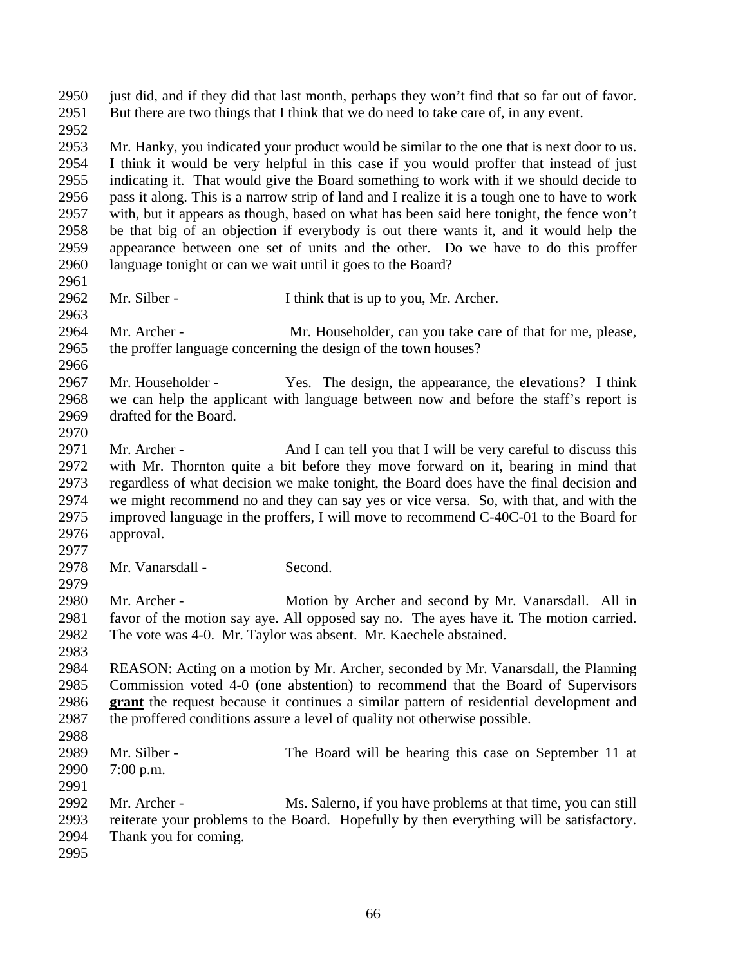just did, and if they did that last month, perhaps they won't find that so far out of favor. But there are two things that I think that we do need to take care of, in any event. Mr. Hanky, you indicated your product would be similar to the one that is next door to us. I think it would be very helpful in this case if you would proffer that instead of just indicating it. That would give the Board something to work with if we should decide to pass it along. This is a narrow strip of land and I realize it is a tough one to have to work with, but it appears as though, based on what has been said here tonight, the fence won't be that big of an objection if everybody is out there wants it, and it would help the appearance between one set of units and the other. Do we have to do this proffer language tonight or can we wait until it goes to the Board? Mr. Silber - I think that is up to you, Mr. Archer. Mr. Archer - Mr. Householder, can you take care of that for me, please, the proffer language concerning the design of the town houses? Mr. Householder - Yes. The design, the appearance, the elevations? I think we can help the applicant with language between now and before the staff's report is drafted for the Board. 2971 Mr. Archer - And I can tell you that I will be very careful to discuss this with Mr. Thornton quite a bit before they move forward on it, bearing in mind that regardless of what decision we make tonight, the Board does have the final decision and we might recommend no and they can say yes or vice versa. So, with that, and with the improved language in the proffers, I will move to recommend C-40C-01 to the Board for approval. Mr. Vanarsdall - Second. Mr. Archer - Motion by Archer and second by Mr. Vanarsdall. All in favor of the motion say aye. All opposed say no. The ayes have it. The motion carried. The vote was 4-0. Mr. Taylor was absent. Mr. Kaechele abstained. REASON: Acting on a motion by Mr. Archer, seconded by Mr. Vanarsdall, the Planning Commission voted 4-0 (one abstention) to recommend that the Board of Supervisors **grant** the request because it continues a similar pattern of residential development and the proffered conditions assure a level of quality not otherwise possible. Mr. Silber - The Board will be hearing this case on September 11 at 7:00 p.m. Mr. Archer - Ms. Salerno, if you have problems at that time, you can still reiterate your problems to the Board. Hopefully by then everything will be satisfactory. Thank you for coming.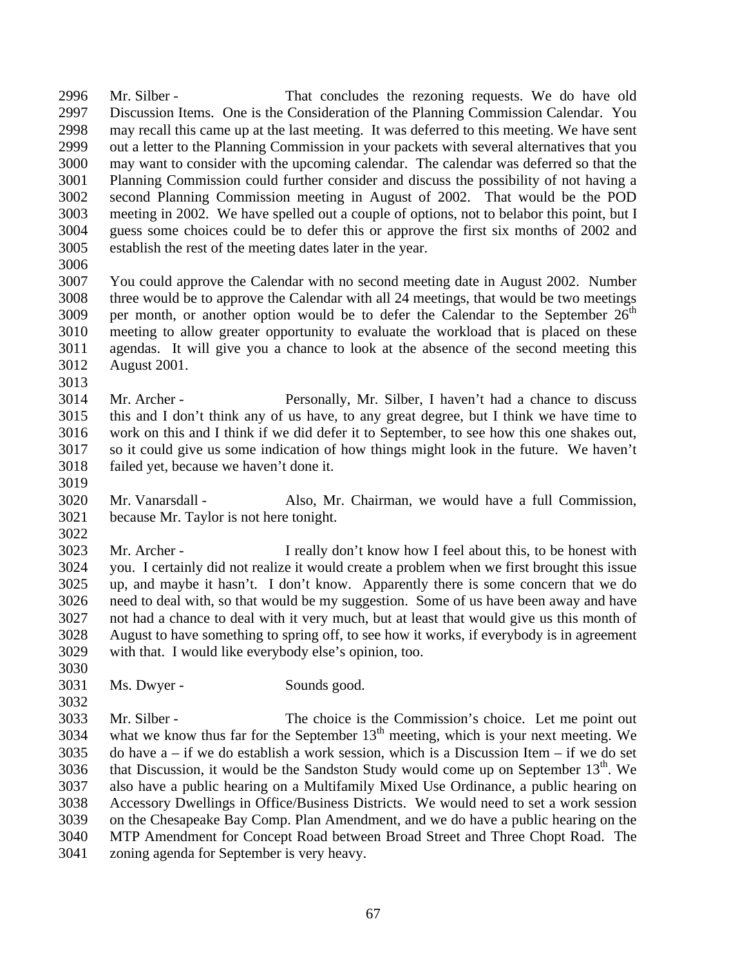Mr. Silber - That concludes the rezoning requests. We do have old Discussion Items. One is the Consideration of the Planning Commission Calendar. You may recall this came up at the last meeting. It was deferred to this meeting. We have sent out a letter to the Planning Commission in your packets with several alternatives that you may want to consider with the upcoming calendar. The calendar was deferred so that the Planning Commission could further consider and discuss the possibility of not having a second Planning Commission meeting in August of 2002. That would be the POD meeting in 2002. We have spelled out a couple of options, not to belabor this point, but I guess some choices could be to defer this or approve the first six months of 2002 and establish the rest of the meeting dates later in the year.

 You could approve the Calendar with no second meeting date in August 2002. Number three would be to approve the Calendar with all 24 meetings, that would be two meetings 3009 per month, or another option would be to defer the Calendar to the September  $26<sup>th</sup>$  meeting to allow greater opportunity to evaluate the workload that is placed on these agendas. It will give you a chance to look at the absence of the second meeting this August 2001. 

 Mr. Archer - Personally, Mr. Silber, I haven't had a chance to discuss this and I don't think any of us have, to any great degree, but I think we have time to work on this and I think if we did defer it to September, to see how this one shakes out, so it could give us some indication of how things might look in the future. We haven't failed yet, because we haven't done it.

 Mr. Vanarsdall - Also, Mr. Chairman, we would have a full Commission, because Mr. Taylor is not here tonight. 

 Mr. Archer - I really don't know how I feel about this, to be honest with you. I certainly did not realize it would create a problem when we first brought this issue up, and maybe it hasn't. I don't know. Apparently there is some concern that we do need to deal with, so that would be my suggestion. Some of us have been away and have not had a chance to deal with it very much, but at least that would give us this month of August to have something to spring off, to see how it works, if everybody is in agreement with that. I would like everybody else's opinion, too.

 Ms. Dwyer - Sounds good.

 Mr. Silber - The choice is the Commission's choice. Let me point out 3034 what we know thus far for the September  $13<sup>th</sup>$  meeting, which is your next meeting. We 3035 do have  $a - if$  we do establish a work session, which is a Discussion Item – if we do set 3036 that Discussion, it would be the Sandston Study would come up on September  $13<sup>th</sup>$ . We also have a public hearing on a Multifamily Mixed Use Ordinance, a public hearing on Accessory Dwellings in Office/Business Districts. We would need to set a work session on the Chesapeake Bay Comp. Plan Amendment, and we do have a public hearing on the MTP Amendment for Concept Road between Broad Street and Three Chopt Road. The zoning agenda for September is very heavy.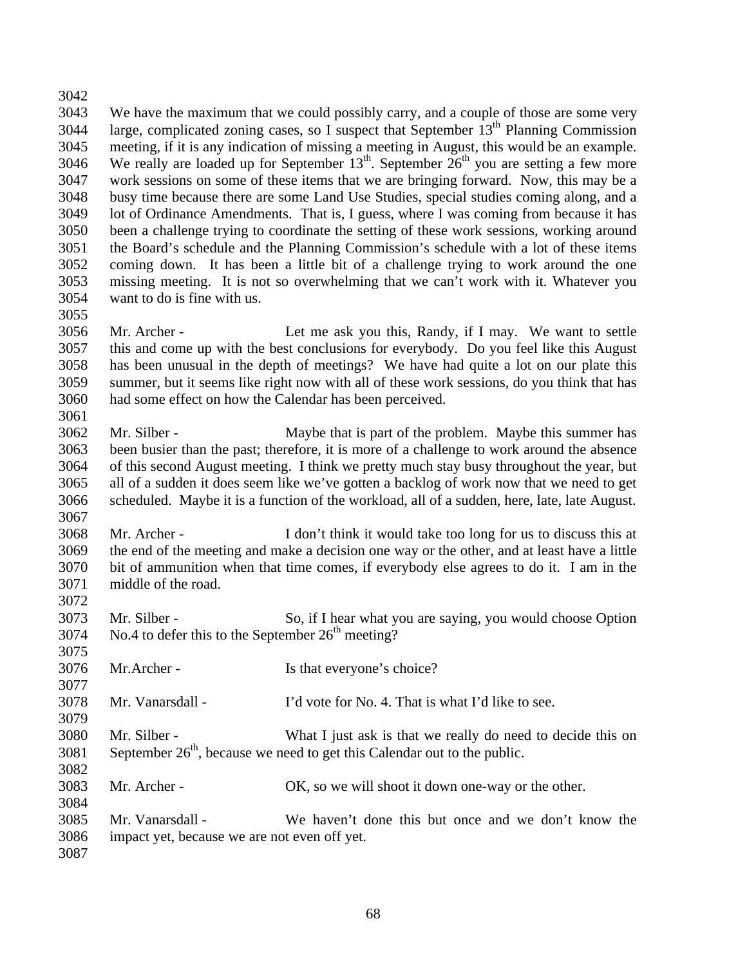We have the maximum that we could possibly carry, and a couple of those are some very 3044 large, complicated zoning cases, so I suspect that September  $13<sup>th</sup>$  Planning Commission meeting, if it is any indication of missing a meeting in August, this would be an example. 3046 We really are loaded up for September  $13<sup>th</sup>$ . September  $26<sup>th</sup>$  you are setting a few more work sessions on some of these items that we are bringing forward. Now, this may be a busy time because there are some Land Use Studies, special studies coming along, and a lot of Ordinance Amendments. That is, I guess, where I was coming from because it has been a challenge trying to coordinate the setting of these work sessions, working around the Board's schedule and the Planning Commission's schedule with a lot of these items coming down. It has been a little bit of a challenge trying to work around the one missing meeting. It is not so overwhelming that we can't work with it. Whatever you want to do is fine with us. 

 Mr. Archer - Let me ask you this, Randy, if I may. We want to settle this and come up with the best conclusions for everybody. Do you feel like this August has been unusual in the depth of meetings? We have had quite a lot on our plate this summer, but it seems like right now with all of these work sessions, do you think that has had some effect on how the Calendar has been perceived. 

 Mr. Silber - Maybe that is part of the problem. Maybe this summer has been busier than the past; therefore, it is more of a challenge to work around the absence of this second August meeting. I think we pretty much stay busy throughout the year, but all of a sudden it does seem like we've gotten a backlog of work now that we need to get scheduled. Maybe it is a function of the workload, all of a sudden, here, late, late August. 

 Mr. Archer - I don't think it would take too long for us to discuss this at the end of the meeting and make a decision one way or the other, and at least have a little bit of ammunition when that time comes, if everybody else agrees to do it. I am in the middle of the road.

 Mr. Silber - So, if I hear what you are saying, you would choose Option No.4 to defer this to the September  $26<sup>th</sup>$  meeting?

Mr.Archer - Is that everyone's choice?

Mr. Vanarsdall - I'd vote for No. 4. That is what I'd like to see.

 Mr. Silber - What I just ask is that we really do need to decide this on September  $26<sup>th</sup>$ , because we need to get this Calendar out to the public. 

Mr. Archer - OK, so we will shoot it down one-way or the other.

 Mr. Vanarsdall - We haven't done this but once and we don't know the impact yet, because we are not even off yet.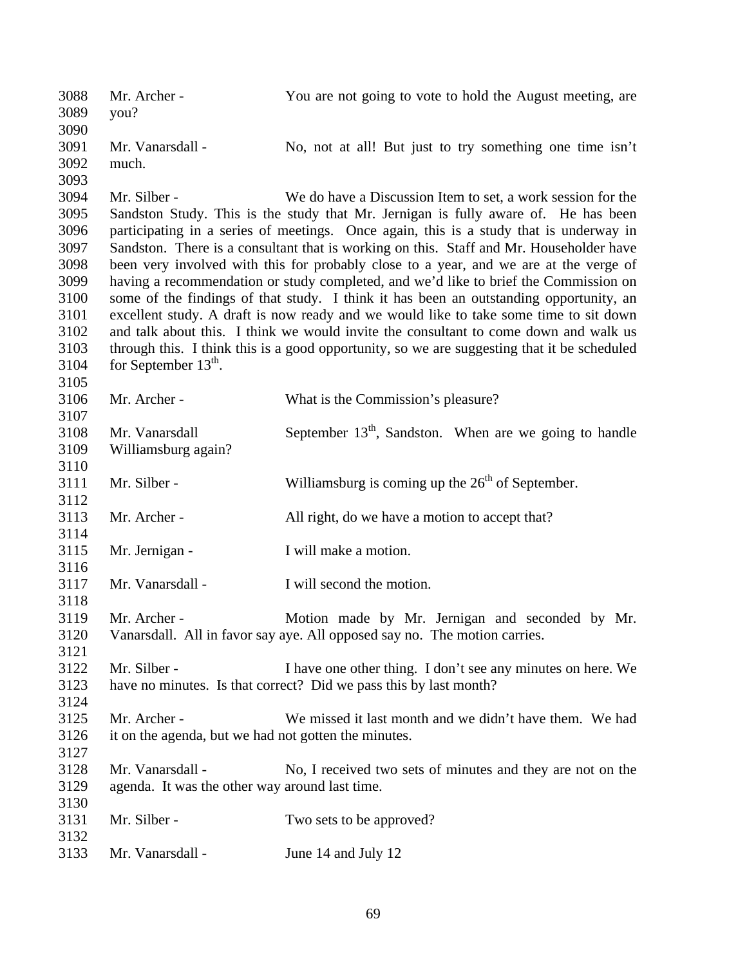| 3088<br>3089<br>3090                                                                 | Mr. Archer -<br>you?                                                 | You are not going to vote to hold the August meeting, are                                                                                                                                                                                                                                                                                                                                                                                                                                                                                                                                                                                                                                                                                                                                                                                                                                         |
|--------------------------------------------------------------------------------------|----------------------------------------------------------------------|---------------------------------------------------------------------------------------------------------------------------------------------------------------------------------------------------------------------------------------------------------------------------------------------------------------------------------------------------------------------------------------------------------------------------------------------------------------------------------------------------------------------------------------------------------------------------------------------------------------------------------------------------------------------------------------------------------------------------------------------------------------------------------------------------------------------------------------------------------------------------------------------------|
| 3091<br>3092                                                                         | Mr. Vanarsdall -<br>much.                                            | No, not at all! But just to try something one time isn't                                                                                                                                                                                                                                                                                                                                                                                                                                                                                                                                                                                                                                                                                                                                                                                                                                          |
| 3093<br>3094<br>3095<br>3096<br>3097<br>3098<br>3099<br>3100<br>3101<br>3102<br>3103 | Mr. Silber -                                                         | We do have a Discussion Item to set, a work session for the<br>Sandston Study. This is the study that Mr. Jernigan is fully aware of. He has been<br>participating in a series of meetings. Once again, this is a study that is underway in<br>Sandston. There is a consultant that is working on this. Staff and Mr. Householder have<br>been very involved with this for probably close to a year, and we are at the verge of<br>having a recommendation or study completed, and we'd like to brief the Commission on<br>some of the findings of that study. I think it has been an outstanding opportunity, an<br>excellent study. A draft is now ready and we would like to take some time to sit down<br>and talk about this. I think we would invite the consultant to come down and walk us<br>through this. I think this is a good opportunity, so we are suggesting that it be scheduled |
| 3104<br>3105                                                                         | for September $13th$ .                                               |                                                                                                                                                                                                                                                                                                                                                                                                                                                                                                                                                                                                                                                                                                                                                                                                                                                                                                   |
| 3106<br>3107                                                                         | Mr. Archer -                                                         | What is the Commission's pleasure?                                                                                                                                                                                                                                                                                                                                                                                                                                                                                                                                                                                                                                                                                                                                                                                                                                                                |
| 3108<br>3109<br>3110                                                                 | Mr. Vanarsdall<br>Williamsburg again?                                | September $13th$ , Sandston. When are we going to handle                                                                                                                                                                                                                                                                                                                                                                                                                                                                                                                                                                                                                                                                                                                                                                                                                                          |
| 3111<br>3112                                                                         | Mr. Silber -                                                         | Williamsburg is coming up the $26th$ of September.                                                                                                                                                                                                                                                                                                                                                                                                                                                                                                                                                                                                                                                                                                                                                                                                                                                |
| 3113                                                                                 | Mr. Archer -                                                         | All right, do we have a motion to accept that?                                                                                                                                                                                                                                                                                                                                                                                                                                                                                                                                                                                                                                                                                                                                                                                                                                                    |
| 3114<br>3115                                                                         | Mr. Jernigan -                                                       | I will make a motion.                                                                                                                                                                                                                                                                                                                                                                                                                                                                                                                                                                                                                                                                                                                                                                                                                                                                             |
| 3116<br>3117                                                                         | Mr. Vanarsdall -                                                     | I will second the motion.                                                                                                                                                                                                                                                                                                                                                                                                                                                                                                                                                                                                                                                                                                                                                                                                                                                                         |
| 3118<br>3119<br>3120<br>3121                                                         | Mr. Archer -                                                         | Motion made by Mr. Jernigan and seconded by Mr.<br>Vanarsdall. All in favor say aye. All opposed say no. The motion carries.                                                                                                                                                                                                                                                                                                                                                                                                                                                                                                                                                                                                                                                                                                                                                                      |
| 3122<br>3123<br>3124                                                                 | Mr. Silber -                                                         | I have one other thing. I don't see any minutes on here. We<br>have no minutes. Is that correct? Did we pass this by last month?                                                                                                                                                                                                                                                                                                                                                                                                                                                                                                                                                                                                                                                                                                                                                                  |
| 3125<br>3126<br>3127                                                                 | Mr. Archer -<br>it on the agenda, but we had not gotten the minutes. | We missed it last month and we didn't have them. We had                                                                                                                                                                                                                                                                                                                                                                                                                                                                                                                                                                                                                                                                                                                                                                                                                                           |
| 3128<br>3129<br>3130                                                                 | Mr. Vanarsdall -<br>agenda. It was the other way around last time.   | No, I received two sets of minutes and they are not on the                                                                                                                                                                                                                                                                                                                                                                                                                                                                                                                                                                                                                                                                                                                                                                                                                                        |
| 3131<br>3132                                                                         | Mr. Silber -                                                         | Two sets to be approved?                                                                                                                                                                                                                                                                                                                                                                                                                                                                                                                                                                                                                                                                                                                                                                                                                                                                          |
| 3133                                                                                 | Mr. Vanarsdall -                                                     | June 14 and July 12                                                                                                                                                                                                                                                                                                                                                                                                                                                                                                                                                                                                                                                                                                                                                                                                                                                                               |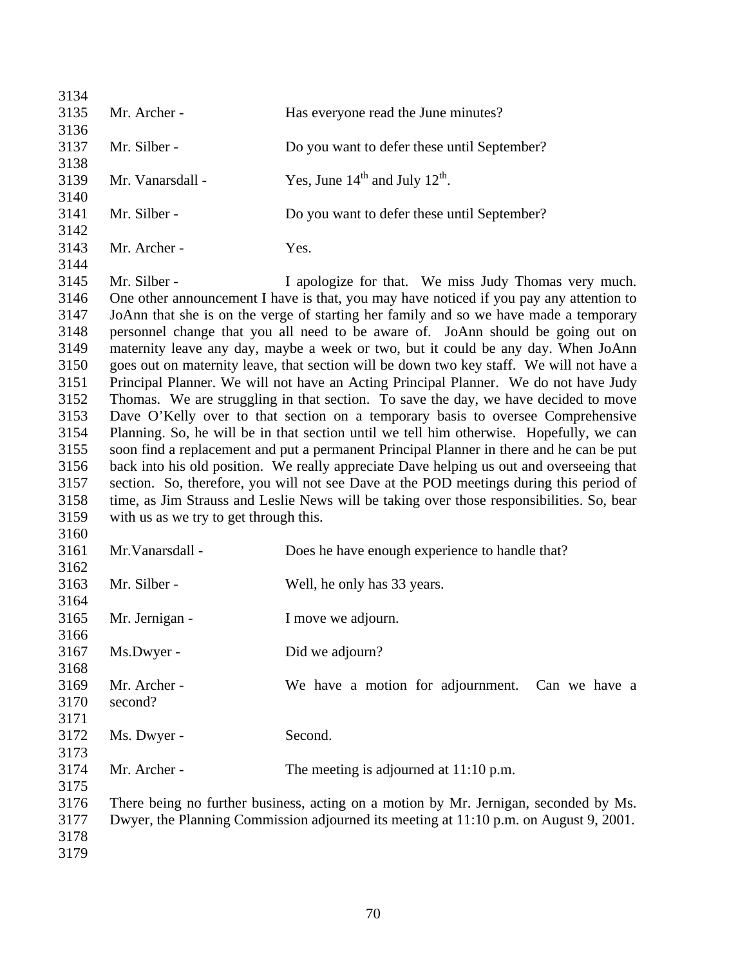| 3134 |                                        |                                                                                           |
|------|----------------------------------------|-------------------------------------------------------------------------------------------|
| 3135 | Mr. Archer -                           | Has everyone read the June minutes?                                                       |
| 3136 |                                        |                                                                                           |
| 3137 | Mr. Silber -                           | Do you want to defer these until September?                                               |
| 3138 |                                        |                                                                                           |
| 3139 | Mr. Vanarsdall -                       | Yes, June $14^{\text{th}}$ and July $12^{\text{th}}$ .                                    |
| 3140 |                                        |                                                                                           |
| 3141 | Mr. Silber -                           | Do you want to defer these until September?                                               |
| 3142 |                                        |                                                                                           |
| 3143 | Mr. Archer -                           | Yes.                                                                                      |
| 3144 |                                        |                                                                                           |
| 3145 | Mr. Silber -                           | I apologize for that. We miss Judy Thomas very much.                                      |
| 3146 |                                        | One other announcement I have is that, you may have noticed if you pay any attention to   |
| 3147 |                                        | JoAnn that she is on the verge of starting her family and so we have made a temporary     |
| 3148 |                                        | personnel change that you all need to be aware of. JoAnn should be going out on           |
| 3149 |                                        | maternity leave any day, maybe a week or two, but it could be any day. When JoAnn         |
| 3150 |                                        | goes out on maternity leave, that section will be down two key staff. We will not have a  |
| 3151 |                                        | Principal Planner. We will not have an Acting Principal Planner. We do not have Judy      |
| 3152 |                                        | Thomas. We are struggling in that section. To save the day, we have decided to move       |
| 3153 |                                        | Dave O'Kelly over to that section on a temporary basis to oversee Comprehensive           |
| 3154 |                                        | Planning. So, he will be in that section until we tell him otherwise. Hopefully, we can   |
| 3155 |                                        | soon find a replacement and put a permanent Principal Planner in there and he can be put  |
| 3156 |                                        | back into his old position. We really appreciate Dave helping us out and overseeing that  |
| 3157 |                                        | section. So, therefore, you will not see Dave at the POD meetings during this period of   |
| 3158 |                                        | time, as Jim Strauss and Leslie News will be taking over those responsibilities. So, bear |
| 3159 | with us as we try to get through this. |                                                                                           |
| 3160 |                                        |                                                                                           |
| 3161 | Mr. Vanarsdall -                       | Does he have enough experience to handle that?                                            |
| 3162 |                                        |                                                                                           |
| 3163 | Mr. Silber -                           |                                                                                           |
|      |                                        | Well, he only has 33 years.                                                               |
| 3164 |                                        |                                                                                           |
| 3165 | Mr. Jernigan -                         | I move we adjourn.                                                                        |
| 3166 |                                        |                                                                                           |
| 3167 | Ms.Dwyer -                             | Did we adjourn?                                                                           |
| 3168 |                                        |                                                                                           |
| 3169 | Mr. Archer -                           | We have a motion for adjournment. Can we have a                                           |
| 3170 | second?                                |                                                                                           |
| 3171 |                                        |                                                                                           |
| 3172 | Ms. Dwyer -                            | Second.                                                                                   |
| 3173 |                                        |                                                                                           |
| 3174 | Mr. Archer -                           | The meeting is adjourned at $11:10$ p.m.                                                  |
| 3175 |                                        |                                                                                           |
| 3176 |                                        | There being no further business, acting on a motion by Mr. Jernigan, seconded by Ms.      |
| 3177 |                                        | Dwyer, the Planning Commission adjourned its meeting at 11:10 p.m. on August 9, 2001.     |
| 3178 |                                        |                                                                                           |
| 3179 |                                        |                                                                                           |